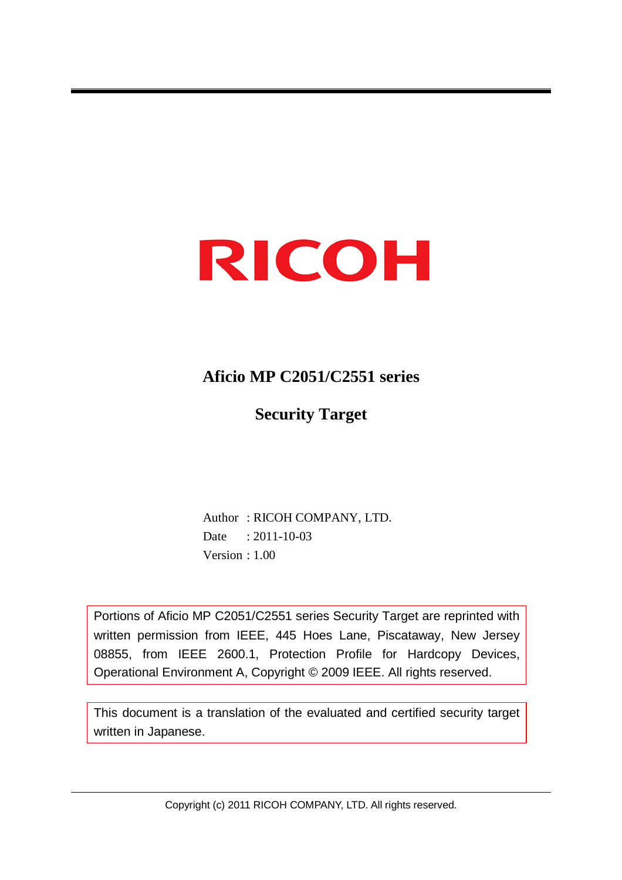# RICOH

### **Aficio MP C2051/C2551 series**

**Security Target**

 Author : RICOH COMPANY, LTD. Date : 2011-10-03 Version : 1.00

Portions of Aficio MP C2051/C2551 series Security Target are reprinted with written permission from IEEE, 445 Hoes Lane, Piscataway, New Jersey 08855, from IEEE 2600.1, Protection Profile for Hardcopy Devices, Operational Environment A, Copyright © 2009 IEEE. All rights reserved.

This document is a translation of the evaluated and certified security target written in Japanese.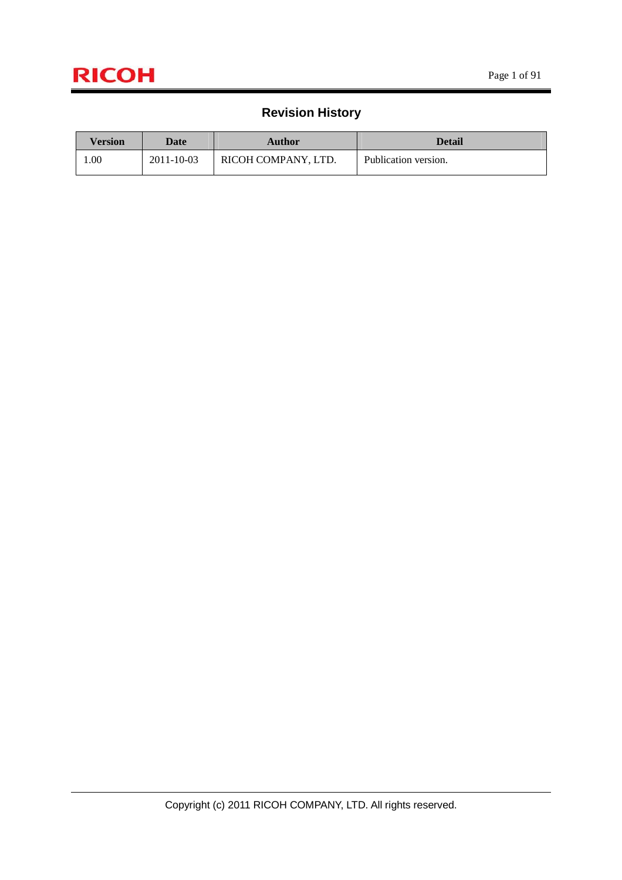### **Revision History**

| Version | Date       | Author              | <b>Detail</b>        |
|---------|------------|---------------------|----------------------|
| 00.1    | 2011-10-03 | RICOH COMPANY, LTD. | Publication version. |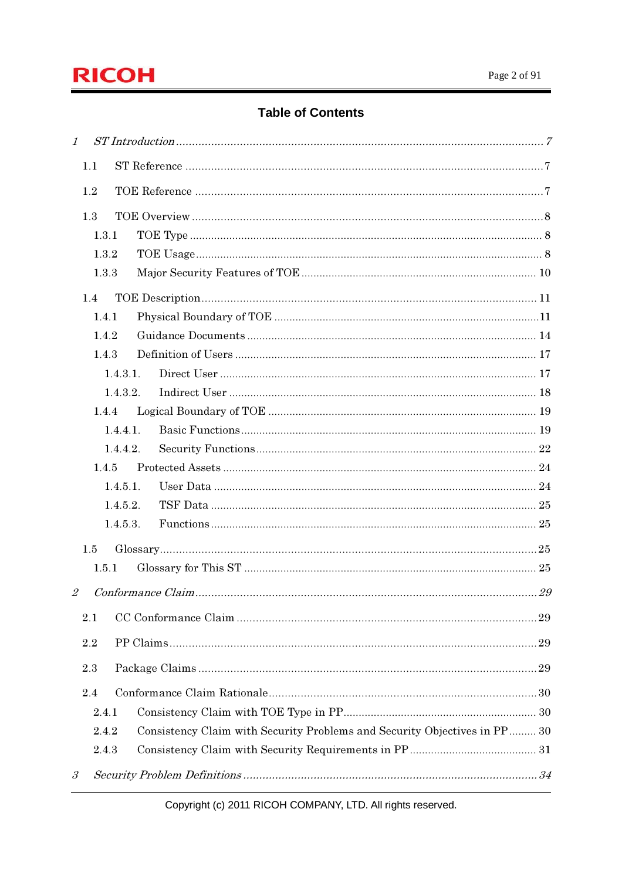

### **Table of Contents**

| $\mathcal{I}$                                                                      |    |
|------------------------------------------------------------------------------------|----|
| 1.1                                                                                |    |
| 1.2                                                                                |    |
| 1.3                                                                                |    |
| 1.3.1                                                                              |    |
| 1.3.2                                                                              |    |
| 1.3.3                                                                              |    |
|                                                                                    |    |
| 1.4<br>1.4.1                                                                       |    |
| 1.4.2                                                                              |    |
| 1.4.3                                                                              |    |
| 1.4.3.1.                                                                           |    |
| 1.4.3.2.                                                                           |    |
| 1.4.4                                                                              |    |
| 1.4.4.1.                                                                           |    |
| 1.4.4.2.                                                                           |    |
| 1.4.5                                                                              |    |
| 1.4.5.1.                                                                           |    |
| 1.4.5.2.                                                                           |    |
| 1.4.5.3.                                                                           |    |
| 1.5                                                                                |    |
| 1.5.1                                                                              |    |
| $\mathcal{Z}$                                                                      |    |
|                                                                                    |    |
| 2.1                                                                                |    |
| 2.2                                                                                | 29 |
| 2.3                                                                                |    |
| 2.4                                                                                |    |
| 2.4.1                                                                              |    |
| Consistency Claim with Security Problems and Security Objectives in PP 30<br>2.4.2 |    |
| 2.4.3                                                                              |    |
| $\mathcal{S}_{\mathcal{S}}$                                                        |    |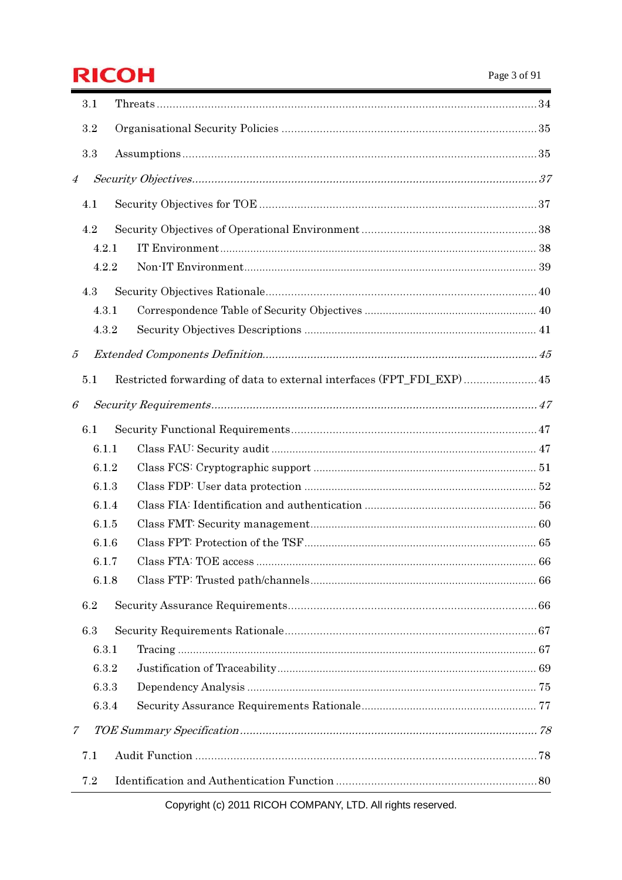# **RICOH**

|                | 3.1   |                                                                       |  |
|----------------|-------|-----------------------------------------------------------------------|--|
|                | 3.2   |                                                                       |  |
|                | 3.3   |                                                                       |  |
| $\overline{4}$ |       |                                                                       |  |
|                | 4.1   |                                                                       |  |
|                |       |                                                                       |  |
|                | 4.2   |                                                                       |  |
|                | 4.2.1 |                                                                       |  |
|                | 4.2.2 |                                                                       |  |
|                | 4.3   |                                                                       |  |
|                | 4.3.1 |                                                                       |  |
|                | 4.3.2 |                                                                       |  |
| 5              |       |                                                                       |  |
|                | 5.1   | Restricted forwarding of data to external interfaces (FPT_FDI_EXP) 45 |  |
| 6              |       |                                                                       |  |
|                | 6.1   |                                                                       |  |
|                | 6.1.1 |                                                                       |  |
|                | 6.1.2 |                                                                       |  |
|                | 6.1.3 |                                                                       |  |
|                | 6.1.4 |                                                                       |  |
|                | 6.1.5 |                                                                       |  |
|                | 6.1.6 |                                                                       |  |
|                | 6.1.7 |                                                                       |  |
|                | 6.1.8 |                                                                       |  |
|                | 6.2   |                                                                       |  |
|                | 6.3   |                                                                       |  |
|                | 6.3.1 |                                                                       |  |
|                | 6.3.2 |                                                                       |  |
|                | 6.3.3 |                                                                       |  |
|                | 6.3.4 |                                                                       |  |
| 7              |       |                                                                       |  |
|                | 7.1   |                                                                       |  |
|                | 7.2   |                                                                       |  |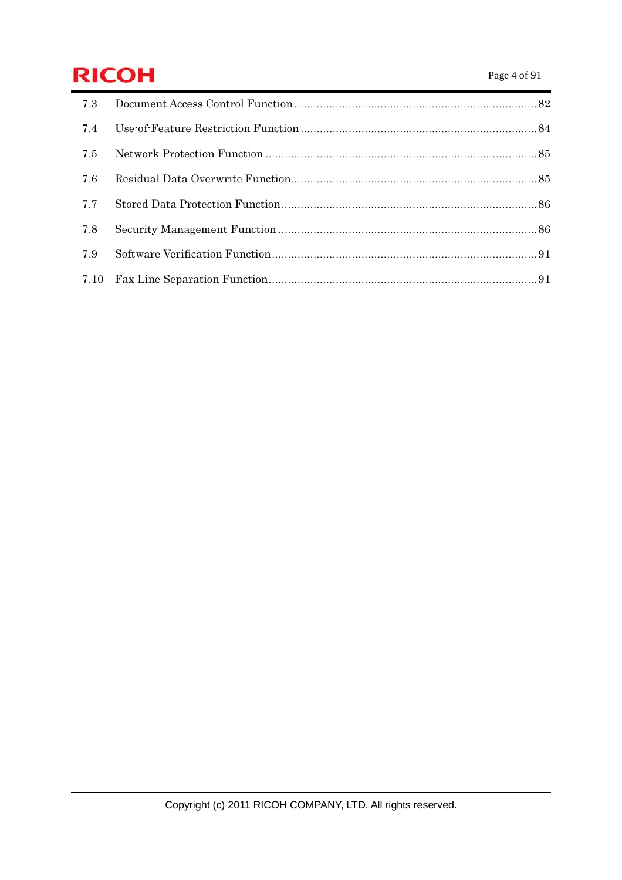# **RICOH** Page 4 of 91

| 7.3 |  |
|-----|--|
| 7.4 |  |
| 7.5 |  |
| 7.6 |  |
| 7.7 |  |
| 7.8 |  |
| 7.9 |  |
|     |  |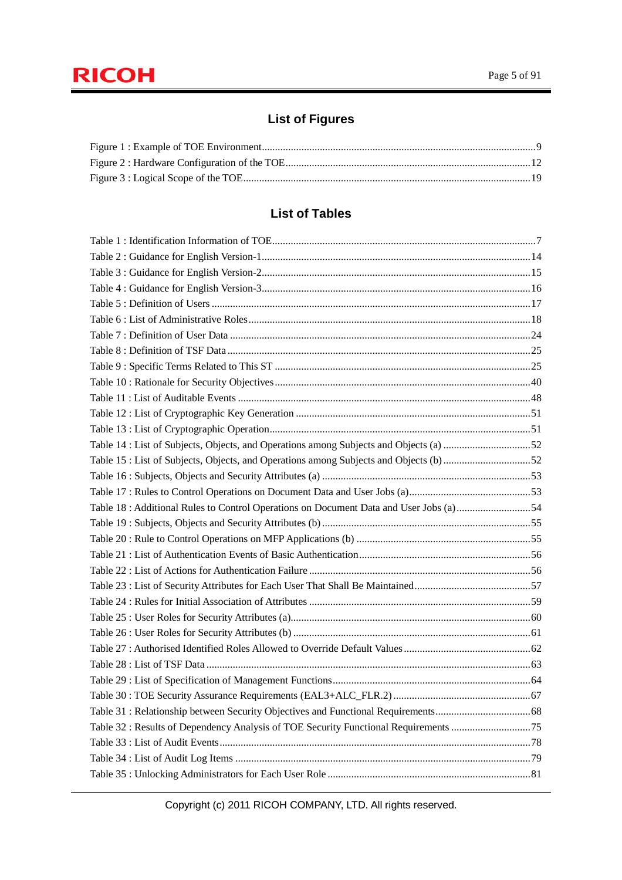### **List of Figures**

### **List of Tables**

| Table 15 : List of Subjects, Objects, and Operations among Subjects and Objects (b) 52<br>Table 18 : Additional Rules to Control Operations on Document Data and User Jobs (a) 54 |
|-----------------------------------------------------------------------------------------------------------------------------------------------------------------------------------|
|                                                                                                                                                                                   |
|                                                                                                                                                                                   |
|                                                                                                                                                                                   |
|                                                                                                                                                                                   |
|                                                                                                                                                                                   |
|                                                                                                                                                                                   |
|                                                                                                                                                                                   |
|                                                                                                                                                                                   |
|                                                                                                                                                                                   |
|                                                                                                                                                                                   |
|                                                                                                                                                                                   |
|                                                                                                                                                                                   |
|                                                                                                                                                                                   |
|                                                                                                                                                                                   |
|                                                                                                                                                                                   |
|                                                                                                                                                                                   |
|                                                                                                                                                                                   |
|                                                                                                                                                                                   |
|                                                                                                                                                                                   |
|                                                                                                                                                                                   |
|                                                                                                                                                                                   |
|                                                                                                                                                                                   |
|                                                                                                                                                                                   |
|                                                                                                                                                                                   |
|                                                                                                                                                                                   |
|                                                                                                                                                                                   |
|                                                                                                                                                                                   |
|                                                                                                                                                                                   |
|                                                                                                                                                                                   |
|                                                                                                                                                                                   |
| Table 32: Results of Dependency Analysis of TOE Security Functional Requirements 75                                                                                               |
|                                                                                                                                                                                   |
|                                                                                                                                                                                   |
|                                                                                                                                                                                   |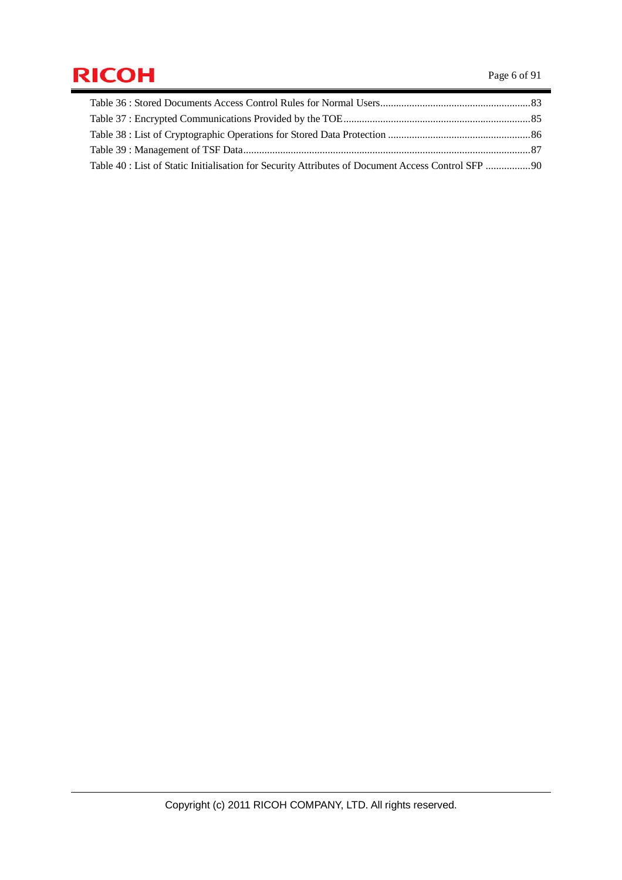# **RICOH** Page 6 of 91

| Table 40 : List of Static Initialisation for Security Attributes of Document Access Control SFP 90 |  |
|----------------------------------------------------------------------------------------------------|--|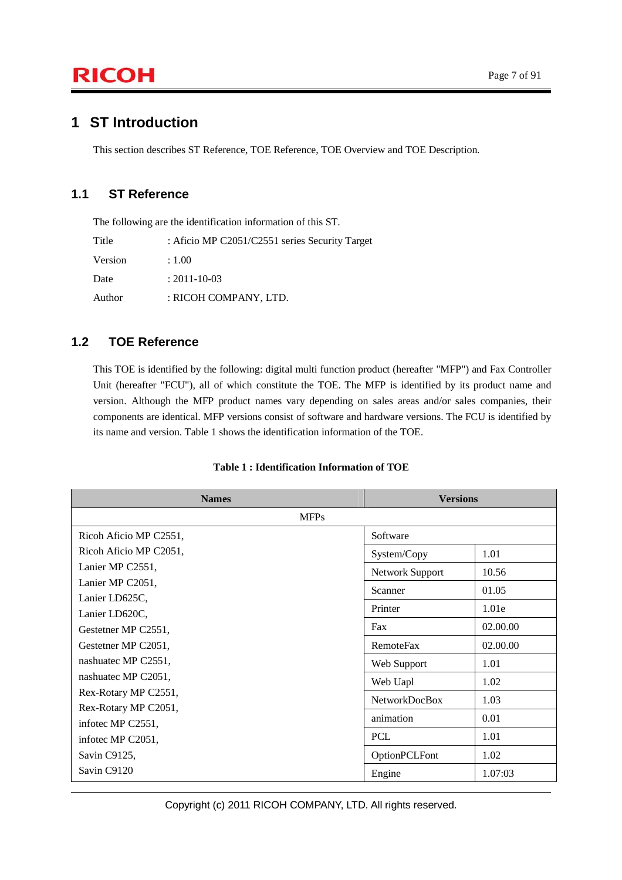### **1 ST Introduction**

This section describes ST Reference, TOE Reference, TOE Overview and TOE Description.

### **1.1 ST Reference**

The following are the identification information of this ST.

| Title   | : Aficio MP C2051/C2551 series Security Target |
|---------|------------------------------------------------|
| Version | : 1.00.                                        |
| Date    | $: 2011 - 10 - 03$                             |
| Author  | : RICOH COMPANY, LTD.                          |

### **1.2 TOE Reference**

This TOE is identified by the following: digital multi function product (hereafter "MFP") and Fax Controller Unit (hereafter "FCU"), all of which constitute the TOE. The MFP is identified by its product name and version. Although the MFP product names vary depending on sales areas and/or sales companies, their components are identical. MFP versions consist of software and hardware versions. The FCU is identified by its name and version. Table 1 shows the identification information of the TOE.

| <b>Names</b>                          | <b>Versions</b>      |          |
|---------------------------------------|----------------------|----------|
| <b>MFPs</b>                           |                      |          |
| Ricoh Aficio MP C2551,                | Software             |          |
| Ricoh Aficio MP C2051,                | System/Copy          | 1.01     |
| Lanier MP C2551,                      | Network Support      | 10.56    |
| Lanier MP C2051,                      | Scanner              | 01.05    |
| Lanier LD625C,                        | Printer              | 1.01e    |
| Lanier LD620C,<br>Gestetner MP C2551, | Fax                  | 02.00.00 |
| Gestetner MP C2051,                   | <b>RemoteFax</b>     | 02.00.00 |
| nashuatec MP C2551,                   | Web Support          | 1.01     |
| nashuatec MP C2051,                   | Web Uapl             | 1.02     |
| Rex-Rotary MP C2551,                  | <b>NetworkDocBox</b> | 1.03     |
| Rex-Rotary MP C2051,                  |                      |          |
| infotec MP C2551,                     | animation            | 0.01     |
| infotec MP C2051,                     | <b>PCL</b>           | 1.01     |
| Savin C9125,                          | OptionPCLFont        | 1.02     |
| Savin C9120                           | Engine               | 1.07:03  |

#### **Table 1 : Identification Information of TOE**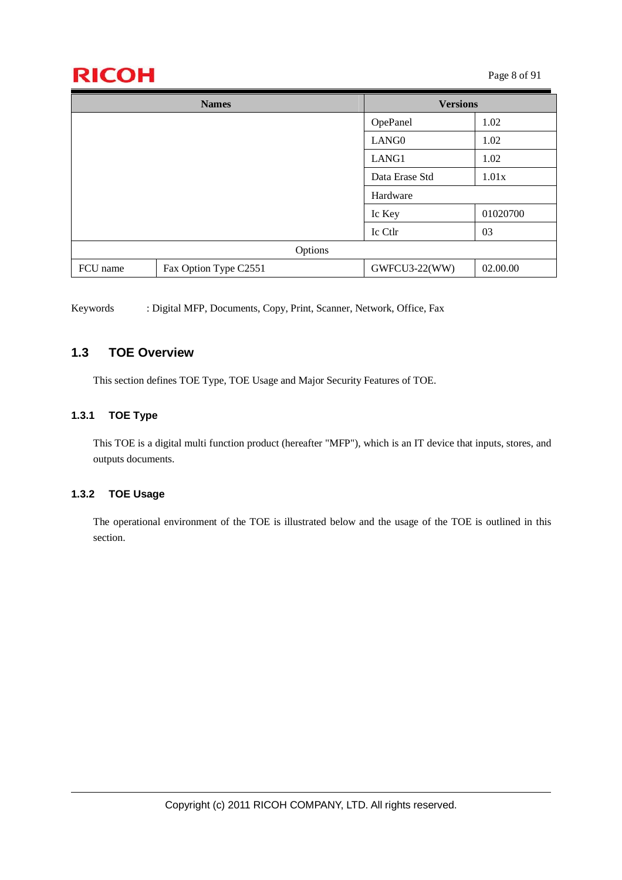# $\mathsf{RICOH}$  Page 8 of 91

| <b>Names</b> |                       | <b>Versions</b>   |          |
|--------------|-----------------------|-------------------|----------|
|              |                       | OpePanel          | 1.02     |
|              |                       | LANG <sub>0</sub> | 1.02     |
|              |                       | LANG1             | 1.02     |
|              |                       | Data Erase Std    | 1.01x    |
|              |                       | Hardware          |          |
|              |                       | Ic Key            | 01020700 |
|              |                       | Ic Ctlr           | 03       |
| Options      |                       |                   |          |
| FCU name     | Fax Option Type C2551 | GWFCU3-22(WW)     | 02.00.00 |

Keywords : Digital MFP, Documents, Copy, Print, Scanner, Network, Office, Fax

### **1.3 TOE Overview**

This section defines TOE Type, TOE Usage and Major Security Features of TOE.

#### **1.3.1 TOE Type**

This TOE is a digital multi function product (hereafter "MFP"), which is an IT device that inputs, stores, and outputs documents.

#### **1.3.2 TOE Usage**

The operational environment of the TOE is illustrated below and the usage of the TOE is outlined in this section.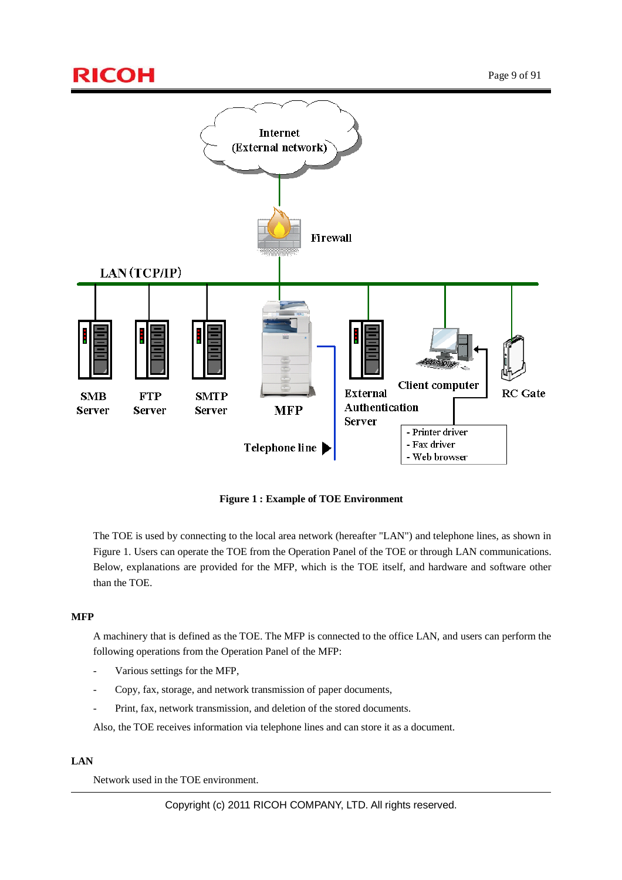

**Figure 1 : Example of TOE Environment** 

The TOE is used by connecting to the local area network (hereafter "LAN") and telephone lines, as shown in Figure 1. Users can operate the TOE from the Operation Panel of the TOE or through LAN communications. Below, explanations are provided for the MFP, which is the TOE itself, and hardware and software other than the TOE.

#### **MFP**

A machinery that is defined as the TOE. The MFP is connected to the office LAN, and users can perform the following operations from the Operation Panel of the MFP:

- Various settings for the MFP,
- Copy, fax, storage, and network transmission of paper documents,
- Print, fax, network transmission, and deletion of the stored documents.

Also, the TOE receives information via telephone lines and can store it as a document.

#### **LAN**

Network used in the TOE environment.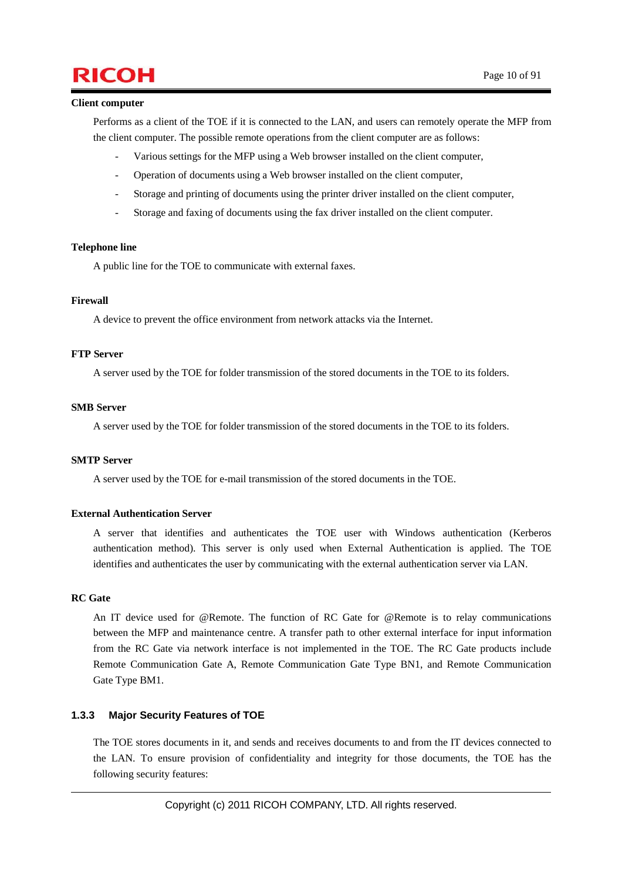## $\mathsf{RICOH}$  Page 10 of 91

#### **Client computer**

Performs as a client of the TOE if it is connected to the LAN, and users can remotely operate the MFP from the client computer. The possible remote operations from the client computer are as follows:

- Various settings for the MFP using a Web browser installed on the client computer,
- Operation of documents using a Web browser installed on the client computer,
- Storage and printing of documents using the printer driver installed on the client computer,
- Storage and faxing of documents using the fax driver installed on the client computer.

#### **Telephone line**

A public line for the TOE to communicate with external faxes.

#### **Firewall**

A device to prevent the office environment from network attacks via the Internet.

#### **FTP Server**

A server used by the TOE for folder transmission of the stored documents in the TOE to its folders.

#### **SMB Server**

A server used by the TOE for folder transmission of the stored documents in the TOE to its folders.

#### **SMTP Server**

A server used by the TOE for e-mail transmission of the stored documents in the TOE.

#### **External Authentication Server**

A server that identifies and authenticates the TOE user with Windows authentication (Kerberos authentication method). This server is only used when External Authentication is applied. The TOE identifies and authenticates the user by communicating with the external authentication server via LAN.

#### **RC Gate**

An IT device used for @Remote. The function of RC Gate for @Remote is to relay communications between the MFP and maintenance centre. A transfer path to other external interface for input information from the RC Gate via network interface is not implemented in the TOE. The RC Gate products include Remote Communication Gate A, Remote Communication Gate Type BN1, and Remote Communication Gate Type BM1.

#### **1.3.3 Major Security Features of TOE**

The TOE stores documents in it, and sends and receives documents to and from the IT devices connected to the LAN. To ensure provision of confidentiality and integrity for those documents, the TOE has the following security features: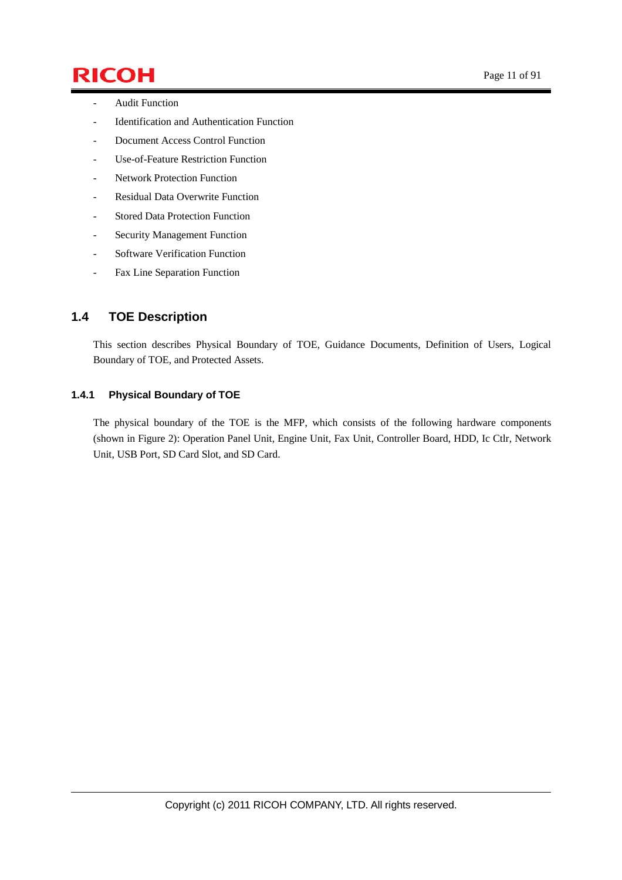# $\mathsf{RICOH}$  Page 11 of 91

- Audit Function
- Identification and Authentication Function
- Document Access Control Function
- Use-of-Feature Restriction Function
- Network Protection Function
- Residual Data Overwrite Function
- Stored Data Protection Function
- Security Management Function
- Software Verification Function
- Fax Line Separation Function

### **1.4 TOE Description**

This section describes Physical Boundary of TOE, Guidance Documents, Definition of Users, Logical Boundary of TOE, and Protected Assets.

#### **1.4.1 Physical Boundary of TOE**

The physical boundary of the TOE is the MFP, which consists of the following hardware components (shown in Figure 2): Operation Panel Unit, Engine Unit, Fax Unit, Controller Board, HDD, Ic Ctlr, Network Unit, USB Port, SD Card Slot, and SD Card.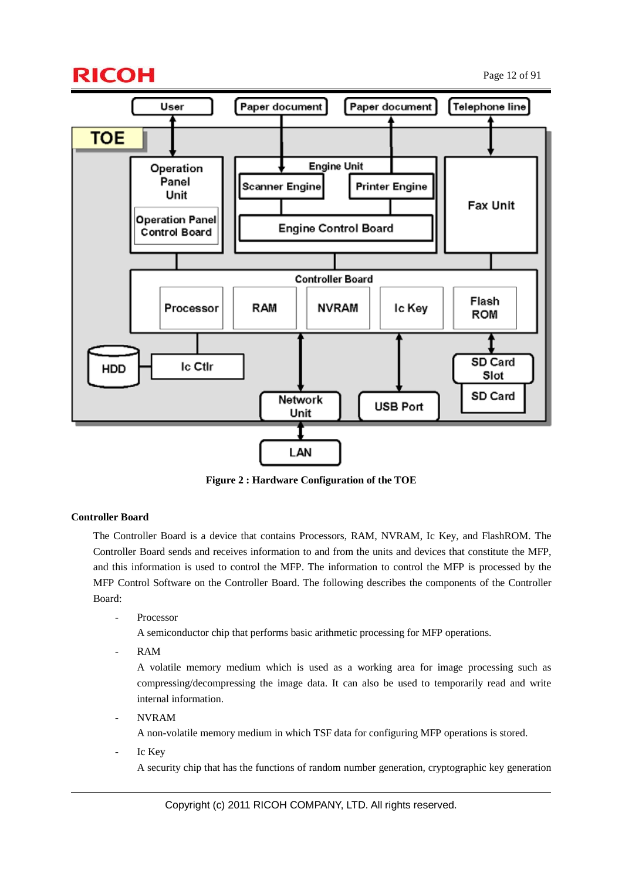## $\mathsf{RICOH}$  Page 12 of 91



**Figure 2 : Hardware Configuration of the TOE** 

#### **Controller Board**

The Controller Board is a device that contains Processors, RAM, NVRAM, Ic Key, and FlashROM. The Controller Board sends and receives information to and from the units and devices that constitute the MFP, and this information is used to control the MFP. The information to control the MFP is processed by the MFP Control Software on the Controller Board. The following describes the components of the Controller Board:

**Processor** 

A semiconductor chip that performs basic arithmetic processing for MFP operations.

- RAM

A volatile memory medium which is used as a working area for image processing such as compressing/decompressing the image data. It can also be used to temporarily read and write internal information.

- NVRAM

A non-volatile memory medium in which TSF data for configuring MFP operations is stored.

Ic Key

A security chip that has the functions of random number generation, cryptographic key generation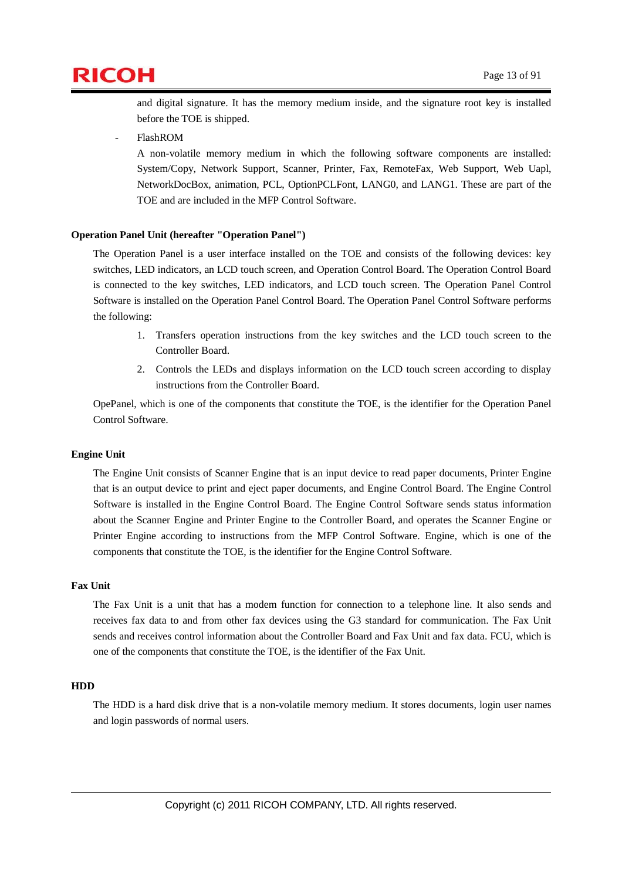

and digital signature. It has the memory medium inside, and the signature root key is installed before the TOE is shipped.

- FlashROM

A non-volatile memory medium in which the following software components are installed: System/Copy, Network Support, Scanner, Printer, Fax, RemoteFax, Web Support, Web Uapl, NetworkDocBox, animation, PCL, OptionPCLFont, LANG0, and LANG1. These are part of the TOE and are included in the MFP Control Software.

#### **Operation Panel Unit (hereafter "Operation Panel")**

The Operation Panel is a user interface installed on the TOE and consists of the following devices: key switches, LED indicators, an LCD touch screen, and Operation Control Board. The Operation Control Board is connected to the key switches, LED indicators, and LCD touch screen. The Operation Panel Control Software is installed on the Operation Panel Control Board. The Operation Panel Control Software performs the following:

- 1. Transfers operation instructions from the key switches and the LCD touch screen to the Controller Board.
- 2. Controls the LEDs and displays information on the LCD touch screen according to display instructions from the Controller Board.

OpePanel, which is one of the components that constitute the TOE, is the identifier for the Operation Panel Control Software.

#### **Engine Unit**

The Engine Unit consists of Scanner Engine that is an input device to read paper documents, Printer Engine that is an output device to print and eject paper documents, and Engine Control Board. The Engine Control Software is installed in the Engine Control Board. The Engine Control Software sends status information about the Scanner Engine and Printer Engine to the Controller Board, and operates the Scanner Engine or Printer Engine according to instructions from the MFP Control Software. Engine, which is one of the components that constitute the TOE, is the identifier for the Engine Control Software.

#### **Fax Unit**

The Fax Unit is a unit that has a modem function for connection to a telephone line. It also sends and receives fax data to and from other fax devices using the G3 standard for communication. The Fax Unit sends and receives control information about the Controller Board and Fax Unit and fax data. FCU, which is one of the components that constitute the TOE, is the identifier of the Fax Unit.

#### **HDD**

The HDD is a hard disk drive that is a non-volatile memory medium. It stores documents, login user names and login passwords of normal users.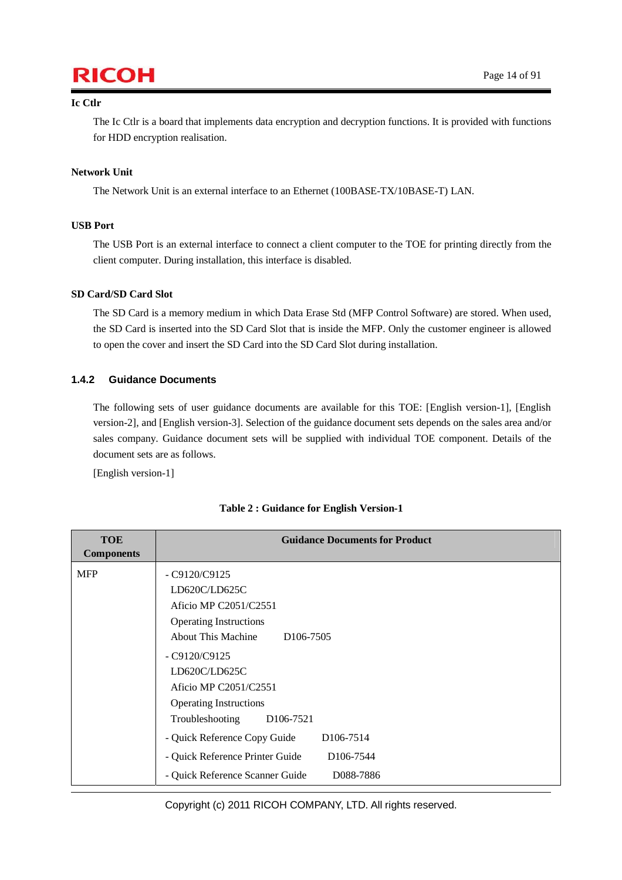# $\mathsf{RICOH}$  Page 14 of 91

#### **Ic Ctlr**

The Ic Ctlr is a board that implements data encryption and decryption functions. It is provided with functions for HDD encryption realisation.

#### **Network Unit**

The Network Unit is an external interface to an Ethernet (100BASE-TX/10BASE-T) LAN.

#### **USB Port**

The USB Port is an external interface to connect a client computer to the TOE for printing directly from the client computer. During installation, this interface is disabled.

#### **SD Card/SD Card Slot**

The SD Card is a memory medium in which Data Erase Std (MFP Control Software) are stored. When used, the SD Card is inserted into the SD Card Slot that is inside the MFP. Only the customer engineer is allowed to open the cover and insert the SD Card into the SD Card Slot during installation.

#### **1.4.2 Guidance Documents**

The following sets of user guidance documents are available for this TOE: [English version-1], [English version-2], and [English version-3]. Selection of the guidance document sets depends on the sales area and/or sales company. Guidance document sets will be supplied with individual TOE component. Details of the document sets are as follows.

[English version-1]

| <b>TOE</b><br><b>Components</b> | <b>Guidance Documents for Product</b>                                                                                                                                                                                                                                                                                                                                                                                                                                         |
|---------------------------------|-------------------------------------------------------------------------------------------------------------------------------------------------------------------------------------------------------------------------------------------------------------------------------------------------------------------------------------------------------------------------------------------------------------------------------------------------------------------------------|
| <b>MFP</b>                      | $-C9120/C9125$<br>LD620C/LD625C<br>Aficio MP C2051/C2551<br><b>Operating Instructions</b><br><b>About This Machine</b><br>D <sub>106</sub> -7505<br>$-C9120/C9125$<br>LD620C/LD625C<br>Aficio MP C2051/C2551<br><b>Operating Instructions</b><br>Troubleshooting<br>D <sub>106</sub> -7521<br>- Quick Reference Copy Guide<br>D <sub>106</sub> -75 <sub>14</sub><br>- Quick Reference Printer Guide<br>D <sub>106</sub> -7544<br>- Quick Reference Scanner Guide<br>D088-7886 |
|                                 |                                                                                                                                                                                                                                                                                                                                                                                                                                                                               |

#### **Table 2 : Guidance for English Version-1**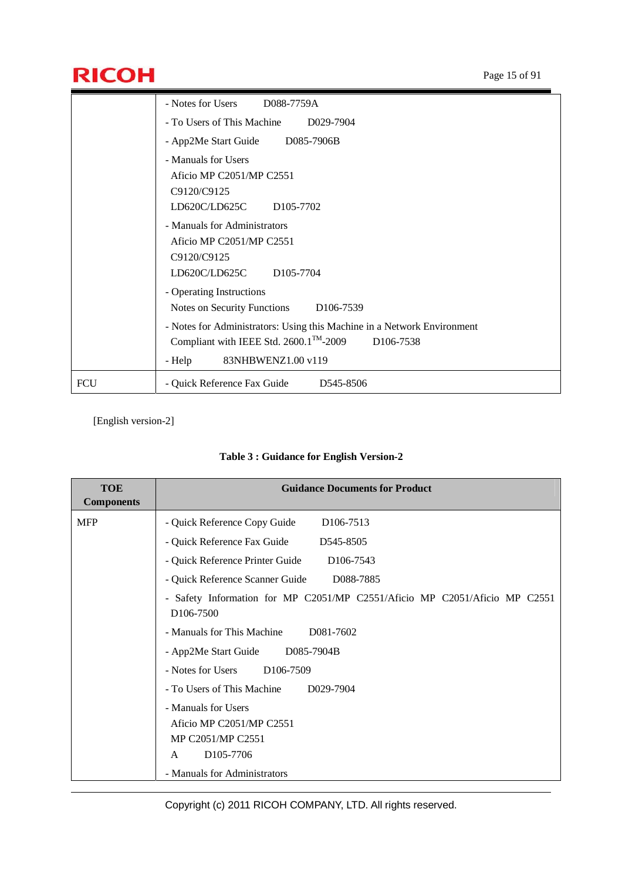# **RICOH** Page 15 of 91

|            | - Notes for Users<br>D088-7759A                                                                                                                                                                                                                                             |
|------------|-----------------------------------------------------------------------------------------------------------------------------------------------------------------------------------------------------------------------------------------------------------------------------|
|            | - To Users of This Machine<br>D029-7904                                                                                                                                                                                                                                     |
|            | - App2Me Start Guide D085-7906B                                                                                                                                                                                                                                             |
|            | - Manuals for Users<br>Aficio MP C2051/MP C2551<br>C9120/C9125<br>LD620C/LD625C<br>D <sub>105</sub> -7702                                                                                                                                                                   |
|            | - Manuals for Administrators<br>Aficio MP C2051/MP C2551<br>C9120/C9125<br>LD620C/LD625C<br>D <sub>105</sub> -7704                                                                                                                                                          |
|            | - Operating Instructions<br>Notes on Security Functions<br>D <sub>106</sub> -7539<br>- Notes for Administrators: Using this Machine in a Network Environment<br>Compliant with IEEE Std. 2600.1 <sup>™-2009</sup><br>D <sub>106</sub> -7538<br>83NHBWENZ1.00 v119<br>- Help |
| <b>FCU</b> | - Quick Reference Fax Guide<br>D545-8506                                                                                                                                                                                                                                    |

### [English version-2]

|  |  |  |  |  | Table 3 : Guidance for English Version-2 |
|--|--|--|--|--|------------------------------------------|
|--|--|--|--|--|------------------------------------------|

| <b>TOE</b><br><b>Components</b> | <b>Guidance Documents for Product</b>                                                                |
|---------------------------------|------------------------------------------------------------------------------------------------------|
| <b>MFP</b>                      | - Quick Reference Copy Guide<br>D <sub>106</sub> -7513                                               |
|                                 | - Quick Reference Fax Guide<br>D545-8505                                                             |
|                                 | - Quick Reference Printer Guide<br>D <sub>106</sub> -7543                                            |
|                                 | - Quick Reference Scanner Guide<br>D088-7885                                                         |
|                                 | - Safety Information for MP C2051/MP C2551/Aficio MP C2051/Aficio MP C2551<br>D <sub>106</sub> -7500 |
|                                 | - Manuals for This Machine<br>D081-7602                                                              |
|                                 | - App2Me Start Guide D085-7904B                                                                      |
|                                 | - Notes for Users<br>D <sub>106</sub> -7509                                                          |
|                                 | - To Users of This Machine<br>D029-7904                                                              |
|                                 | - Manuals for Users<br>Aficio MP C2051/MP C2551<br>MP C2051/MP C2551                                 |
|                                 | D105-7706<br>A                                                                                       |
|                                 | - Manuals for Administrators                                                                         |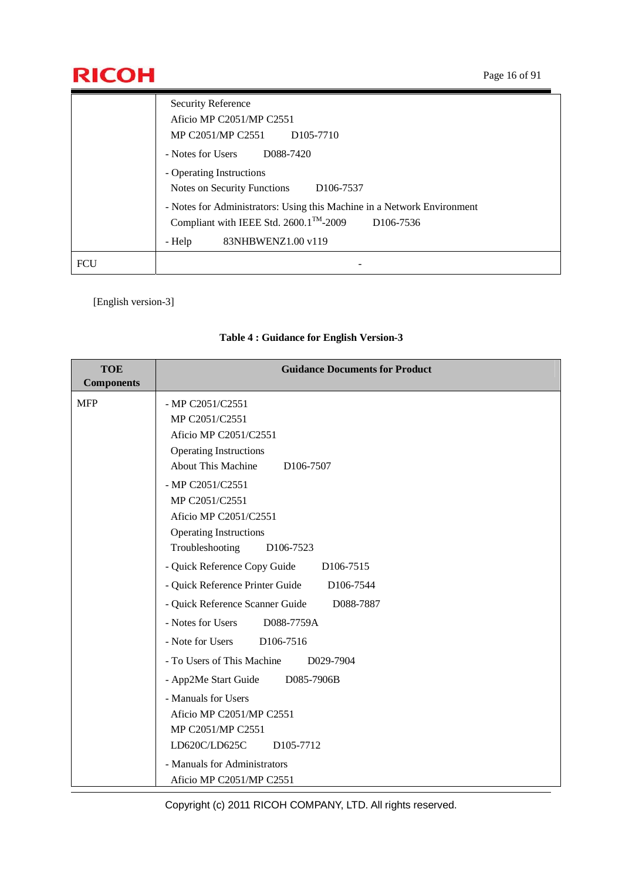# **RICOH** Page 16 of 91

|            | <b>Security Reference</b>                                                     |
|------------|-------------------------------------------------------------------------------|
|            | Aficio MP C2051/MP C2551                                                      |
|            | MP C2051/MP C2551<br>D <sub>105</sub> -7710                                   |
|            | - Notes for Users<br>D088-7420                                                |
|            | - Operating Instructions                                                      |
|            | Notes on Security Functions<br>D <sub>106</sub> -7537                         |
|            | - Notes for Administrators: Using this Machine in a Network Environment       |
|            | Compliant with IEEE Std. 2600.1 <sup>TM</sup> -2009<br>D <sub>106</sub> -7536 |
|            | 83NHBWENZ1.00 v119<br>- Help                                                  |
| <b>FCU</b> |                                                                               |

[English version-3]

| <b>TOE</b>                      | <b>Guidance Documents for Product</b>                                                                                                                                                                                                                                                                                                                                                                                                                                                                                                                                                                                     |
|---------------------------------|---------------------------------------------------------------------------------------------------------------------------------------------------------------------------------------------------------------------------------------------------------------------------------------------------------------------------------------------------------------------------------------------------------------------------------------------------------------------------------------------------------------------------------------------------------------------------------------------------------------------------|
| <b>Components</b><br><b>MFP</b> | - MP C2051/C2551<br>MP C2051/C2551<br>Aficio MP C2051/C2551<br><b>Operating Instructions</b><br><b>About This Machine</b><br>D <sub>106</sub> -7507<br>- MP C2051/C2551<br>MP C2051/C2551<br>Aficio MP C2051/C2551<br><b>Operating Instructions</b><br>Troubleshooting<br>D <sub>106</sub> -7523<br>- Quick Reference Copy Guide<br>D106-7515<br>- Quick Reference Printer Guide<br>D106-7544<br>- Quick Reference Scanner Guide<br>D088-7887<br>- Notes for Users<br>D088-7759A<br>- Note for Users<br>D106-7516<br>- To Users of This Machine<br>D029-7904<br>- App2Me Start Guide<br>D085-7906B<br>- Manuals for Users |
|                                 | Aficio MP C2051/MP C2551<br>MP C2051/MP C2551<br>LD620C/LD625C<br>D105-7712<br>- Manuals for Administrators                                                                                                                                                                                                                                                                                                                                                                                                                                                                                                               |
|                                 | Aficio MP C2051/MP C2551                                                                                                                                                                                                                                                                                                                                                                                                                                                                                                                                                                                                  |

### **Table 4 : Guidance for English Version-3**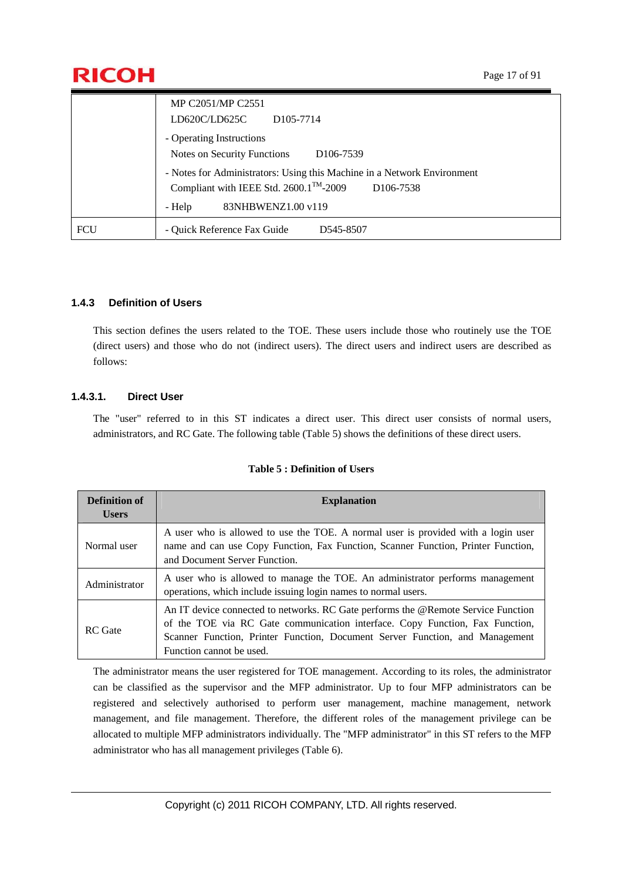

|            | MP C2051/MP C2551<br>LD620C/LD625C<br>D <sub>105</sub> -7714                                                                                                                           |
|------------|----------------------------------------------------------------------------------------------------------------------------------------------------------------------------------------|
|            | - Operating Instructions<br>Notes on Security Functions<br>D <sub>106</sub> -7539                                                                                                      |
|            | - Notes for Administrators: Using this Machine in a Network Environment<br>Compliant with IEEE Std. 2600.1 <sup>™-2009</sup><br>D <sub>106</sub> -7538<br>83NHBWENZ1.00 v119<br>- Help |
| <b>FCU</b> | - Quick Reference Fax Guide<br>D545-8507                                                                                                                                               |

#### **1.4.3 Definition of Users**

This section defines the users related to the TOE. These users include those who routinely use the TOE (direct users) and those who do not (indirect users). The direct users and indirect users are described as follows:

#### **1.4.3.1. Direct User**

The "user" referred to in this ST indicates a direct user. This direct user consists of normal users, administrators, and RC Gate. The following table (Table 5) shows the definitions of these direct users.

| <b>Definition of</b><br><b>Users</b> | <b>Explanation</b>                                                                                                                                                                                                                                                            |
|--------------------------------------|-------------------------------------------------------------------------------------------------------------------------------------------------------------------------------------------------------------------------------------------------------------------------------|
| Normal user                          | A user who is allowed to use the TOE. A normal user is provided with a login user<br>name and can use Copy Function, Fax Function, Scanner Function, Printer Function,<br>and Document Server Function.                                                                       |
| Administrator                        | A user who is allowed to manage the TOE. An administrator performs management<br>operations, which include issuing login names to normal users.                                                                                                                               |
| <b>RC</b> Gate                       | An IT device connected to networks. RC Gate performs the @Remote Service Function<br>of the TOE via RC Gate communication interface. Copy Function, Fax Function,<br>Scanner Function, Printer Function, Document Server Function, and Management<br>Function cannot be used. |

#### **Table 5 : Definition of Users**

The administrator means the user registered for TOE management. According to its roles, the administrator can be classified as the supervisor and the MFP administrator. Up to four MFP administrators can be registered and selectively authorised to perform user management, machine management, network management, and file management. Therefore, the different roles of the management privilege can be allocated to multiple MFP administrators individually. The "MFP administrator" in this ST refers to the MFP administrator who has all management privileges (Table 6).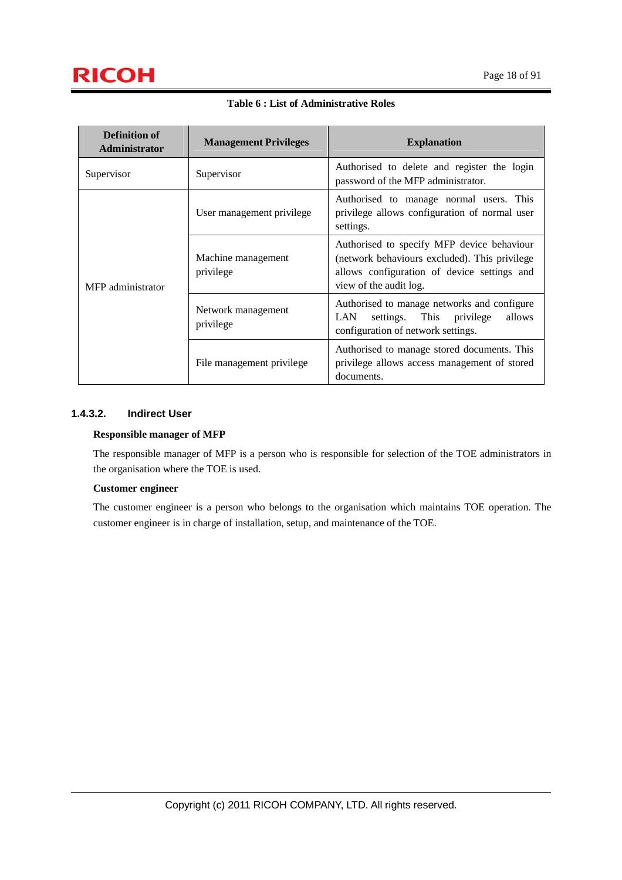# $\mathsf{RICOH}$  Page 18 of 91

| <b>Definition of</b><br>Administrator | <b>Management Privileges</b>    | <b>Explanation</b>                                                                                                                                                   |  |
|---------------------------------------|---------------------------------|----------------------------------------------------------------------------------------------------------------------------------------------------------------------|--|
| Supervisor                            | Supervisor                      | Authorised to delete and register the login<br>password of the MFP administrator.                                                                                    |  |
|                                       | User management privilege       | Authorised to manage normal users. This<br>privilege allows configuration of normal user<br>settings.                                                                |  |
| MFP administrator                     | Machine management<br>privilege | Authorised to specify MFP device behaviour<br>(network behaviours excluded). This privilege<br>allows configuration of device settings and<br>view of the audit log. |  |
|                                       | Network management<br>privilege | Authorised to manage networks and configure<br>settings. This privilege<br>allows<br><b>LAN</b><br>configuration of network settings.                                |  |
|                                       | File management privilege       | Authorised to manage stored documents. This<br>privilege allows access management of stored<br>documents.                                                            |  |

**Table 6 : List of Administrative Roles** 

#### **1.4.3.2. Indirect User**

#### **Responsible manager of MFP**

The responsible manager of MFP is a person who is responsible for selection of the TOE administrators in the organisation where the TOE is used.

#### **Customer engineer**

The customer engineer is a person who belongs to the organisation which maintains TOE operation. The customer engineer is in charge of installation, setup, and maintenance of the TOE.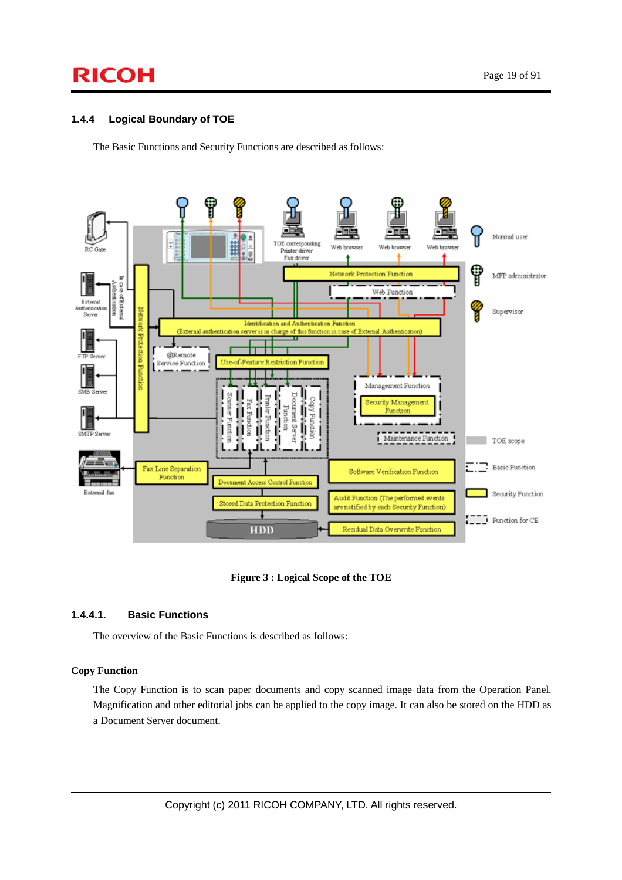# $\mathsf{RICOH}$  Page 19 of 91

#### **1.4.4 Logical Boundary of TOE**

The Basic Functions and Security Functions are described as follows:



**Figure 3 : Logical Scope of the TOE** 

#### **1.4.4.1. Basic Functions**

The overview of the Basic Functions is described as follows:

#### **Copy Function**

The Copy Function is to scan paper documents and copy scanned image data from the Operation Panel. Magnification and other editorial jobs can be applied to the copy image. It can also be stored on the HDD as a Document Server document.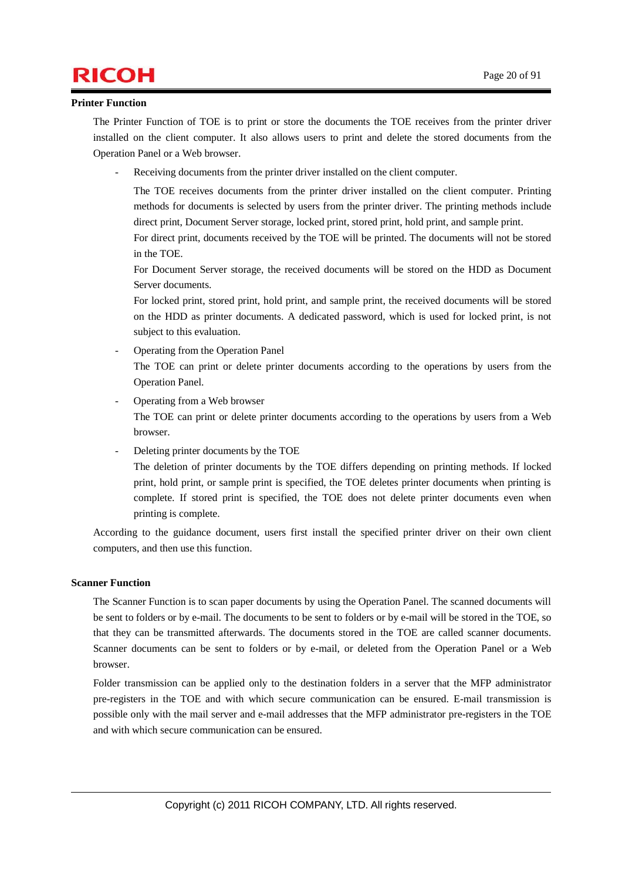### $\mathsf{RICOH}$  Page 20 of 91

#### **Printer Function**

The Printer Function of TOE is to print or store the documents the TOE receives from the printer driver installed on the client computer. It also allows users to print and delete the stored documents from the Operation Panel or a Web browser.

Receiving documents from the printer driver installed on the client computer.

The TOE receives documents from the printer driver installed on the client computer. Printing methods for documents is selected by users from the printer driver. The printing methods include direct print, Document Server storage, locked print, stored print, hold print, and sample print.

For direct print, documents received by the TOE will be printed. The documents will not be stored in the TOE.

For Document Server storage, the received documents will be stored on the HDD as Document Server documents.

For locked print, stored print, hold print, and sample print, the received documents will be stored on the HDD as printer documents. A dedicated password, which is used for locked print, is not subject to this evaluation.

- Operating from the Operation Panel The TOE can print or delete printer documents according to the operations by users from the Operation Panel.
- Operating from a Web browser The TOE can print or delete printer documents according to the operations by users from a Web browser.
- Deleting printer documents by the TOE

The deletion of printer documents by the TOE differs depending on printing methods. If locked print, hold print, or sample print is specified, the TOE deletes printer documents when printing is complete. If stored print is specified, the TOE does not delete printer documents even when printing is complete.

According to the guidance document, users first install the specified printer driver on their own client computers, and then use this function.

#### **Scanner Function**

The Scanner Function is to scan paper documents by using the Operation Panel. The scanned documents will be sent to folders or by e-mail. The documents to be sent to folders or by e-mail will be stored in the TOE, so that they can be transmitted afterwards. The documents stored in the TOE are called scanner documents. Scanner documents can be sent to folders or by e-mail, or deleted from the Operation Panel or a Web browser.

Folder transmission can be applied only to the destination folders in a server that the MFP administrator pre-registers in the TOE and with which secure communication can be ensured. E-mail transmission is possible only with the mail server and e-mail addresses that the MFP administrator pre-registers in the TOE and with which secure communication can be ensured.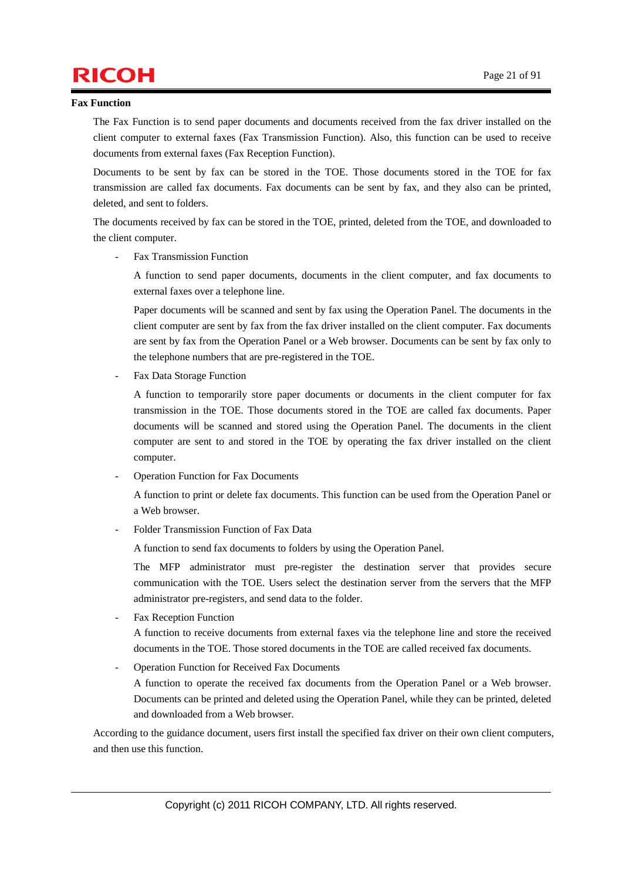# $\mathsf{RICOH}$   $_{\text{Page 21 of 91}}$

#### **Fax Function**

The Fax Function is to send paper documents and documents received from the fax driver installed on the client computer to external faxes (Fax Transmission Function). Also, this function can be used to receive documents from external faxes (Fax Reception Function).

Documents to be sent by fax can be stored in the TOE. Those documents stored in the TOE for fax transmission are called fax documents. Fax documents can be sent by fax, and they also can be printed, deleted, and sent to folders.

The documents received by fax can be stored in the TOE, printed, deleted from the TOE, and downloaded to the client computer.

Fax Transmission Function

A function to send paper documents, documents in the client computer, and fax documents to external faxes over a telephone line.

Paper documents will be scanned and sent by fax using the Operation Panel. The documents in the client computer are sent by fax from the fax driver installed on the client computer. Fax documents are sent by fax from the Operation Panel or a Web browser. Documents can be sent by fax only to the telephone numbers that are pre-registered in the TOE.

Fax Data Storage Function

A function to temporarily store paper documents or documents in the client computer for fax transmission in the TOE. Those documents stored in the TOE are called fax documents. Paper documents will be scanned and stored using the Operation Panel. The documents in the client computer are sent to and stored in the TOE by operating the fax driver installed on the client computer.

- Operation Function for Fax Documents

A function to print or delete fax documents. This function can be used from the Operation Panel or a Web browser.

- Folder Transmission Function of Fax Data

A function to send fax documents to folders by using the Operation Panel.

The MFP administrator must pre-register the destination server that provides secure communication with the TOE. Users select the destination server from the servers that the MFP administrator pre-registers, and send data to the folder.

Fax Reception Function

A function to receive documents from external faxes via the telephone line and store the received documents in the TOE. Those stored documents in the TOE are called received fax documents.

- Operation Function for Received Fax Documents

A function to operate the received fax documents from the Operation Panel or a Web browser. Documents can be printed and deleted using the Operation Panel, while they can be printed, deleted and downloaded from a Web browser.

According to the guidance document, users first install the specified fax driver on their own client computers, and then use this function.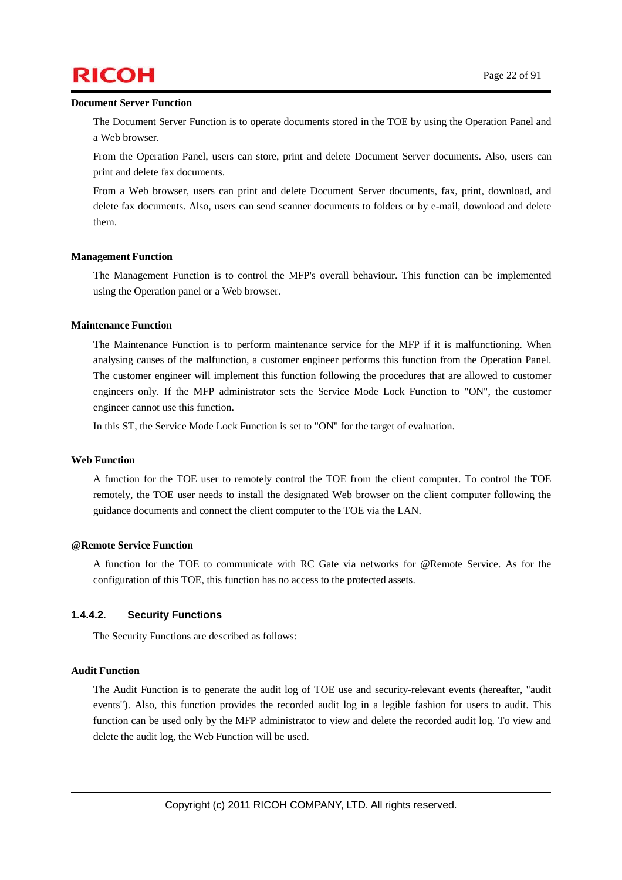## $\mathsf{RICOH}$  Page 22 of 91

#### **Document Server Function**

The Document Server Function is to operate documents stored in the TOE by using the Operation Panel and a Web browser.

From the Operation Panel, users can store, print and delete Document Server documents. Also, users can print and delete fax documents.

From a Web browser, users can print and delete Document Server documents, fax, print, download, and delete fax documents. Also, users can send scanner documents to folders or by e-mail, download and delete them.

#### **Management Function**

The Management Function is to control the MFP's overall behaviour. This function can be implemented using the Operation panel or a Web browser.

#### **Maintenance Function**

The Maintenance Function is to perform maintenance service for the MFP if it is malfunctioning. When analysing causes of the malfunction, a customer engineer performs this function from the Operation Panel. The customer engineer will implement this function following the procedures that are allowed to customer engineers only. If the MFP administrator sets the Service Mode Lock Function to "ON", the customer engineer cannot use this function.

In this ST, the Service Mode Lock Function is set to "ON" for the target of evaluation.

#### **Web Function**

A function for the TOE user to remotely control the TOE from the client computer. To control the TOE remotely, the TOE user needs to install the designated Web browser on the client computer following the guidance documents and connect the client computer to the TOE via the LAN.

#### **@Remote Service Function**

A function for the TOE to communicate with RC Gate via networks for @Remote Service. As for the configuration of this TOE, this function has no access to the protected assets.

#### **1.4.4.2. Security Functions**

The Security Functions are described as follows:

#### **Audit Function**

The Audit Function is to generate the audit log of TOE use and security-relevant events (hereafter, "audit events"). Also, this function provides the recorded audit log in a legible fashion for users to audit. This function can be used only by the MFP administrator to view and delete the recorded audit log. To view and delete the audit log, the Web Function will be used.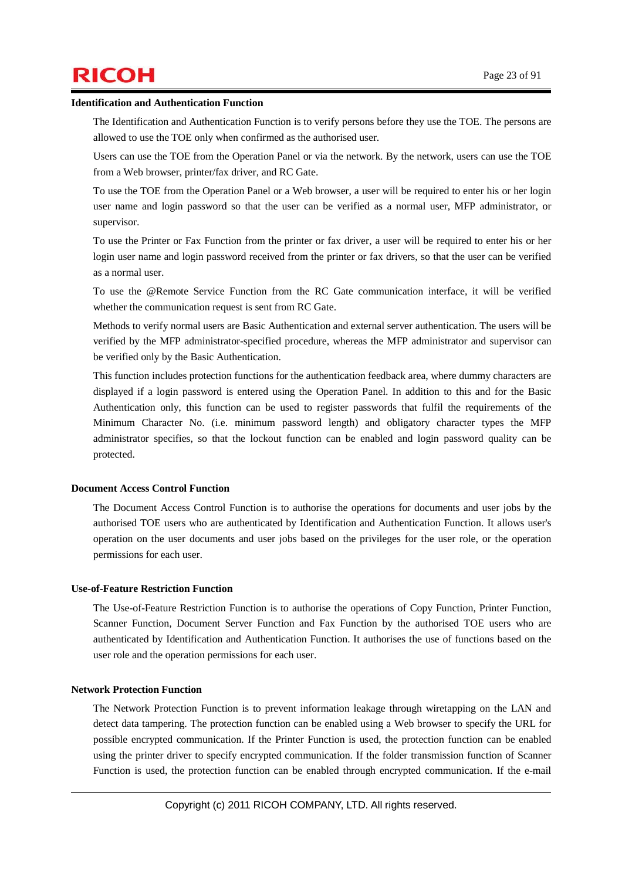# $\mathsf{RICOH}$  Page 23 of 91

#### **Identification and Authentication Function**

The Identification and Authentication Function is to verify persons before they use the TOE. The persons are allowed to use the TOE only when confirmed as the authorised user.

Users can use the TOE from the Operation Panel or via the network. By the network, users can use the TOE from a Web browser, printer/fax driver, and RC Gate.

To use the TOE from the Operation Panel or a Web browser, a user will be required to enter his or her login user name and login password so that the user can be verified as a normal user, MFP administrator, or supervisor.

To use the Printer or Fax Function from the printer or fax driver, a user will be required to enter his or her login user name and login password received from the printer or fax drivers, so that the user can be verified as a normal user.

To use the @Remote Service Function from the RC Gate communication interface, it will be verified whether the communication request is sent from RC Gate.

Methods to verify normal users are Basic Authentication and external server authentication. The users will be verified by the MFP administrator-specified procedure, whereas the MFP administrator and supervisor can be verified only by the Basic Authentication.

This function includes protection functions for the authentication feedback area, where dummy characters are displayed if a login password is entered using the Operation Panel. In addition to this and for the Basic Authentication only, this function can be used to register passwords that fulfil the requirements of the Minimum Character No. (i.e. minimum password length) and obligatory character types the MFP administrator specifies, so that the lockout function can be enabled and login password quality can be protected.

#### **Document Access Control Function**

The Document Access Control Function is to authorise the operations for documents and user jobs by the authorised TOE users who are authenticated by Identification and Authentication Function. It allows user's operation on the user documents and user jobs based on the privileges for the user role, or the operation permissions for each user.

#### **Use-of-Feature Restriction Function**

The Use-of-Feature Restriction Function is to authorise the operations of Copy Function, Printer Function, Scanner Function, Document Server Function and Fax Function by the authorised TOE users who are authenticated by Identification and Authentication Function. It authorises the use of functions based on the user role and the operation permissions for each user.

#### **Network Protection Function**

The Network Protection Function is to prevent information leakage through wiretapping on the LAN and detect data tampering. The protection function can be enabled using a Web browser to specify the URL for possible encrypted communication. If the Printer Function is used, the protection function can be enabled using the printer driver to specify encrypted communication. If the folder transmission function of Scanner Function is used, the protection function can be enabled through encrypted communication. If the e-mail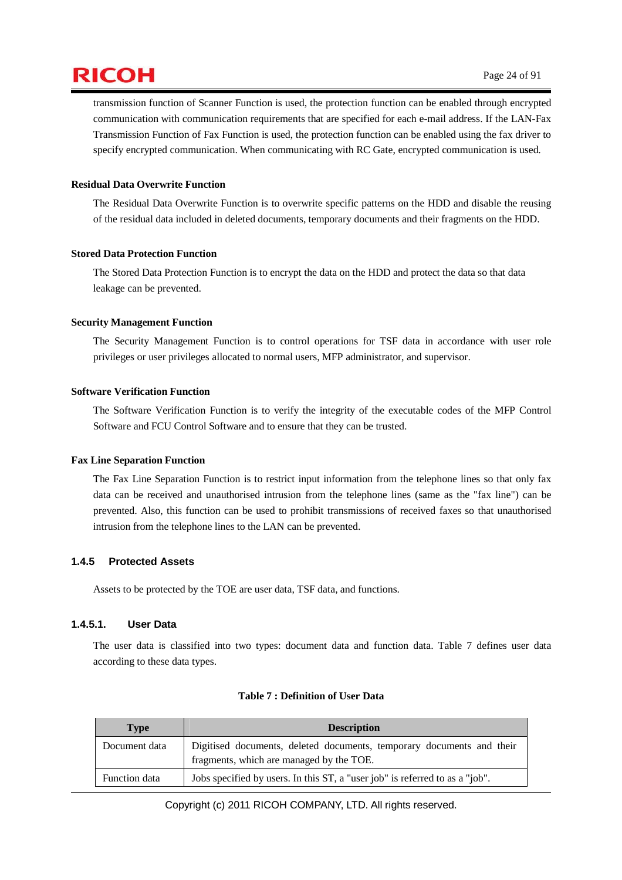transmission function of Scanner Function is used, the protection function can be enabled through encrypted communication with communication requirements that are specified for each e-mail address. If the LAN-Fax Transmission Function of Fax Function is used, the protection function can be enabled using the fax driver to specify encrypted communication. When communicating with RC Gate, encrypted communication is used.

#### **Residual Data Overwrite Function**

The Residual Data Overwrite Function is to overwrite specific patterns on the HDD and disable the reusing of the residual data included in deleted documents, temporary documents and their fragments on the HDD.

#### **Stored Data Protection Function**

The Stored Data Protection Function is to encrypt the data on the HDD and protect the data so that data leakage can be prevented.

#### **Security Management Function**

The Security Management Function is to control operations for TSF data in accordance with user role privileges or user privileges allocated to normal users, MFP administrator, and supervisor.

#### **Software Verification Function**

The Software Verification Function is to verify the integrity of the executable codes of the MFP Control Software and FCU Control Software and to ensure that they can be trusted.

#### **Fax Line Separation Function**

The Fax Line Separation Function is to restrict input information from the telephone lines so that only fax data can be received and unauthorised intrusion from the telephone lines (same as the "fax line") can be prevented. Also, this function can be used to prohibit transmissions of received faxes so that unauthorised intrusion from the telephone lines to the LAN can be prevented.

#### **1.4.5 Protected Assets**

Assets to be protected by the TOE are user data, TSF data, and functions.

#### **1.4.5.1. User Data**

The user data is classified into two types: document data and function data. Table 7 defines user data according to these data types.

| <b>Type</b>   | <b>Description</b>                                                                                                |
|---------------|-------------------------------------------------------------------------------------------------------------------|
| Document data | Digitised documents, deleted documents, temporary documents and their<br>fragments, which are managed by the TOE. |
| Function data | Jobs specified by users. In this ST, a "user job" is referred to as a "job".                                      |

#### **Table 7 : Definition of User Data**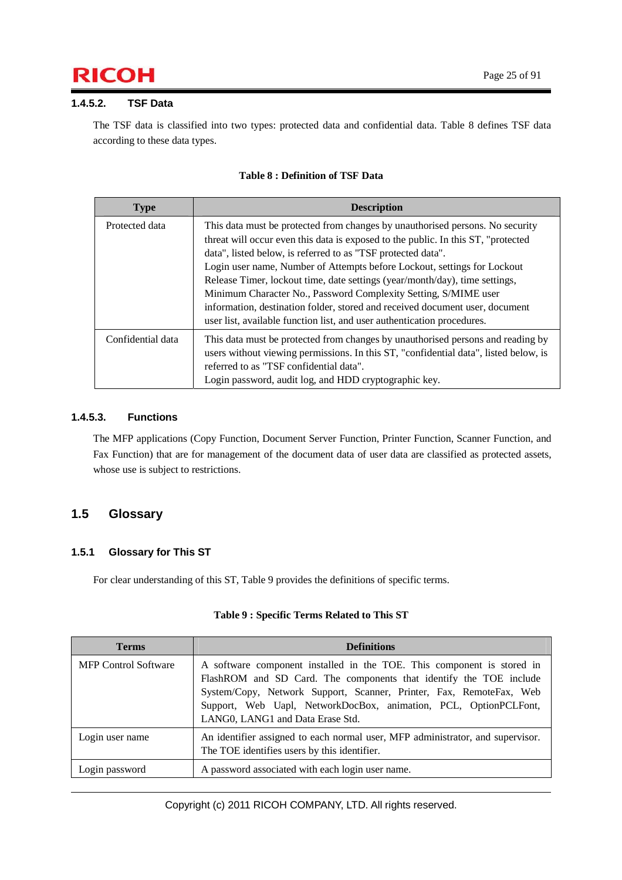# $\mathsf{RICOH}$  Page 25 of 91

#### **1.4.5.2. TSF Data**

The TSF data is classified into two types: protected data and confidential data. Table 8 defines TSF data according to these data types.

| <b>Type</b>       | <b>Description</b>                                                                                                                                                                                                                                                                                                                                                                                                                                                                                                                                                                                                          |
|-------------------|-----------------------------------------------------------------------------------------------------------------------------------------------------------------------------------------------------------------------------------------------------------------------------------------------------------------------------------------------------------------------------------------------------------------------------------------------------------------------------------------------------------------------------------------------------------------------------------------------------------------------------|
| Protected data    | This data must be protected from changes by unauthorised persons. No security<br>threat will occur even this data is exposed to the public. In this ST, "protected<br>data", listed below, is referred to as "TSF protected data".<br>Login user name, Number of Attempts before Lockout, settings for Lockout<br>Release Timer, lockout time, date settings (year/month/day), time settings,<br>Minimum Character No., Password Complexity Setting, S/MIME user<br>information, destination folder, stored and received document user, document<br>user list, available function list, and user authentication procedures. |
| Confidential data | This data must be protected from changes by unauthorised persons and reading by<br>users without viewing permissions. In this ST, "confidential data", listed below, is<br>referred to as "TSF confidential data".<br>Login password, audit log, and HDD cryptographic key.                                                                                                                                                                                                                                                                                                                                                 |

#### **Table 8 : Definition of TSF Data**

#### **1.4.5.3. Functions**

The MFP applications (Copy Function, Document Server Function, Printer Function, Scanner Function, and Fax Function) that are for management of the document data of user data are classified as protected assets, whose use is subject to restrictions.

### **1.5 Glossary**

#### **1.5.1 Glossary for This ST**

For clear understanding of this ST, Table 9 provides the definitions of specific terms.

| <b>Terms</b>                | <b>Definitions</b>                                                                                                                                                                                                                                                                                                          |
|-----------------------------|-----------------------------------------------------------------------------------------------------------------------------------------------------------------------------------------------------------------------------------------------------------------------------------------------------------------------------|
| <b>MFP Control Software</b> | A software component installed in the TOE. This component is stored in<br>FlashROM and SD Card. The components that identify the TOE include<br>System/Copy, Network Support, Scanner, Printer, Fax, RemoteFax, Web<br>Support, Web Uapl, NetworkDocBox, animation, PCL, OptionPCLFont,<br>LANG0, LANG1 and Data Erase Std. |
| Login user name             | An identifier assigned to each normal user, MFP administrator, and supervisor.<br>The TOE identifies users by this identifier.                                                                                                                                                                                              |
| Login password              | A password associated with each login user name.                                                                                                                                                                                                                                                                            |

#### **Table 9 : Specific Terms Related to This ST**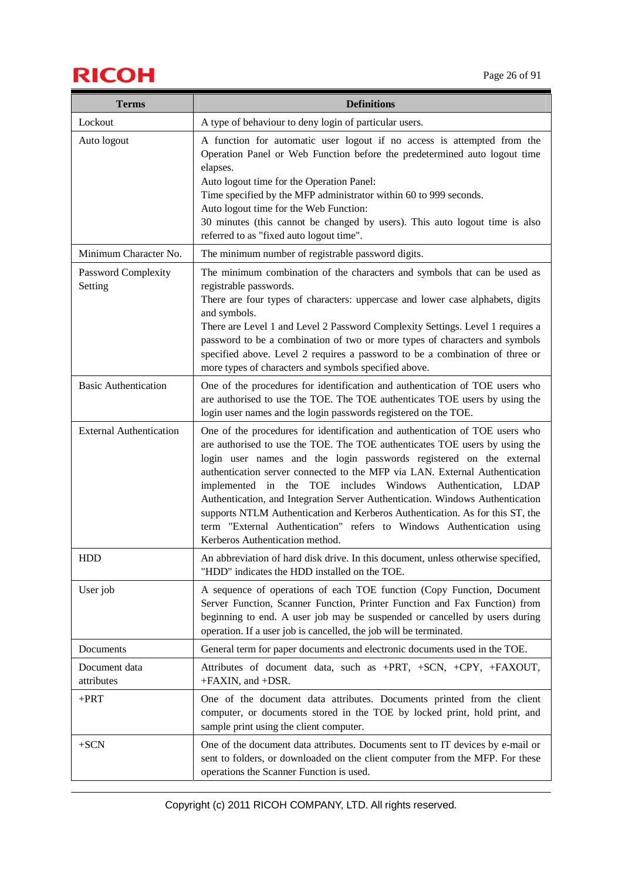# $\mathsf{RICOH}$  Page 26 of 91

| <b>Terms</b>                   | <b>Definitions</b>                                                                                                                                                                                                                                                                                                                                                                                                                                                                                                                                                                                                                                              |
|--------------------------------|-----------------------------------------------------------------------------------------------------------------------------------------------------------------------------------------------------------------------------------------------------------------------------------------------------------------------------------------------------------------------------------------------------------------------------------------------------------------------------------------------------------------------------------------------------------------------------------------------------------------------------------------------------------------|
| Lockout                        | A type of behaviour to deny login of particular users.                                                                                                                                                                                                                                                                                                                                                                                                                                                                                                                                                                                                          |
| Auto logout                    | A function for automatic user logout if no access is attempted from the<br>Operation Panel or Web Function before the predetermined auto logout time<br>elapses.<br>Auto logout time for the Operation Panel:<br>Time specified by the MFP administrator within 60 to 999 seconds.<br>Auto logout time for the Web Function:<br>30 minutes (this cannot be changed by users). This auto logout time is also<br>referred to as "fixed auto logout time".                                                                                                                                                                                                         |
| Minimum Character No.          | The minimum number of registrable password digits.                                                                                                                                                                                                                                                                                                                                                                                                                                                                                                                                                                                                              |
| Password Complexity<br>Setting | The minimum combination of the characters and symbols that can be used as<br>registrable passwords.<br>There are four types of characters: uppercase and lower case alphabets, digits<br>and symbols.<br>There are Level 1 and Level 2 Password Complexity Settings. Level 1 requires a<br>password to be a combination of two or more types of characters and symbols<br>specified above. Level 2 requires a password to be a combination of three or<br>more types of characters and symbols specified above.                                                                                                                                                 |
| <b>Basic Authentication</b>    | One of the procedures for identification and authentication of TOE users who<br>are authorised to use the TOE. The TOE authenticates TOE users by using the<br>login user names and the login passwords registered on the TOE.                                                                                                                                                                                                                                                                                                                                                                                                                                  |
| <b>External Authentication</b> | One of the procedures for identification and authentication of TOE users who<br>are authorised to use the TOE. The TOE authenticates TOE users by using the<br>login user names and the login passwords registered on the external<br>authentication server connected to the MFP via LAN. External Authentication<br>implemented in the TOE includes Windows Authentication, LDAP<br>Authentication, and Integration Server Authentication. Windows Authentication<br>supports NTLM Authentication and Kerberos Authentication. As for this ST, the<br>term "External Authentication" refers to Windows Authentication using<br>Kerberos Authentication method. |
| <b>HDD</b>                     | An abbreviation of hard disk drive. In this document, unless otherwise specified,<br>"HDD" indicates the HDD installed on the TOE.                                                                                                                                                                                                                                                                                                                                                                                                                                                                                                                              |
| User job                       | A sequence of operations of each TOE function (Copy Function, Document<br>Server Function, Scanner Function, Printer Function and Fax Function) from<br>beginning to end. A user job may be suspended or cancelled by users during<br>operation. If a user job is cancelled, the job will be terminated.                                                                                                                                                                                                                                                                                                                                                        |
| Documents                      | General term for paper documents and electronic documents used in the TOE.                                                                                                                                                                                                                                                                                                                                                                                                                                                                                                                                                                                      |
| Document data<br>attributes    | Attributes of document data, such as +PRT, +SCN, +CPY, +FAXOUT,<br>+FAXIN, and +DSR.                                                                                                                                                                                                                                                                                                                                                                                                                                                                                                                                                                            |
| $+$ PRT                        | One of the document data attributes. Documents printed from the client<br>computer, or documents stored in the TOE by locked print, hold print, and<br>sample print using the client computer.                                                                                                                                                                                                                                                                                                                                                                                                                                                                  |
| $+SCN$                         | One of the document data attributes. Documents sent to IT devices by e-mail or<br>sent to folders, or downloaded on the client computer from the MFP. For these<br>operations the Scanner Function is used.                                                                                                                                                                                                                                                                                                                                                                                                                                                     |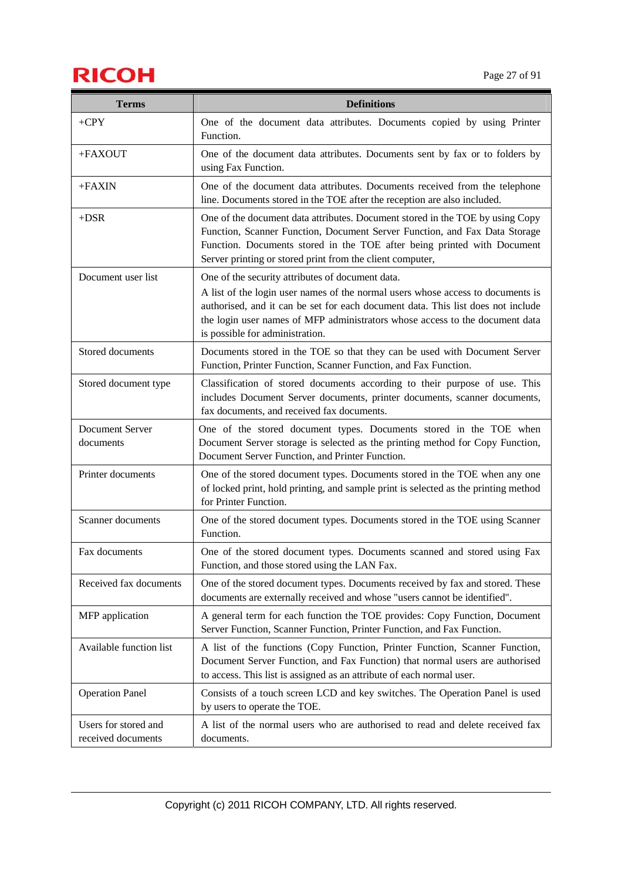# **RICOH** Page 27 of 91

| <b>Terms</b>                               | <b>Definitions</b>                                                                                                                                                                                                                                                                                  |
|--------------------------------------------|-----------------------------------------------------------------------------------------------------------------------------------------------------------------------------------------------------------------------------------------------------------------------------------------------------|
| $+CPY$                                     | One of the document data attributes. Documents copied by using Printer<br>Function.                                                                                                                                                                                                                 |
| +FAXOUT                                    | One of the document data attributes. Documents sent by fax or to folders by<br>using Fax Function.                                                                                                                                                                                                  |
| $+FAXIN$                                   | One of the document data attributes. Documents received from the telephone<br>line. Documents stored in the TOE after the reception are also included.                                                                                                                                              |
| $+DSR$                                     | One of the document data attributes. Document stored in the TOE by using Copy<br>Function, Scanner Function, Document Server Function, and Fax Data Storage<br>Function. Documents stored in the TOE after being printed with Document<br>Server printing or stored print from the client computer, |
| Document user list                         | One of the security attributes of document data.                                                                                                                                                                                                                                                    |
|                                            | A list of the login user names of the normal users whose access to documents is<br>authorised, and it can be set for each document data. This list does not include<br>the login user names of MFP administrators whose access to the document data<br>is possible for administration.              |
| Stored documents                           | Documents stored in the TOE so that they can be used with Document Server<br>Function, Printer Function, Scanner Function, and Fax Function.                                                                                                                                                        |
| Stored document type                       | Classification of stored documents according to their purpose of use. This<br>includes Document Server documents, printer documents, scanner documents,<br>fax documents, and received fax documents.                                                                                               |
| Document Server<br>documents               | One of the stored document types. Documents stored in the TOE when<br>Document Server storage is selected as the printing method for Copy Function,<br>Document Server Function, and Printer Function.                                                                                              |
| Printer documents                          | One of the stored document types. Documents stored in the TOE when any one<br>of locked print, hold printing, and sample print is selected as the printing method<br>for Printer Function.                                                                                                          |
| Scanner documents                          | One of the stored document types. Documents stored in the TOE using Scanner<br>Function.                                                                                                                                                                                                            |
| Fax documents                              | One of the stored document types. Documents scanned and stored using Fax<br>Function, and those stored using the LAN Fax.                                                                                                                                                                           |
| Received fax documents                     | One of the stored document types. Documents received by fax and stored. These<br>documents are externally received and whose "users cannot be identified".                                                                                                                                          |
| MFP application                            | A general term for each function the TOE provides: Copy Function, Document<br>Server Function, Scanner Function, Printer Function, and Fax Function.                                                                                                                                                |
| Available function list                    | A list of the functions (Copy Function, Printer Function, Scanner Function,<br>Document Server Function, and Fax Function) that normal users are authorised<br>to access. This list is assigned as an attribute of each normal user.                                                                |
| <b>Operation Panel</b>                     | Consists of a touch screen LCD and key switches. The Operation Panel is used<br>by users to operate the TOE.                                                                                                                                                                                        |
| Users for stored and<br>received documents | A list of the normal users who are authorised to read and delete received fax<br>documents.                                                                                                                                                                                                         |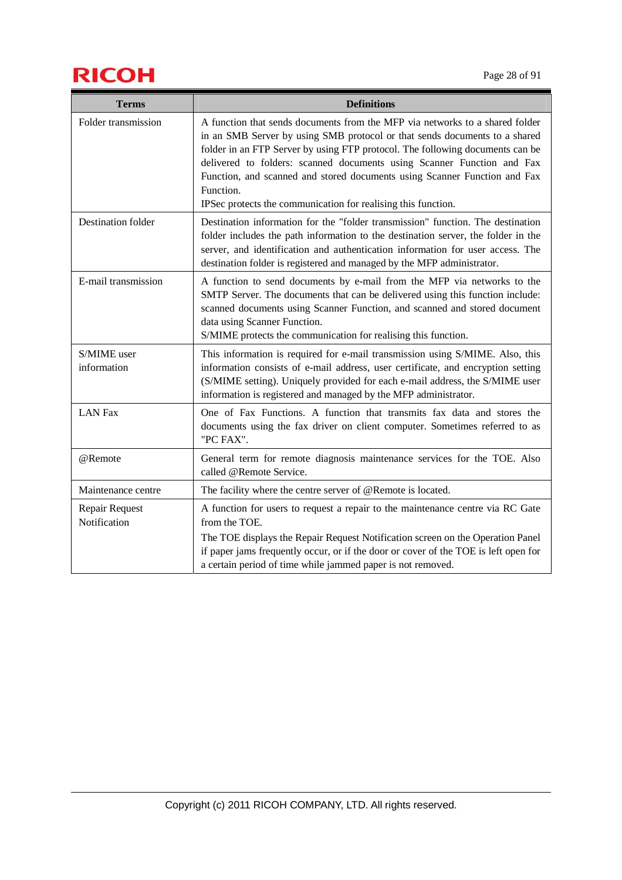# $\mathsf{RICOH}$  Page 28 of 91

| <b>Terms</b>                   | <b>Definitions</b>                                                                                                                                                                                                                                                                                                                                                                                                                                                               |
|--------------------------------|----------------------------------------------------------------------------------------------------------------------------------------------------------------------------------------------------------------------------------------------------------------------------------------------------------------------------------------------------------------------------------------------------------------------------------------------------------------------------------|
| Folder transmission            | A function that sends documents from the MFP via networks to a shared folder<br>in an SMB Server by using SMB protocol or that sends documents to a shared<br>folder in an FTP Server by using FTP protocol. The following documents can be<br>delivered to folders: scanned documents using Scanner Function and Fax<br>Function, and scanned and stored documents using Scanner Function and Fax<br>Function.<br>IPSec protects the communication for realising this function. |
| <b>Destination folder</b>      | Destination information for the "folder transmission" function. The destination<br>folder includes the path information to the destination server, the folder in the<br>server, and identification and authentication information for user access. The<br>destination folder is registered and managed by the MFP administrator.                                                                                                                                                 |
| E-mail transmission            | A function to send documents by e-mail from the MFP via networks to the<br>SMTP Server. The documents that can be delivered using this function include:<br>scanned documents using Scanner Function, and scanned and stored document<br>data using Scanner Function.<br>S/MIME protects the communication for realising this function.                                                                                                                                          |
| S/MIME user<br>information     | This information is required for e-mail transmission using S/MIME. Also, this<br>information consists of e-mail address, user certificate, and encryption setting<br>(S/MIME setting). Uniquely provided for each e-mail address, the S/MIME user<br>information is registered and managed by the MFP administrator.                                                                                                                                                             |
| <b>LAN Fax</b>                 | One of Fax Functions. A function that transmits fax data and stores the<br>documents using the fax driver on client computer. Sometimes referred to as<br>"PC FAX".                                                                                                                                                                                                                                                                                                              |
| @Remote                        | General term for remote diagnosis maintenance services for the TOE. Also<br>called @Remote Service.                                                                                                                                                                                                                                                                                                                                                                              |
| Maintenance centre             | The facility where the centre server of @Remote is located.                                                                                                                                                                                                                                                                                                                                                                                                                      |
| Repair Request<br>Notification | A function for users to request a repair to the maintenance centre via RC Gate<br>from the TOE.<br>The TOE displays the Repair Request Notification screen on the Operation Panel<br>if paper jams frequently occur, or if the door or cover of the TOE is left open for<br>a certain period of time while jammed paper is not removed.                                                                                                                                          |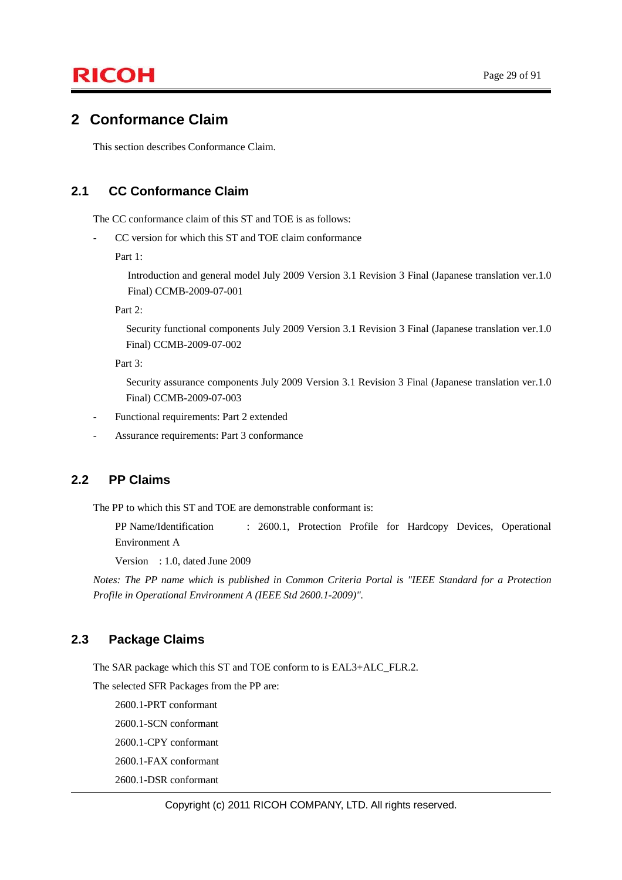### **2 Conformance Claim**

This section describes Conformance Claim.

### **2.1 CC Conformance Claim**

The CC conformance claim of this ST and TOE is as follows:

CC version for which this ST and TOE claim conformance

Part 1:

Introduction and general model July 2009 Version 3.1 Revision 3 Final (Japanese translation ver.1.0 Final) CCMB-2009-07-001

Part 2:

Security functional components July 2009 Version 3.1 Revision 3 Final (Japanese translation ver.1.0 Final) CCMB-2009-07-002

Part 3:

Security assurance components July 2009 Version 3.1 Revision 3 Final (Japanese translation ver.1.0 Final) CCMB-2009-07-003

- Functional requirements: Part 2 extended
- Assurance requirements: Part 3 conformance

### **2.2 PP Claims**

The PP to which this ST and TOE are demonstrable conformant is:

PP Name/Identification : 2600.1, Protection Profile for Hardcopy Devices, Operational Environment A

Version : 1.0, dated June 2009

*Notes: The PP name which is published in Common Criteria Portal is "IEEE Standard for a Protection Profile in Operational Environment A (IEEE Std 2600.1-2009)".* 

#### **2.3 Package Claims**

The SAR package which this ST and TOE conform to is EAL3+ALC\_FLR.2.

The selected SFR Packages from the PP are:

2600.1-PRT conformant

2600.1-SCN conformant

2600.1-CPY conformant

2600.1-FAX conformant

2600.1-DSR conformant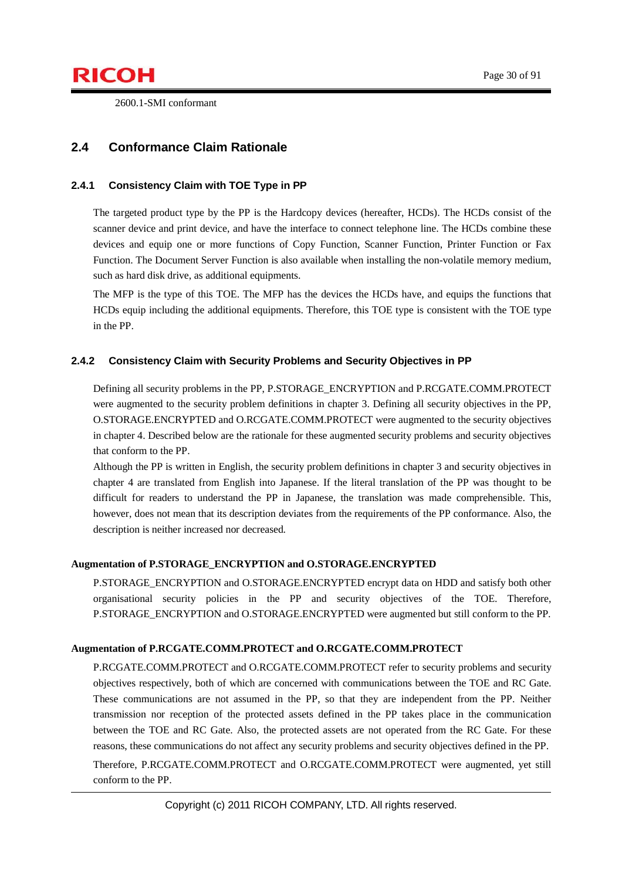2600.1-SMI conformant

### **2.4 Conformance Claim Rationale**

#### **2.4.1 Consistency Claim with TOE Type in PP**

The targeted product type by the PP is the Hardcopy devices (hereafter, HCDs). The HCDs consist of the scanner device and print device, and have the interface to connect telephone line. The HCDs combine these devices and equip one or more functions of Copy Function, Scanner Function, Printer Function or Fax Function. The Document Server Function is also available when installing the non-volatile memory medium, such as hard disk drive, as additional equipments.

The MFP is the type of this TOE. The MFP has the devices the HCDs have, and equips the functions that HCDs equip including the additional equipments. Therefore, this TOE type is consistent with the TOE type in the PP.

#### **2.4.2 Consistency Claim with Security Problems and Security Objectives in PP**

Defining all security problems in the PP, P.STORAGE\_ENCRYPTION and P.RCGATE.COMM.PROTECT were augmented to the security problem definitions in chapter 3. Defining all security objectives in the PP, O.STORAGE.ENCRYPTED and O.RCGATE.COMM.PROTECT were augmented to the security objectives in chapter 4. Described below are the rationale for these augmented security problems and security objectives that conform to the PP.

Although the PP is written in English, the security problem definitions in chapter 3 and security objectives in chapter 4 are translated from English into Japanese. If the literal translation of the PP was thought to be difficult for readers to understand the PP in Japanese, the translation was made comprehensible. This, however, does not mean that its description deviates from the requirements of the PP conformance. Also, the description is neither increased nor decreased.

#### **Augmentation of P.STORAGE\_ENCRYPTION and O.STORAGE.ENCRYPTED**

P.STORAGE\_ENCRYPTION and O.STORAGE.ENCRYPTED encrypt data on HDD and satisfy both other organisational security policies in the PP and security objectives of the TOE. Therefore, P.STORAGE\_ENCRYPTION and O.STORAGE.ENCRYPTED were augmented but still conform to the PP.

#### **Augmentation of P.RCGATE.COMM.PROTECT and O.RCGATE.COMM.PROTECT**

P.RCGATE.COMM.PROTECT and O.RCGATE.COMM.PROTECT refer to security problems and security objectives respectively, both of which are concerned with communications between the TOE and RC Gate. These communications are not assumed in the PP, so that they are independent from the PP. Neither transmission nor reception of the protected assets defined in the PP takes place in the communication between the TOE and RC Gate. Also, the protected assets are not operated from the RC Gate. For these reasons, these communications do not affect any security problems and security objectives defined in the PP. Therefore, P.RCGATE.COMM.PROTECT and O.RCGATE.COMM.PROTECT were augmented, yet still conform to the PP.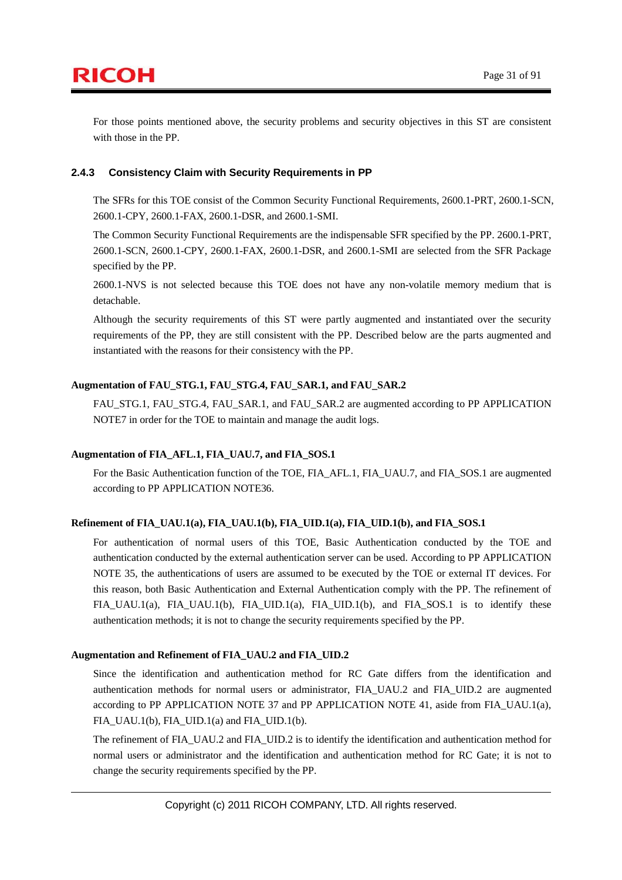For those points mentioned above, the security problems and security objectives in this ST are consistent with those in the PP.

#### **2.4.3 Consistency Claim with Security Requirements in PP**

The SFRs for this TOE consist of the Common Security Functional Requirements, 2600.1-PRT, 2600.1-SCN, 2600.1-CPY, 2600.1-FAX, 2600.1-DSR, and 2600.1-SMI.

The Common Security Functional Requirements are the indispensable SFR specified by the PP. 2600.1-PRT, 2600.1-SCN, 2600.1-CPY, 2600.1-FAX, 2600.1-DSR, and 2600.1-SMI are selected from the SFR Package specified by the PP.

2600.1-NVS is not selected because this TOE does not have any non-volatile memory medium that is detachable.

Although the security requirements of this ST were partly augmented and instantiated over the security requirements of the PP, they are still consistent with the PP. Described below are the parts augmented and instantiated with the reasons for their consistency with the PP.

#### **Augmentation of FAU\_STG.1, FAU\_STG.4, FAU\_SAR.1, and FAU\_SAR.2**

FAU\_STG.1, FAU\_STG.4, FAU\_SAR.1, and FAU\_SAR.2 are augmented according to PP APPLICATION NOTE7 in order for the TOE to maintain and manage the audit logs.

#### **Augmentation of FIA\_AFL.1, FIA\_UAU.7, and FIA\_SOS.1**

For the Basic Authentication function of the TOE, FIA\_AFL.1, FIA\_UAU.7, and FIA\_SOS.1 are augmented according to PP APPLICATION NOTE36.

#### **Refinement of FIA\_UAU.1(a), FIA\_UAU.1(b), FIA\_UID.1(a), FIA\_UID.1(b), and FIA\_SOS.1**

For authentication of normal users of this TOE, Basic Authentication conducted by the TOE and authentication conducted by the external authentication server can be used. According to PP APPLICATION NOTE 35, the authentications of users are assumed to be executed by the TOE or external IT devices. For this reason, both Basic Authentication and External Authentication comply with the PP. The refinement of FIA\_UAU.1(a), FIA\_UAU.1(b), FIA\_UID.1(a), FIA\_UID.1(b), and FIA\_SOS.1 is to identify these authentication methods; it is not to change the security requirements specified by the PP.

#### **Augmentation and Refinement of FIA\_UAU.2 and FIA\_UID.2**

Since the identification and authentication method for RC Gate differs from the identification and authentication methods for normal users or administrator, FIA\_UAU.2 and FIA\_UID.2 are augmented according to PP APPLICATION NOTE 37 and PP APPLICATION NOTE 41, aside from FIA\_UAU.1(a), FIA\_UAU.1(b), FIA\_UID.1(a) and FIA\_UID.1(b).

The refinement of FIA\_UAU.2 and FIA\_UID.2 is to identify the identification and authentication method for normal users or administrator and the identification and authentication method for RC Gate; it is not to change the security requirements specified by the PP.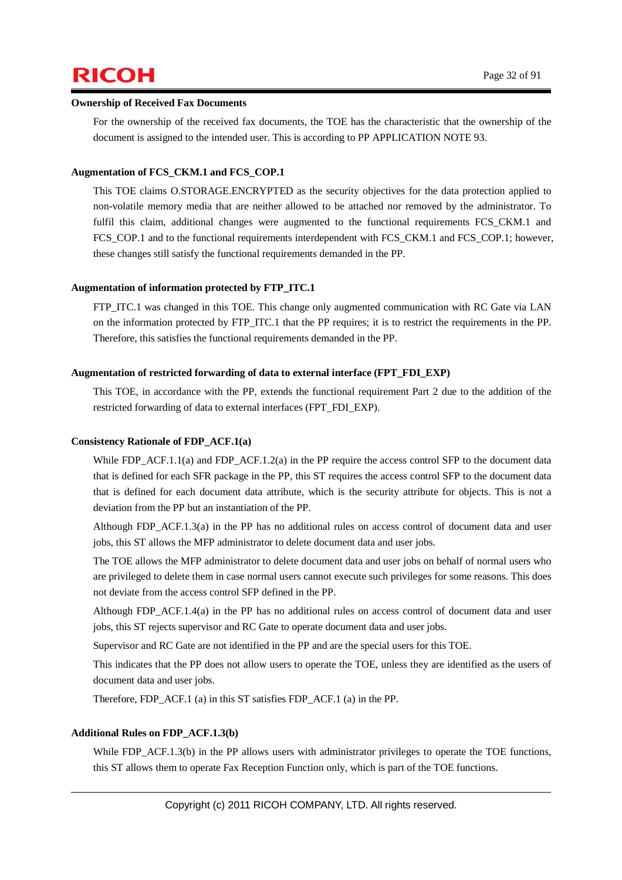#### **Ownership of Received Fax Documents**

For the ownership of the received fax documents, the TOE has the characteristic that the ownership of the document is assigned to the intended user. This is according to PP APPLICATION NOTE 93.

#### **Augmentation of FCS\_CKM.1 and FCS\_COP.1**

This TOE claims O.STORAGE.ENCRYPTED as the security objectives for the data protection applied to non-volatile memory media that are neither allowed to be attached nor removed by the administrator. To fulfil this claim, additional changes were augmented to the functional requirements FCS\_CKM.1 and FCS COP.1 and to the functional requirements interdependent with FCS CKM.1 and FCS COP.1; however, these changes still satisfy the functional requirements demanded in the PP.

#### **Augmentation of information protected by FTP\_ITC.1**

FTP\_ITC.1 was changed in this TOE. This change only augmented communication with RC Gate via LAN on the information protected by FTP\_ITC.1 that the PP requires; it is to restrict the requirements in the PP. Therefore, this satisfies the functional requirements demanded in the PP.

#### **Augmentation of restricted forwarding of data to external interface (FPT\_FDI\_EXP)**

This TOE, in accordance with the PP, extends the functional requirement Part 2 due to the addition of the restricted forwarding of data to external interfaces (FPT\_FDI\_EXP).

#### **Consistency Rationale of FDP\_ACF.1(a)**

While FDP\_ACF.1.1(a) and FDP\_ACF.1.2(a) in the PP require the access control SFP to the document data that is defined for each SFR package in the PP, this ST requires the access control SFP to the document data that is defined for each document data attribute, which is the security attribute for objects. This is not a deviation from the PP but an instantiation of the PP.

Although FDP\_ACF.1.3(a) in the PP has no additional rules on access control of document data and user jobs, this ST allows the MFP administrator to delete document data and user jobs.

The TOE allows the MFP administrator to delete document data and user jobs on behalf of normal users who are privileged to delete them in case normal users cannot execute such privileges for some reasons. This does not deviate from the access control SFP defined in the PP.

Although FDP\_ACF.1.4(a) in the PP has no additional rules on access control of document data and user jobs, this ST rejects supervisor and RC Gate to operate document data and user jobs.

Supervisor and RC Gate are not identified in the PP and are the special users for this TOE.

This indicates that the PP does not allow users to operate the TOE, unless they are identified as the users of document data and user jobs.

Therefore, FDP\_ACF.1 (a) in this ST satisfies FDP\_ACF.1 (a) in the PP.

#### **Additional Rules on FDP\_ACF.1.3(b)**

While FDP\_ACF.1.3(b) in the PP allows users with administrator privileges to operate the TOE functions, this ST allows them to operate Fax Reception Function only, which is part of the TOE functions.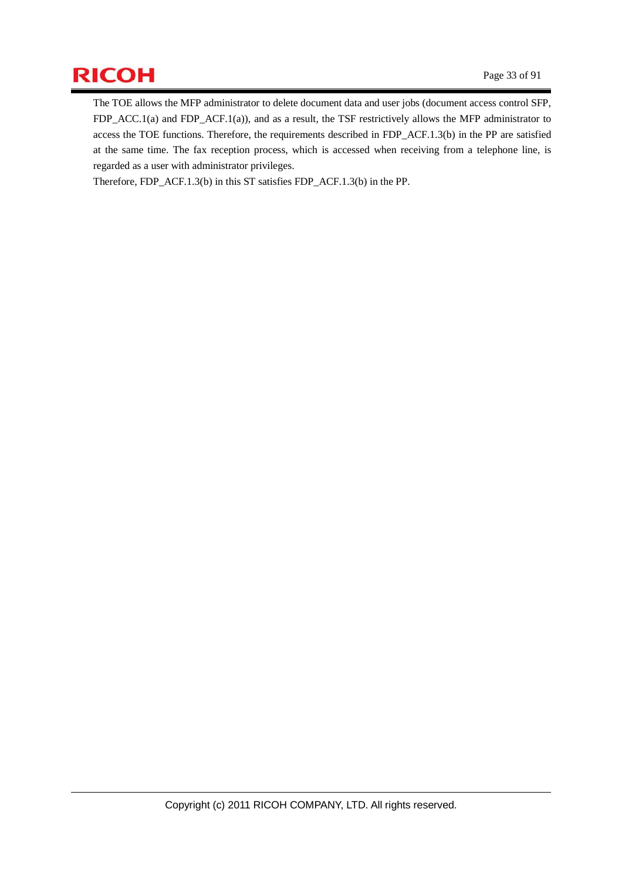# $\mathsf{RICOH}$  Page 33 of 91

The TOE allows the MFP administrator to delete document data and user jobs (document access control SFP, FDP\_ACC.1(a) and FDP\_ACF.1(a)), and as a result, the TSF restrictively allows the MFP administrator to access the TOE functions. Therefore, the requirements described in FDP\_ACF.1.3(b) in the PP are satisfied at the same time. The fax reception process, which is accessed when receiving from a telephone line, is regarded as a user with administrator privileges.

Therefore, FDP\_ACF.1.3(b) in this ST satisfies FDP\_ACF.1.3(b) in the PP.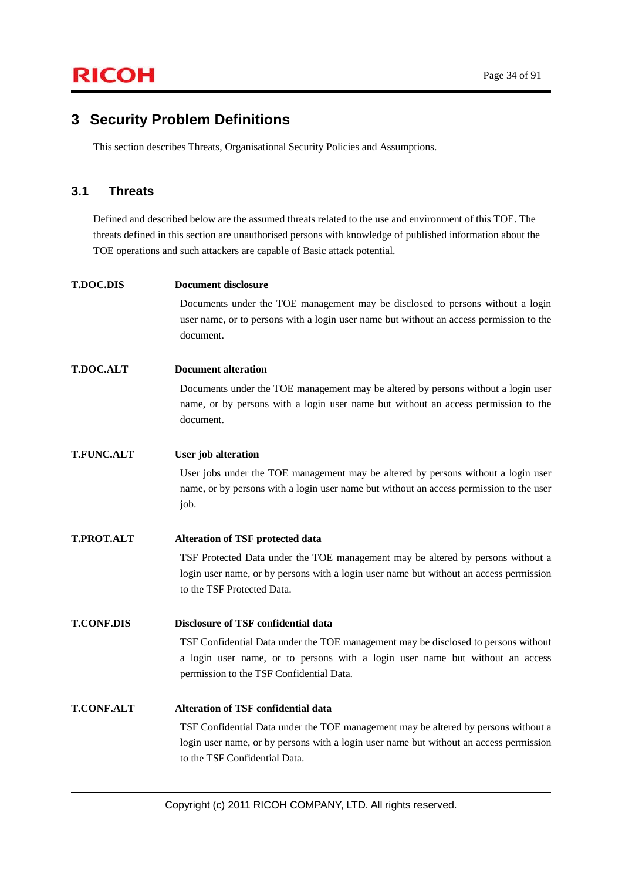### **3 Security Problem Definitions**

This section describes Threats, Organisational Security Policies and Assumptions.

### **3.1 Threats**

Defined and described below are the assumed threats related to the use and environment of this TOE. The threats defined in this section are unauthorised persons with knowledge of published information about the TOE operations and such attackers are capable of Basic attack potential.

| <b>T.DOC.DIS</b>  | <b>Document disclosure</b>                                                                                                                                                                                    |
|-------------------|---------------------------------------------------------------------------------------------------------------------------------------------------------------------------------------------------------------|
|                   | Documents under the TOE management may be disclosed to persons without a login<br>user name, or to persons with a login user name but without an access permission to the<br>document.                        |
| <b>T.DOC.ALT</b>  | <b>Document alteration</b>                                                                                                                                                                                    |
|                   | Documents under the TOE management may be altered by persons without a login user<br>name, or by persons with a login user name but without an access permission to the<br>document.                          |
| <b>T.FUNC.ALT</b> | <b>User</b> job alteration                                                                                                                                                                                    |
|                   | User jobs under the TOE management may be altered by persons without a login user<br>name, or by persons with a login user name but without an access permission to the user<br>job.                          |
| <b>T.PROT.ALT</b> | <b>Alteration of TSF protected data</b>                                                                                                                                                                       |
|                   | TSF Protected Data under the TOE management may be altered by persons without a                                                                                                                               |
|                   | login user name, or by persons with a login user name but without an access permission<br>to the TSF Protected Data.                                                                                          |
| <b>T.CONF.DIS</b> | Disclosure of TSF confidential data                                                                                                                                                                           |
|                   | TSF Confidential Data under the TOE management may be disclosed to persons without                                                                                                                            |
|                   | a login user name, or to persons with a login user name but without an access<br>permission to the TSF Confidential Data.                                                                                     |
| <b>T.CONF.ALT</b> | <b>Alteration of TSF confidential data</b>                                                                                                                                                                    |
|                   | TSF Confidential Data under the TOE management may be altered by persons without a<br>login user name, or by persons with a login user name but without an access permission<br>to the TSF Confidential Data. |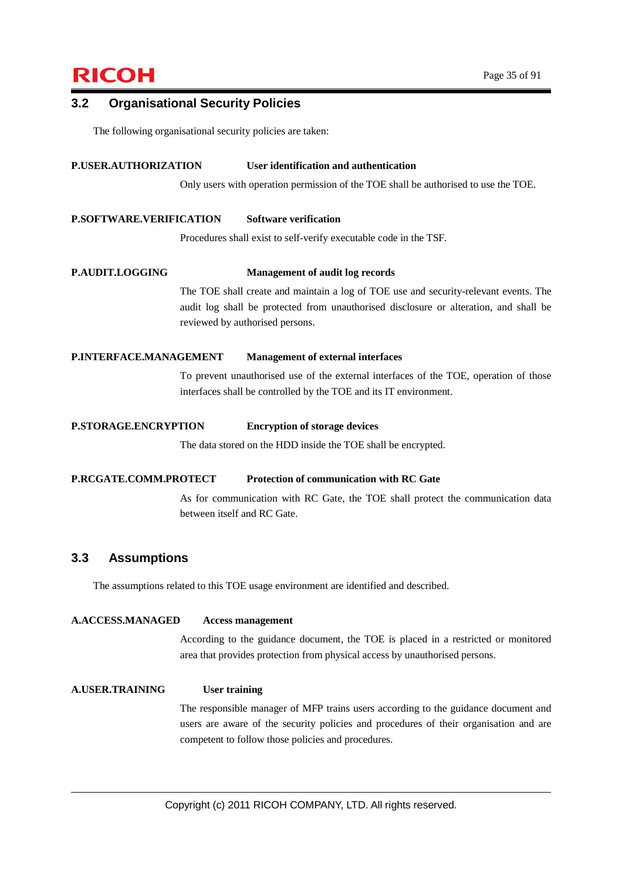# $\mathsf{RICOH}$  Page 35 of 91

#### **3.2 Organisational Security Policies**

The following organisational security policies are taken:

#### **P.USER.AUTHORIZATION User identification and authentication**

Only users with operation permission of the TOE shall be authorised to use the TOE.

#### **P.SOFTWARE.VERIFICATION Software verification**

Procedures shall exist to self-verify executable code in the TSF.

#### **P.AUDIT.LOGGING Management of audit log records**

The TOE shall create and maintain a log of TOE use and security-relevant events. The audit log shall be protected from unauthorised disclosure or alteration, and shall be reviewed by authorised persons.

#### **P.INTERFACE.MANAGEMENT Management of external interfaces**

To prevent unauthorised use of the external interfaces of the TOE, operation of those interfaces shall be controlled by the TOE and its IT environment.

#### **P.STORAGE.ENCRYPTION Encryption of storage devices**

The data stored on the HDD inside the TOE shall be encrypted.

#### **P.RCGATE.COMM.PROTECT Protection of communication with RC Gate**

As for communication with RC Gate, the TOE shall protect the communication data between itself and RC Gate.

#### **3.3 Assumptions**

**A.ACCESS.MANAGED Access management** 

The assumptions related to this TOE usage environment are identified and described.

According to the guidance document, the TOE is placed in a restricted or monitored area that provides protection from physical access by unauthorised persons.

**A.USER.TRAINING User training**  The responsible manager of MFP trains users according to the guidance document and users are aware of the security policies and procedures of their organisation and are competent to follow those policies and procedures.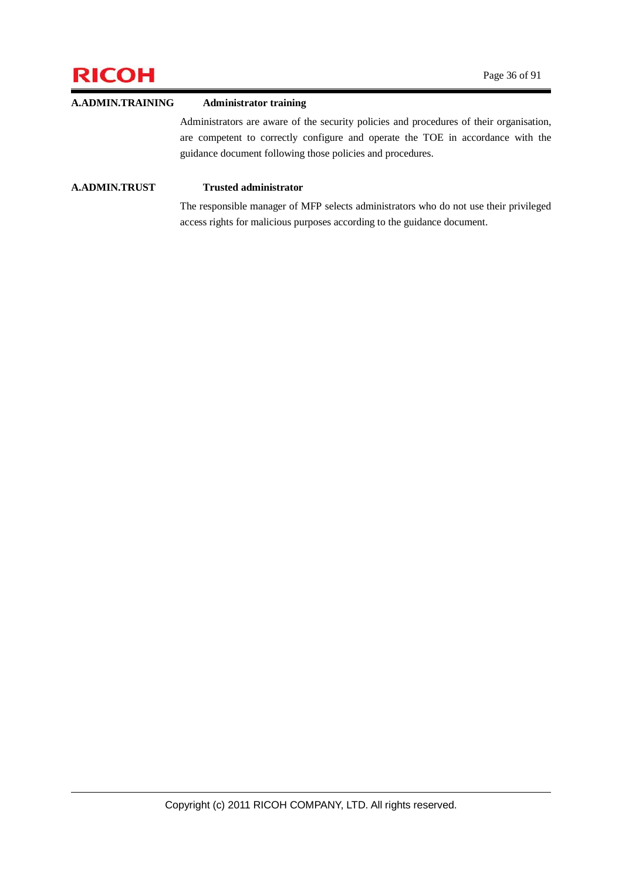# **RICOH** Page 36 of 91

### **A.ADMIN.TRAINING Administrator training**  Administrators are aware of the security policies and procedures of their organisation, are competent to correctly configure and operate the TOE in accordance with the guidance document following those policies and procedures.

#### **A.ADMIN.TRUST Trusted administrator**

The responsible manager of MFP selects administrators who do not use their privileged access rights for malicious purposes according to the guidance document.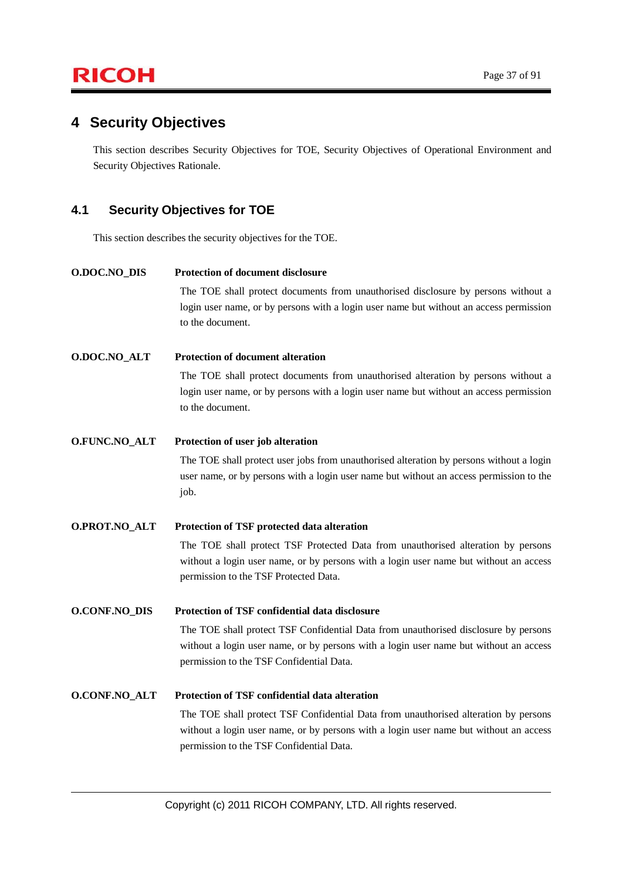### **4 Security Objectives**

This section describes Security Objectives for TOE, Security Objectives of Operational Environment and Security Objectives Rationale.

### **4.1 Security Objectives for TOE**

This section describes the security objectives for the TOE.

**O.DOC.NO\_DIS Protection of document disclosure**  The TOE shall protect documents from unauthorised disclosure by persons without a login user name, or by persons with a login user name but without an access permission to the document. **O.DOC.NO\_ALT Protection of document alteration**  The TOE shall protect documents from unauthorised alteration by persons without a login user name, or by persons with a login user name but without an access permission to the document. **O.FUNC.NO\_ALT Protection of user job alteration**  The TOE shall protect user jobs from unauthorised alteration by persons without a login user name, or by persons with a login user name but without an access permission to the job. **O.PROT.NO\_ALT Protection of TSF protected data alteration**  The TOE shall protect TSF Protected Data from unauthorised alteration by persons without a login user name, or by persons with a login user name but without an access permission to the TSF Protected Data. **O.CONF.NO\_DIS Protection of TSF confidential data disclosure**  The TOE shall protect TSF Confidential Data from unauthorised disclosure by persons without a login user name, or by persons with a login user name but without an access permission to the TSF Confidential Data. **O.CONF.NO\_ALT Protection of TSF confidential data alteration**  The TOE shall protect TSF Confidential Data from unauthorised alteration by persons without a login user name, or by persons with a login user name but without an access

permission to the TSF Confidential Data.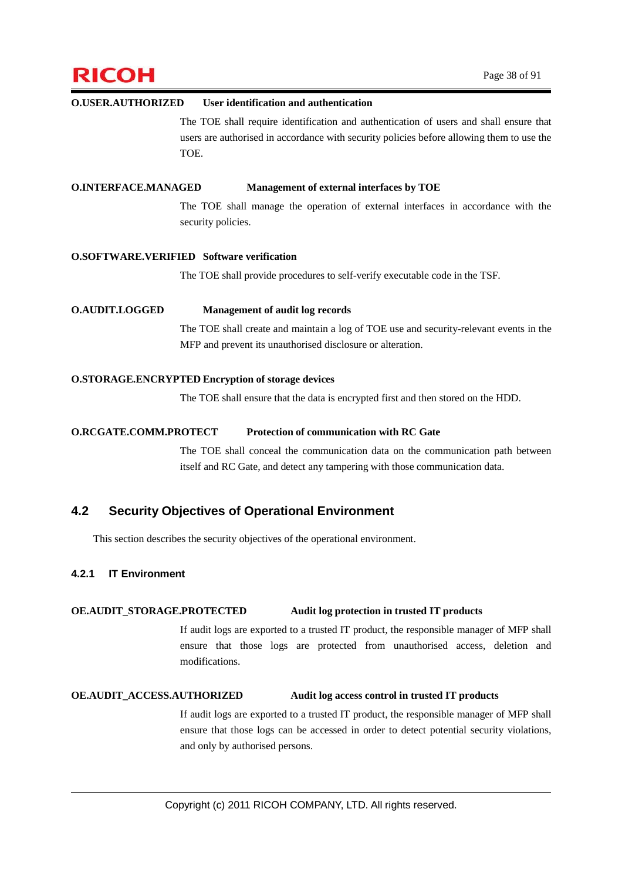# $\mathsf{RICOH}$  Page 38 of 91

#### **O.USER.AUTHORIZED User identification and authentication**

The TOE shall require identification and authentication of users and shall ensure that users are authorised in accordance with security policies before allowing them to use the TOE.

#### **O.INTERFACE.MANAGED Management of external interfaces by TOE**

The TOE shall manage the operation of external interfaces in accordance with the security policies.

#### **O.SOFTWARE.VERIFIED Software verification**

The TOE shall provide procedures to self-verify executable code in the TSF.

#### **O.AUDIT.LOGGED Management of audit log records**

The TOE shall create and maintain a log of TOE use and security-relevant events in the MFP and prevent its unauthorised disclosure or alteration.

#### **O.STORAGE.ENCRYPTED Encryption of storage devices**

The TOE shall ensure that the data is encrypted first and then stored on the HDD.

#### **O.RCGATE.COMM.PROTECT Protection of communication with RC Gate**

The TOE shall conceal the communication data on the communication path between itself and RC Gate, and detect any tampering with those communication data.

### **4.2 Security Objectives of Operational Environment**

This section describes the security objectives of the operational environment.

#### **4.2.1 IT Environment**

#### **OE.AUDIT\_STORAGE.PROTECTED Audit log protection in trusted IT products**

If audit logs are exported to a trusted IT product, the responsible manager of MFP shall ensure that those logs are protected from unauthorised access, deletion and modifications.

#### **OE.AUDIT\_ACCESS.AUTHORIZED Audit log access control in trusted IT products**

If audit logs are exported to a trusted IT product, the responsible manager of MFP shall ensure that those logs can be accessed in order to detect potential security violations, and only by authorised persons.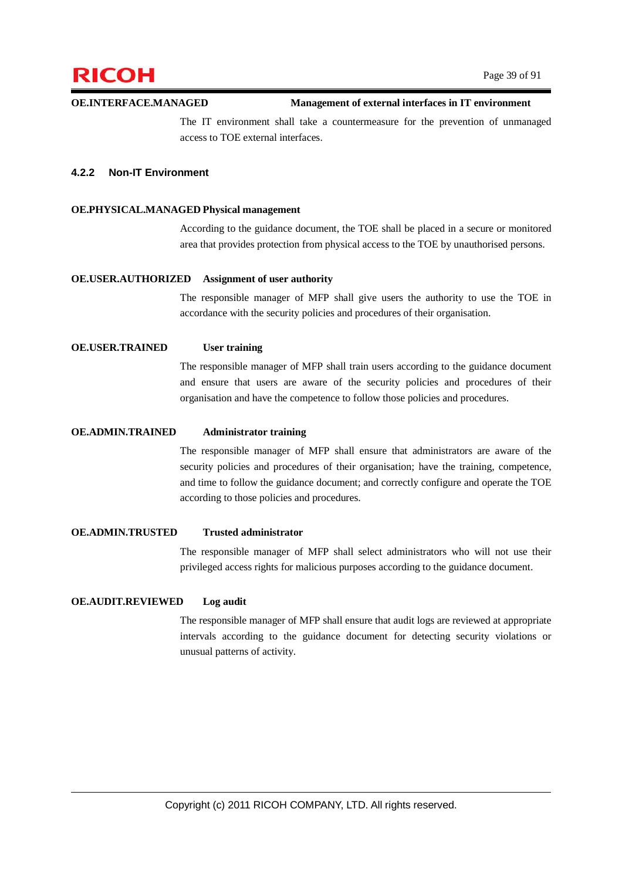

#### **OE.INTERFACE.MANAGED Management of external interfaces in IT environment**

The IT environment shall take a countermeasure for the prevention of unmanaged access to TOE external interfaces.

#### **4.2.2 Non-IT Environment**

#### **OE.PHYSICAL.MANAGED Physical management**

According to the guidance document, the TOE shall be placed in a secure or monitored area that provides protection from physical access to the TOE by unauthorised persons.

#### **OE.USER.AUTHORIZED Assignment of user authority**

The responsible manager of MFP shall give users the authority to use the TOE in accordance with the security policies and procedures of their organisation.

#### **OE.USER.TRAINED User training**

The responsible manager of MFP shall train users according to the guidance document and ensure that users are aware of the security policies and procedures of their organisation and have the competence to follow those policies and procedures.

#### **OE.ADMIN.TRAINED Administrator training**

The responsible manager of MFP shall ensure that administrators are aware of the security policies and procedures of their organisation; have the training, competence, and time to follow the guidance document; and correctly configure and operate the TOE according to those policies and procedures.

#### **OE.ADMIN.TRUSTED Trusted administrator**

The responsible manager of MFP shall select administrators who will not use their privileged access rights for malicious purposes according to the guidance document.

#### **OE.AUDIT.REVIEWED Log audit**

The responsible manager of MFP shall ensure that audit logs are reviewed at appropriate intervals according to the guidance document for detecting security violations or unusual patterns of activity.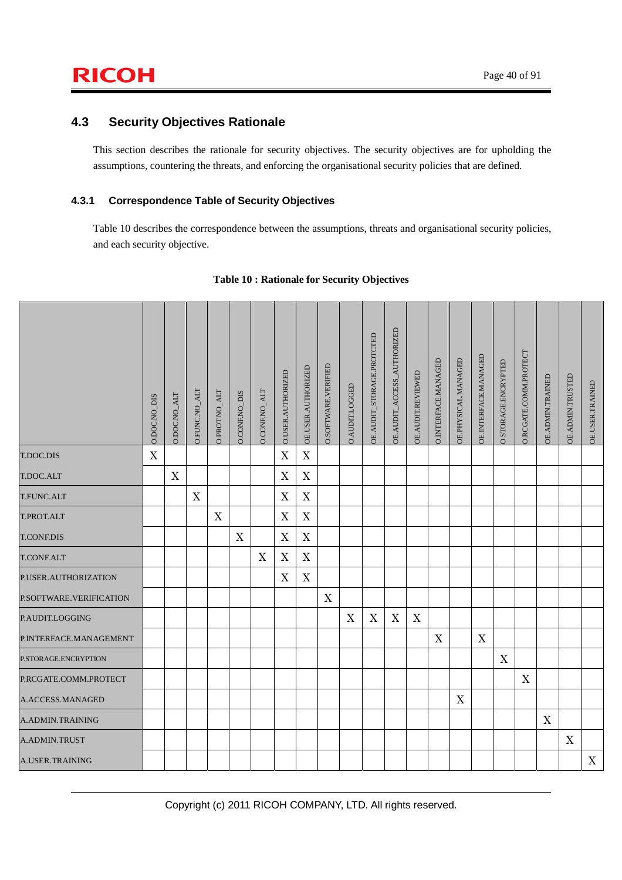### **4.3 Security Objectives Rationale**

This section describes the rationale for security objectives. The security objectives are for upholding the assumptions, countering the threats, and enforcing the organisational security policies that are defined.

### **4.3.1 Correspondence Table of Security Objectives**

Table 10 describes the correspondence between the assumptions, threats and organisational security policies, and each security objective.

|                         | 0.DOC.NO_DIS | <b>O.DOC.NO_ALT</b> | O.FUNC.NO_ALT | O.PROT.NO_ALT | <b>O.CONF.NO_DIS</b> | <b>O.CONF.NO_ALT</b> | O.USER.AUTHORIZED         | OE.USER.AUTHORIZED        | O.SOFTWARE.VERIFIED       | O.AUDIT.LOGGED            | OE.AUDIT_STORAGE.PROTCTED | OE.AUDIT_ACCESS_AUTHORIZED | OE.AUDIT.REVIEWED | O.INTERFACE.MANAGED       | OE.PHYSICAL.MANAGED       | OE.INTERFACE.MANAGED      | O.STORAGE.ENCRYPTED | O.RCGATE.COMM.PROTECT | OE.ADMIN.TRAINED | <b>OE.ADMIN.TRUSTED</b> | OE.USER.TRAINED |
|-------------------------|--------------|---------------------|---------------|---------------|----------------------|----------------------|---------------------------|---------------------------|---------------------------|---------------------------|---------------------------|----------------------------|-------------------|---------------------------|---------------------------|---------------------------|---------------------|-----------------------|------------------|-------------------------|-----------------|
| T.DOC.DIS               | X            |                     |               |               |                      |                      | $\mathbf X$               | $\mathbf X$               |                           |                           |                           |                            |                   |                           |                           |                           |                     |                       |                  |                         |                 |
| T.DOC.ALT               |              | X                   |               |               |                      |                      | $\mathbf X$               | $\mathbf X$               |                           |                           |                           |                            |                   |                           |                           |                           |                     |                       |                  |                         |                 |
| T.FUNC.ALT              |              |                     | X             |               |                      |                      | $\mathbf X$               | $\mathbf X$               |                           |                           |                           |                            |                   |                           |                           |                           |                     |                       |                  |                         |                 |
| T.PROT.ALT              |              |                     |               | $\mathbf X$   |                      |                      | X                         | $\mathbf X$               |                           |                           |                           |                            |                   |                           |                           |                           |                     |                       |                  |                         |                 |
| <b>T.CONF.DIS</b>       |              |                     |               |               | $\mathbf X$          |                      | $\mathbf X$               | $\mathbf X$               |                           |                           |                           |                            |                   |                           |                           |                           |                     |                       |                  |                         |                 |
| <b>T.CONF.ALT</b>       |              |                     |               |               |                      | X                    | $\boldsymbol{\mathrm{X}}$ | $\boldsymbol{\mathrm{X}}$ |                           |                           |                           |                            |                   |                           |                           |                           |                     |                       |                  |                         |                 |
| P.USER.AUTHORIZATION    |              |                     |               |               |                      |                      | $\mathbf X$               | $\mathbf X$               |                           |                           |                           |                            |                   |                           |                           |                           |                     |                       |                  |                         |                 |
| P.SOFTWARE.VERIFICATION |              |                     |               |               |                      |                      |                           |                           | $\boldsymbol{\mathrm{X}}$ |                           |                           |                            |                   |                           |                           |                           |                     |                       |                  |                         |                 |
| P.AUDIT.LOGGING         |              |                     |               |               |                      |                      |                           |                           |                           | $\boldsymbol{\mathrm{X}}$ | $\mathbf X$               | X                          | $\mathbf X$       |                           |                           |                           |                     |                       |                  |                         |                 |
| P.INTERFACE.MANAGEMENT  |              |                     |               |               |                      |                      |                           |                           |                           |                           |                           |                            |                   | $\boldsymbol{\mathrm{X}}$ |                           | $\boldsymbol{\mathrm{X}}$ |                     |                       |                  |                         |                 |
| P.STORAGE.ENCRYPTION    |              |                     |               |               |                      |                      |                           |                           |                           |                           |                           |                            |                   |                           |                           |                           | X                   |                       |                  |                         |                 |
| P.RCGATE.COMM.PROTECT   |              |                     |               |               |                      |                      |                           |                           |                           |                           |                           |                            |                   |                           |                           |                           |                     | $\mathbf X$           |                  |                         |                 |
| A.ACCESS.MANAGED        |              |                     |               |               |                      |                      |                           |                           |                           |                           |                           |                            |                   |                           | $\boldsymbol{\mathrm{X}}$ |                           |                     |                       |                  |                         |                 |
| A.ADMIN.TRAINING        |              |                     |               |               |                      |                      |                           |                           |                           |                           |                           |                            |                   |                           |                           |                           |                     |                       | X                |                         |                 |
| A.ADMIN.TRUST           |              |                     |               |               |                      |                      |                           |                           |                           |                           |                           |                            |                   |                           |                           |                           |                     |                       |                  | X                       |                 |
| A.USER.TRAINING         |              |                     |               |               |                      |                      |                           |                           |                           |                           |                           |                            |                   |                           |                           |                           |                     |                       |                  |                         | X               |

#### **Table 10 : Rationale for Security Objectives**

Copyright (c) 2011 RICOH COMPANY, LTD. All rights reserved.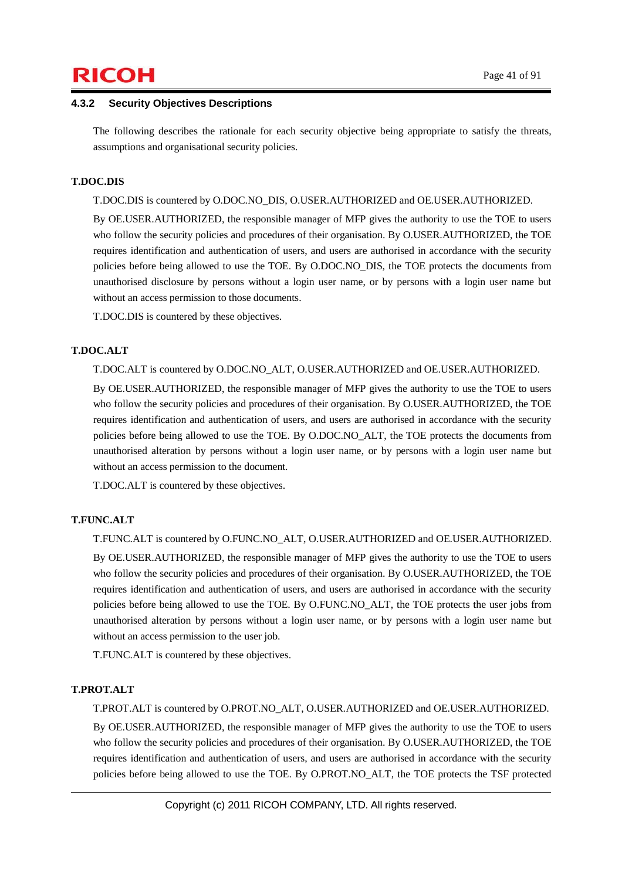# $\mathsf{RICOH}$  Page 41 of 91

#### **4.3.2 Security Objectives Descriptions**

The following describes the rationale for each security objective being appropriate to satisfy the threats, assumptions and organisational security policies.

#### **T.DOC.DIS**

T.DOC.DIS is countered by O.DOC.NO\_DIS, O.USER.AUTHORIZED and OE.USER.AUTHORIZED.

By OE.USER.AUTHORIZED, the responsible manager of MFP gives the authority to use the TOE to users who follow the security policies and procedures of their organisation. By O.USER.AUTHORIZED, the TOE requires identification and authentication of users, and users are authorised in accordance with the security policies before being allowed to use the TOE. By O.DOC.NO\_DIS, the TOE protects the documents from unauthorised disclosure by persons without a login user name, or by persons with a login user name but without an access permission to those documents.

T.DOC.DIS is countered by these objectives.

#### **T.DOC.ALT**

T.DOC.ALT is countered by O.DOC.NO\_ALT, O.USER.AUTHORIZED and OE.USER.AUTHORIZED.

By OE.USER.AUTHORIZED, the responsible manager of MFP gives the authority to use the TOE to users who follow the security policies and procedures of their organisation. By O.USER.AUTHORIZED, the TOE requires identification and authentication of users, and users are authorised in accordance with the security policies before being allowed to use the TOE. By O.DOC.NO\_ALT, the TOE protects the documents from unauthorised alteration by persons without a login user name, or by persons with a login user name but without an access permission to the document.

T.DOC.ALT is countered by these objectives.

#### **T.FUNC.ALT**

T.FUNC.ALT is countered by O.FUNC.NO\_ALT, O.USER.AUTHORIZED and OE.USER.AUTHORIZED.

By OE.USER.AUTHORIZED, the responsible manager of MFP gives the authority to use the TOE to users who follow the security policies and procedures of their organisation. By O.USER.AUTHORIZED, the TOE requires identification and authentication of users, and users are authorised in accordance with the security policies before being allowed to use the TOE. By O.FUNC.NO\_ALT, the TOE protects the user jobs from unauthorised alteration by persons without a login user name, or by persons with a login user name but without an access permission to the user job.

T.FUNC.ALT is countered by these objectives.

#### **T.PROT.ALT**

T.PROT.ALT is countered by O.PROT.NO\_ALT, O.USER.AUTHORIZED and OE.USER.AUTHORIZED.

By OE.USER.AUTHORIZED, the responsible manager of MFP gives the authority to use the TOE to users who follow the security policies and procedures of their organisation. By O.USER.AUTHORIZED, the TOE requires identification and authentication of users, and users are authorised in accordance with the security policies before being allowed to use the TOE. By O.PROT.NO\_ALT, the TOE protects the TSF protected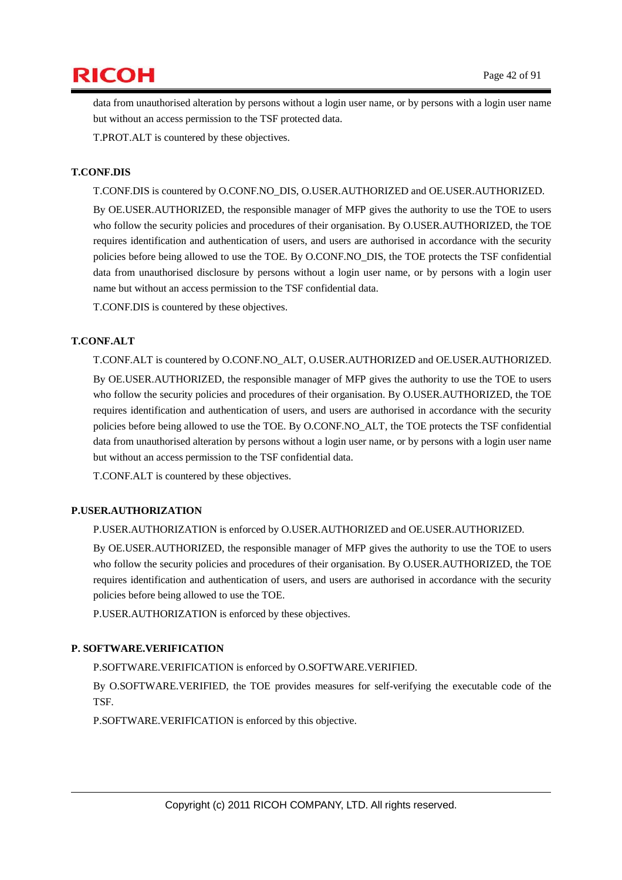

data from unauthorised alteration by persons without a login user name, or by persons with a login user name but without an access permission to the TSF protected data.

T.PROT.ALT is countered by these objectives.

#### **T.CONF.DIS**

T.CONF.DIS is countered by O.CONF.NO\_DIS, O.USER.AUTHORIZED and OE.USER.AUTHORIZED.

By OE.USER.AUTHORIZED, the responsible manager of MFP gives the authority to use the TOE to users who follow the security policies and procedures of their organisation. By O.USER.AUTHORIZED, the TOE requires identification and authentication of users, and users are authorised in accordance with the security policies before being allowed to use the TOE. By O.CONF.NO\_DIS, the TOE protects the TSF confidential data from unauthorised disclosure by persons without a login user name, or by persons with a login user name but without an access permission to the TSF confidential data.

T.CONF.DIS is countered by these objectives.

#### **T.CONF.ALT**

T.CONF.ALT is countered by O.CONF.NO\_ALT, O.USER.AUTHORIZED and OE.USER.AUTHORIZED. By OE.USER.AUTHORIZED, the responsible manager of MFP gives the authority to use the TOE to users who follow the security policies and procedures of their organisation. By O.USER.AUTHORIZED, the TOE requires identification and authentication of users, and users are authorised in accordance with the security policies before being allowed to use the TOE. By O.CONF.NO\_ALT, the TOE protects the TSF confidential data from unauthorised alteration by persons without a login user name, or by persons with a login user name but without an access permission to the TSF confidential data.

T.CONF.ALT is countered by these objectives.

#### **P.USER.AUTHORIZATION**

P.USER.AUTHORIZATION is enforced by O.USER.AUTHORIZED and OE.USER.AUTHORIZED.

By OE.USER.AUTHORIZED, the responsible manager of MFP gives the authority to use the TOE to users who follow the security policies and procedures of their organisation. By O.USER.AUTHORIZED, the TOE requires identification and authentication of users, and users are authorised in accordance with the security policies before being allowed to use the TOE.

P.USER.AUTHORIZATION is enforced by these objectives.

#### **P. SOFTWARE.VERIFICATION**

P.SOFTWARE.VERIFICATION is enforced by O.SOFTWARE.VERIFIED.

By O.SOFTWARE.VERIFIED, the TOE provides measures for self-verifying the executable code of the TSF.

P.SOFTWARE.VERIFICATION is enforced by this objective.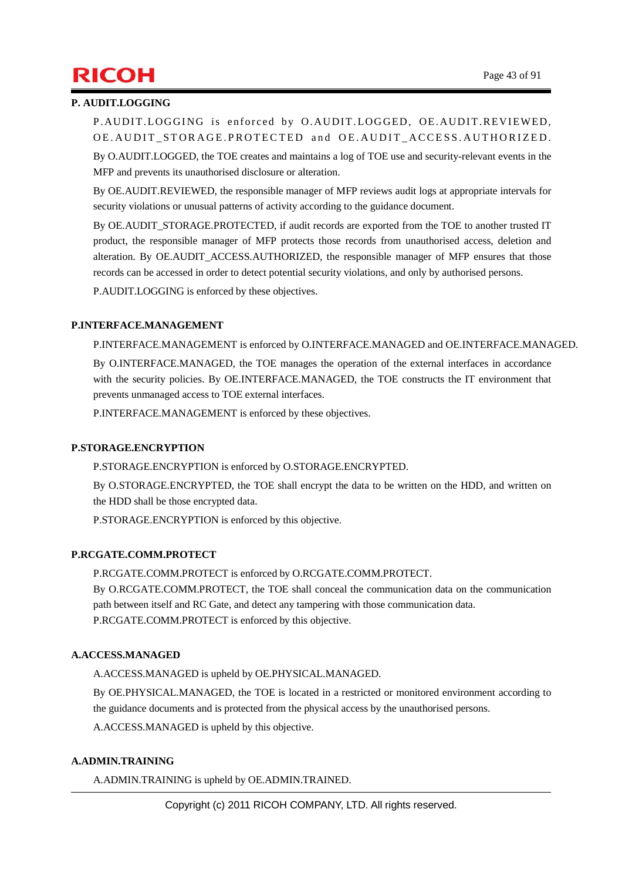# $\mathsf{RICOH}$  Page 43 of 91

#### **P. AUDIT.LOGGING**

P.AUDIT.LOGGING is enforced by O.AUDIT.LOGGED, OE.AUDIT.REVIEWED, OE. AUDIT\_STORAGE.PROTECTED and OE. AUDIT\_ACCESS. AUTHORIZED.

By O.AUDIT.LOGGED, the TOE creates and maintains a log of TOE use and security-relevant events in the MFP and prevents its unauthorised disclosure or alteration.

By OE.AUDIT.REVIEWED, the responsible manager of MFP reviews audit logs at appropriate intervals for security violations or unusual patterns of activity according to the guidance document.

By OE. AUDIT\_STORAGE.PROTECTED, if audit records are exported from the TOE to another trusted IT product, the responsible manager of MFP protects those records from unauthorised access, deletion and alteration. By OE.AUDIT\_ACCESS.AUTHORIZED, the responsible manager of MFP ensures that those records can be accessed in order to detect potential security violations, and only by authorised persons.

P.AUDIT.LOGGING is enforced by these objectives.

#### **P.INTERFACE.MANAGEMENT**

P.INTERFACE.MANAGEMENT is enforced by O.INTERFACE.MANAGED and OE.INTERFACE.MANAGED.

By O.INTERFACE.MANAGED, the TOE manages the operation of the external interfaces in accordance with the security policies. By OE.INTERFACE.MANAGED, the TOE constructs the IT environment that prevents unmanaged access to TOE external interfaces.

P.INTERFACE.MANAGEMENT is enforced by these objectives.

#### **P.STORAGE.ENCRYPTION**

P.STORAGE.ENCRYPTION is enforced by O.STORAGE.ENCRYPTED.

By O.STORAGE.ENCRYPTED, the TOE shall encrypt the data to be written on the HDD, and written on the HDD shall be those encrypted data.

P.STORAGE.ENCRYPTION is enforced by this objective.

#### **P.RCGATE.COMM.PROTECT**

P.RCGATE.COMM.PROTECT is enforced by O.RCGATE.COMM.PROTECT. By O.RCGATE.COMM.PROTECT, the TOE shall conceal the communication data on the communication path between itself and RC Gate, and detect any tampering with those communication data. P.RCGATE.COMM.PROTECT is enforced by this objective.

#### **A.ACCESS.MANAGED**

A.ACCESS.MANAGED is upheld by OE.PHYSICAL.MANAGED.

By OE.PHYSICAL.MANAGED, the TOE is located in a restricted or monitored environment according to the guidance documents and is protected from the physical access by the unauthorised persons.

A.ACCESS.MANAGED is upheld by this objective.

#### **A.ADMIN.TRAINING**

A.ADMIN.TRAINING is upheld by OE.ADMIN.TRAINED.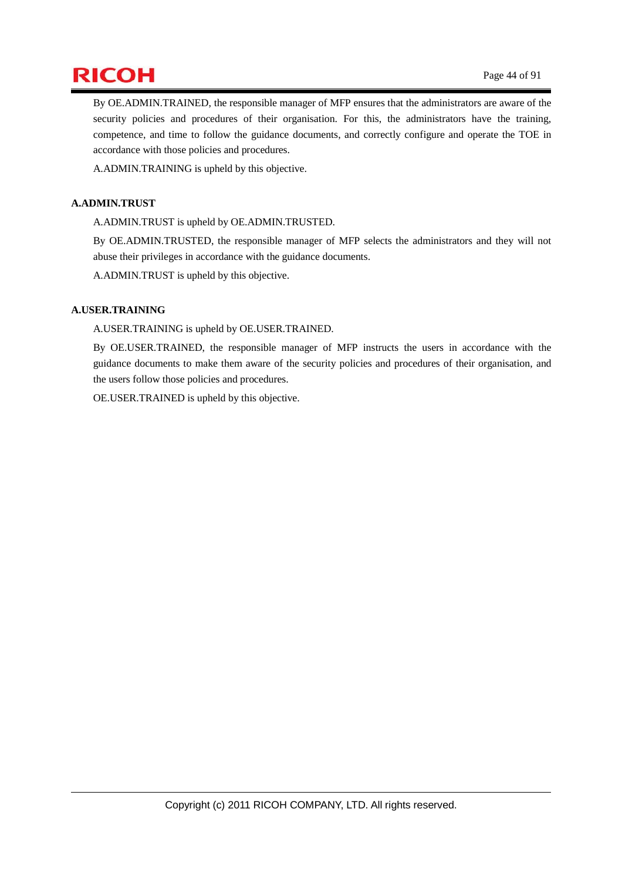

By OE.ADMIN.TRAINED, the responsible manager of MFP ensures that the administrators are aware of the security policies and procedures of their organisation. For this, the administrators have the training, competence, and time to follow the guidance documents, and correctly configure and operate the TOE in accordance with those policies and procedures.

A.ADMIN.TRAINING is upheld by this objective.

#### **A.ADMIN.TRUST**

A.ADMIN.TRUST is upheld by OE.ADMIN.TRUSTED.

By OE.ADMIN.TRUSTED, the responsible manager of MFP selects the administrators and they will not abuse their privileges in accordance with the guidance documents.

A.ADMIN.TRUST is upheld by this objective.

#### **A.USER.TRAINING**

A.USER.TRAINING is upheld by OE.USER.TRAINED.

By OE.USER.TRAINED, the responsible manager of MFP instructs the users in accordance with the guidance documents to make them aware of the security policies and procedures of their organisation, and the users follow those policies and procedures.

OE.USER.TRAINED is upheld by this objective.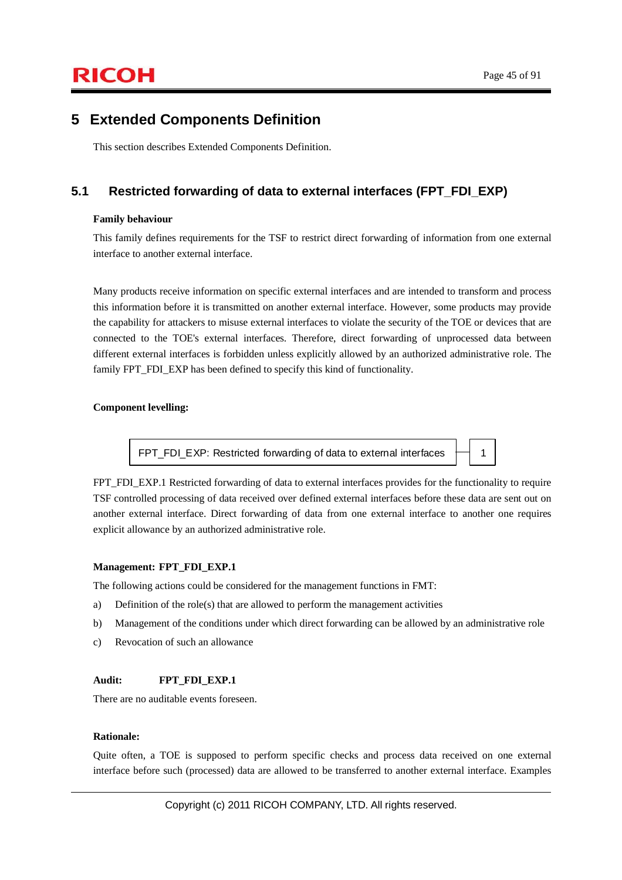### **5 Extended Components Definition**

This section describes Extended Components Definition.

### **5.1 Restricted forwarding of data to external interfaces (FPT\_FDI\_EXP)**

#### **Family behaviour**

This family defines requirements for the TSF to restrict direct forwarding of information from one external interface to another external interface.

Many products receive information on specific external interfaces and are intended to transform and process this information before it is transmitted on another external interface. However, some products may provide the capability for attackers to misuse external interfaces to violate the security of the TOE or devices that are connected to the TOE's external interfaces. Therefore, direct forwarding of unprocessed data between different external interfaces is forbidden unless explicitly allowed by an authorized administrative role. The family FPT\_FDI\_EXP has been defined to specify this kind of functionality.

#### **Component levelling:**

FPT\_FDI\_EXP: Restricted forwarding of data to external interfaces  $\begin{array}{c} \begin{array}{c} \begin{array}{ccc} \end{array} \end{array}$  1

FPT\_FDI\_EXP.1 Restricted forwarding of data to external interfaces provides for the functionality to require TSF controlled processing of data received over defined external interfaces before these data are sent out on another external interface. Direct forwarding of data from one external interface to another one requires explicit allowance by an authorized administrative role.

#### **Management: FPT\_FDI\_EXP.1**

The following actions could be considered for the management functions in FMT:

- a) Definition of the role(s) that are allowed to perform the management activities
- b) Management of the conditions under which direct forwarding can be allowed by an administrative role
- c) Revocation of such an allowance

#### Audit: **FPT** FDI **EXP.1**

There are no auditable events foreseen.

#### **Rationale:**

Quite often, a TOE is supposed to perform specific checks and process data received on one external interface before such (processed) data are allowed to be transferred to another external interface. Examples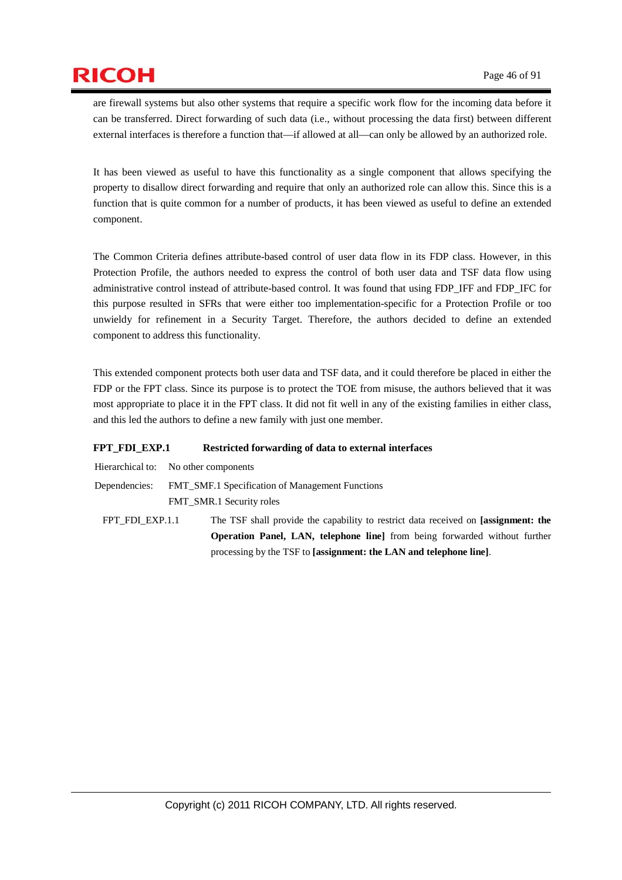are firewall systems but also other systems that require a specific work flow for the incoming data before it can be transferred. Direct forwarding of such data (i.e., without processing the data first) between different external interfaces is therefore a function that—if allowed at all—can only be allowed by an authorized role.

It has been viewed as useful to have this functionality as a single component that allows specifying the property to disallow direct forwarding and require that only an authorized role can allow this. Since this is a function that is quite common for a number of products, it has been viewed as useful to define an extended component.

The Common Criteria defines attribute-based control of user data flow in its FDP class. However, in this Protection Profile, the authors needed to express the control of both user data and TSF data flow using administrative control instead of attribute-based control. It was found that using FDP\_IFF and FDP\_IFC for this purpose resulted in SFRs that were either too implementation-specific for a Protection Profile or too unwieldy for refinement in a Security Target. Therefore, the authors decided to define an extended component to address this functionality.

This extended component protects both user data and TSF data, and it could therefore be placed in either the FDP or the FPT class. Since its purpose is to protect the TOE from misuse, the authors believed that it was most appropriate to place it in the FPT class. It did not fit well in any of the existing families in either class, and this led the authors to define a new family with just one member.

processing by the TSF to **[assignment: the LAN and telephone line]**.

#### **FPT\_FDI\_EXP.1 Restricted forwarding of data to external interfaces**

|                 | <b>Operation Panel, LAN, telephone line</b> from being forwarded without further   |  |  |  |  |  |
|-----------------|------------------------------------------------------------------------------------|--|--|--|--|--|
| FPT FDI EXP.1.1 | The TSF shall provide the capability to restrict data received on [assignment: the |  |  |  |  |  |
|                 | <b>FMT</b> SMR.1 Security roles                                                    |  |  |  |  |  |
|                 | Dependencies: FMT SMF.1 Specification of Management Functions                      |  |  |  |  |  |
|                 | Hierarchical to: No other components                                               |  |  |  |  |  |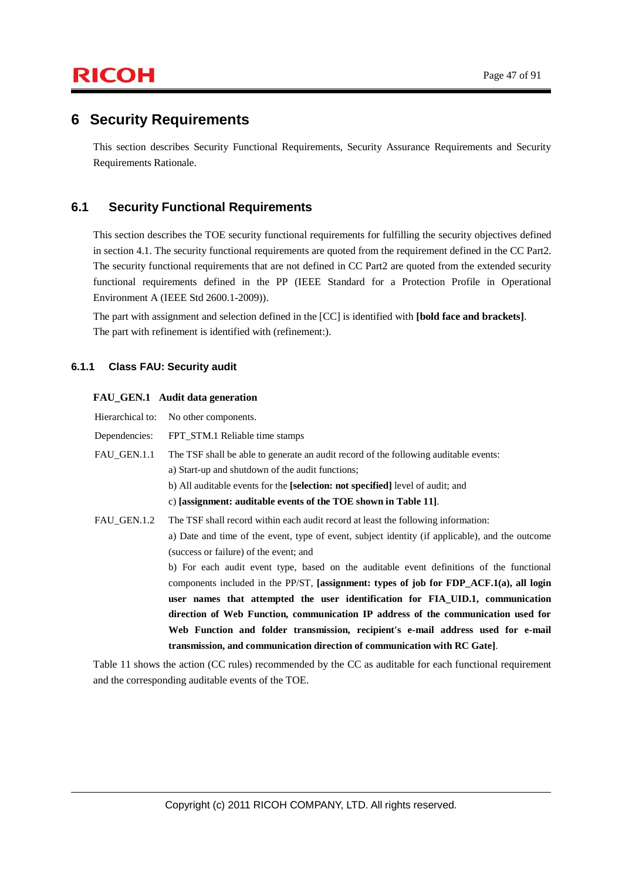### **6 Security Requirements**

This section describes Security Functional Requirements, Security Assurance Requirements and Security Requirements Rationale.

### **6.1 Security Functional Requirements**

This section describes the TOE security functional requirements for fulfilling the security objectives defined in section 4.1. The security functional requirements are quoted from the requirement defined in the CC Part2. The security functional requirements that are not defined in CC Part2 are quoted from the extended security functional requirements defined in the PP (IEEE Standard for a Protection Profile in Operational Environment A (IEEE Std 2600.1-2009)).

The part with assignment and selection defined in the [CC] is identified with **[bold face and brackets]**. The part with refinement is identified with (refinement:).

#### **6.1.1 Class FAU: Security audit**

#### **FAU\_GEN.1 Audit data generation**

| Hierarchical to: | No other components.                                                                            |
|------------------|-------------------------------------------------------------------------------------------------|
| Dependencies:    | FPT_STM.1 Reliable time stamps                                                                  |
| FAU GEN.1.1      | The TSF shall be able to generate an audit record of the following auditable events:            |
|                  | a) Start-up and shutdown of the audit functions;                                                |
|                  | b) All auditable events for the [selection: not specified] level of audit; and                  |
|                  | c) [assignment: auditable events of the TOE shown in Table 11].                                 |
| FAU GEN.1.2      | The TSF shall record within each audit record at least the following information:               |
|                  | a) Date and time of the event, type of event, subject identity (if applicable), and the outcome |
|                  | (success or failure) of the event; and                                                          |
|                  | b) For each audit event type, based on the auditable event definitions of the functional        |
|                  | components included in the PP/ST, [assignment: types of job for FDP_ACF.1(a), all login         |
|                  | user names that attempted the user identification for FIA UID.1, communication                  |
|                  | direction of Web Function, communication IP address of the communication used for               |
|                  | Web Function and folder transmission, recipient's e-mail address used for e-mail                |
|                  | transmission, and communication direction of communication with RC Gate].                       |

Table 11 shows the action (CC rules) recommended by the CC as auditable for each functional requirement and the corresponding auditable events of the TOE.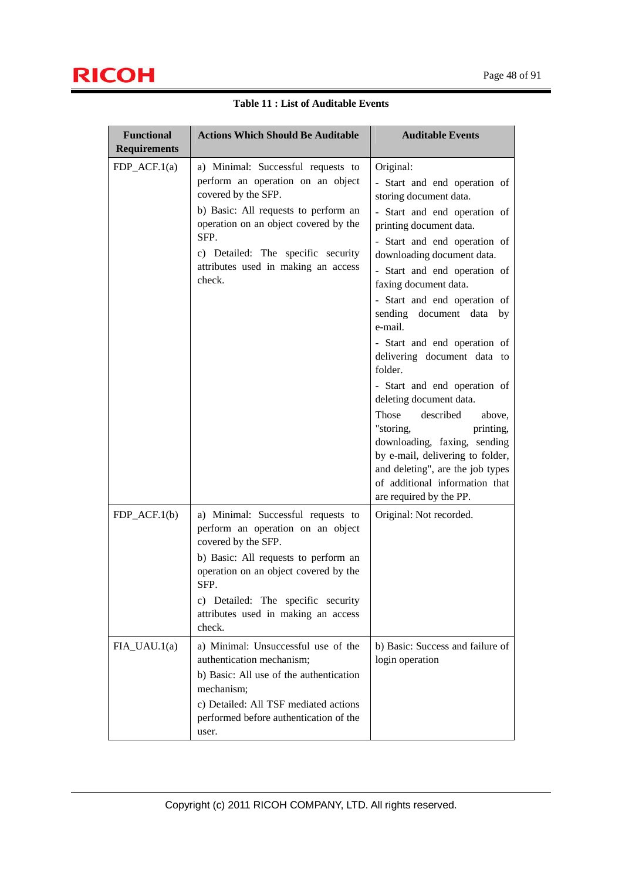| <b>Functional</b><br><b>Requirements</b> | <b>Actions Which Should Be Auditable</b>                                                                                                                                                                                                                                                                                                                                                                                                             | <b>Auditable Events</b>                                                                                                                                                                                                                                                                                                                                                                                                                                                                                                                                                                                                                                                                             |
|------------------------------------------|------------------------------------------------------------------------------------------------------------------------------------------------------------------------------------------------------------------------------------------------------------------------------------------------------------------------------------------------------------------------------------------------------------------------------------------------------|-----------------------------------------------------------------------------------------------------------------------------------------------------------------------------------------------------------------------------------------------------------------------------------------------------------------------------------------------------------------------------------------------------------------------------------------------------------------------------------------------------------------------------------------------------------------------------------------------------------------------------------------------------------------------------------------------------|
| $FDP\_ACF.1(a)$                          | a) Minimal: Successful requests to<br>perform an operation on an object<br>covered by the SFP.<br>b) Basic: All requests to perform an<br>operation on an object covered by the<br>SFP.<br>c) Detailed: The specific security<br>attributes used in making an access<br>check.                                                                                                                                                                       | Original:<br>- Start and end operation of<br>storing document data.<br>- Start and end operation of<br>printing document data.<br>- Start and end operation of<br>downloading document data.<br>- Start and end operation of<br>faxing document data.<br>- Start and end operation of<br>sending document data<br>by<br>e-mail.<br>- Start and end operation of<br>delivering document data to<br>folder.<br>- Start and end operation of<br>deleting document data.<br>described<br>Those<br>above.<br>"storing,<br>printing,<br>downloading, faxing, sending<br>by e-mail, delivering to folder,<br>and deleting", are the job types<br>of additional information that<br>are required by the PP. |
| $FDP\_ACF.1(b)$<br>$FIA_UAU.1(a)$        | a) Minimal: Successful requests to<br>perform an operation on an object<br>covered by the SFP.<br>b) Basic: All requests to perform an<br>operation on an object covered by the<br>SFP.<br>c) Detailed: The specific security<br>attributes used in making an access<br>check.<br>a) Minimal: Unsuccessful use of the<br>authentication mechanism;<br>b) Basic: All use of the authentication<br>mechanism;<br>c) Detailed: All TSF mediated actions | Original: Not recorded.<br>b) Basic: Success and failure of<br>login operation                                                                                                                                                                                                                                                                                                                                                                                                                                                                                                                                                                                                                      |
|                                          | performed before authentication of the<br>user.                                                                                                                                                                                                                                                                                                                                                                                                      |                                                                                                                                                                                                                                                                                                                                                                                                                                                                                                                                                                                                                                                                                                     |

**Table 11 : List of Auditable Events**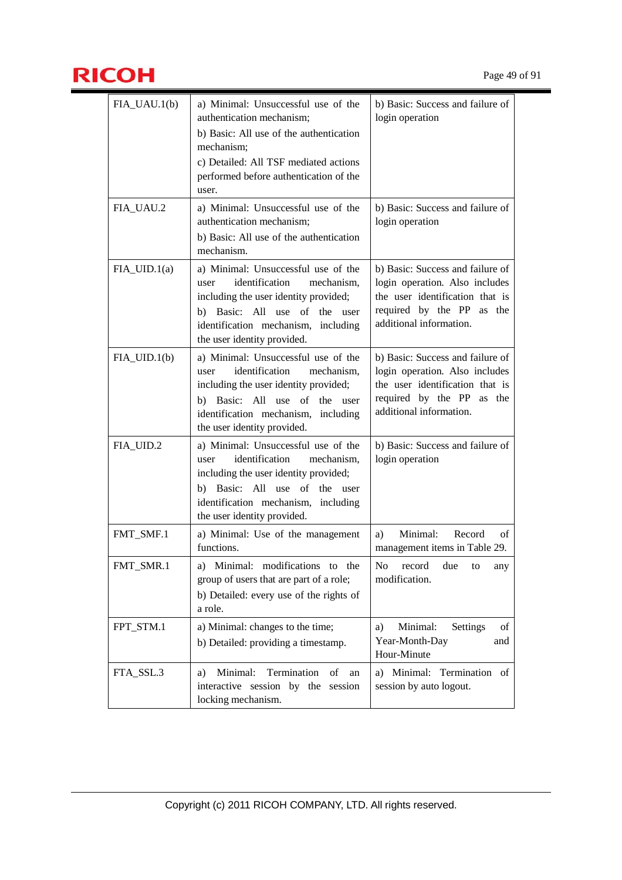

| $FIA_UAU.1(b)$ | a) Minimal: Unsuccessful use of the<br>authentication mechanism;<br>b) Basic: All use of the authentication<br>mechanism;<br>c) Detailed: All TSF mediated actions<br>performed before authentication of the<br>user.          | b) Basic: Success and failure of<br>login operation                                                                                                              |
|----------------|--------------------------------------------------------------------------------------------------------------------------------------------------------------------------------------------------------------------------------|------------------------------------------------------------------------------------------------------------------------------------------------------------------|
| FIA_UAU.2      | a) Minimal: Unsuccessful use of the<br>authentication mechanism;<br>b) Basic: All use of the authentication<br>mechanism.                                                                                                      | b) Basic: Success and failure of<br>login operation                                                                                                              |
| $FIA_UID.1(a)$ | a) Minimal: Unsuccessful use of the<br>identification<br>user<br>mechanism,<br>including the user identity provided;<br>b) Basic: All use of the user<br>identification mechanism, including<br>the user identity provided.    | b) Basic: Success and failure of<br>login operation. Also includes<br>the user identification that is<br>required by the PP as the<br>additional information.    |
| $FIA_UID.1(b)$ | a) Minimal: Unsuccessful use of the<br>identification<br>user<br>mechanism,<br>including the user identity provided;<br>Basic: All use of the user<br>b)<br>identification mechanism, including<br>the user identity provided. | b) Basic: Success and failure of<br>login operation. Also includes<br>the user identification that is<br>required by the PP<br>as the<br>additional information. |
| FIA_UID.2      | a) Minimal: Unsuccessful use of the<br>identification<br>mechanism,<br>user<br>including the user identity provided;<br>b) Basic: All use of the user<br>identification mechanism, including<br>the user identity provided.    | b) Basic: Success and failure of<br>login operation                                                                                                              |
| FMT_SMF.1      | a) Minimal: Use of the management<br>functions.                                                                                                                                                                                | Minimal:<br>Record<br>οf<br>a)<br>management items in Table 29.                                                                                                  |
| FMT_SMR.1      | Minimal: modifications to the<br>a)<br>group of users that are part of a role;<br>b) Detailed: every use of the rights of<br>a role.                                                                                           | No<br>record<br>due<br>to<br>any<br>modification.                                                                                                                |
| FPT_STM.1      | a) Minimal: changes to the time;<br>b) Detailed: providing a timestamp.                                                                                                                                                        | Minimal:<br>Settings<br>a)<br>of<br>Year-Month-Day<br>and<br>Hour-Minute                                                                                         |
| FTA_SSL.3      | Termination<br>Minimal:<br>of<br>a)<br>an<br>interactive session by the session<br>locking mechanism.                                                                                                                          | a) Minimal:<br>Termination of<br>session by auto logout.                                                                                                         |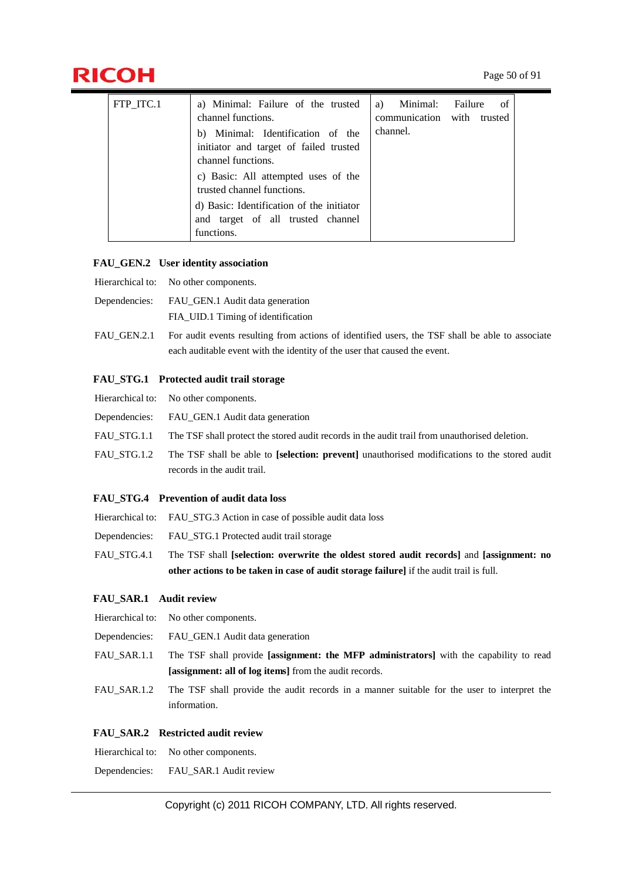

# $\mathsf{RICOH}$  Page 50 of 91

| FTP ITC.1 | a) Minimal: Failure of the trusted                                | Minimal: Failure<br>a)     | - of |
|-----------|-------------------------------------------------------------------|----------------------------|------|
|           | channel functions.                                                | communication with trusted |      |
|           | b) Minimal: Identification of the                                 | channel.                   |      |
|           | initiator and target of failed trusted                            |                            |      |
|           | channel functions.                                                |                            |      |
|           | c) Basic: All attempted uses of the<br>trusted channel functions. |                            |      |
|           | d) Basic: Identification of the initiator                         |                            |      |
|           | and target of all trusted channel                                 |                            |      |
|           | functions.                                                        |                            |      |

#### **FAU\_GEN.2 User identity association**

- Hierarchical to: No other components.
- Dependencies: FAU\_GEN.1 Audit data generation FIA\_UID.1 Timing of identification
- FAU\_GEN.2.1 For audit events resulting from actions of identified users, the TSF shall be able to associate each auditable event with the identity of the user that caused the event.

#### **FAU\_STG.1 Protected audit trail storage**

Hierarchical to: No other components. Dependencies: FAU\_GEN.1 Audit data generation FAU\_STG.1.1 The TSF shall protect the stored audit records in the audit trail from unauthorised deletion. FAU\_STG.1.2 The TSF shall be able to **[selection: prevent]** unauthorised modifications to the stored audit records in the audit trail.

#### **FAU\_STG.4 Prevention of audit data loss**

- Hierarchical to: FAU\_STG.3 Action in case of possible audit data loss
- Dependencies: FAU\_STG.1 Protected audit trail storage
- FAU\_STG.4.1 The TSF shall **[selection: overwrite the oldest stored audit records]** and **[assignment: no other actions to be taken in case of audit storage failure]** if the audit trail is full.

#### **FAU\_SAR.1 Audit review**

- Hierarchical to: No other components.
- Dependencies: FAU\_GEN.1 Audit data generation
- FAU\_SAR.1.1 The TSF shall provide **[assignment: the MFP administrators]** with the capability to read **[assignment: all of log items]** from the audit records.
- FAU SAR.1.2 The TSF shall provide the audit records in a manner suitable for the user to interpret the information.

#### **FAU\_SAR.2 Restricted audit review**

Hierarchical to: No other components.

Dependencies: FAU\_SAR.1 Audit review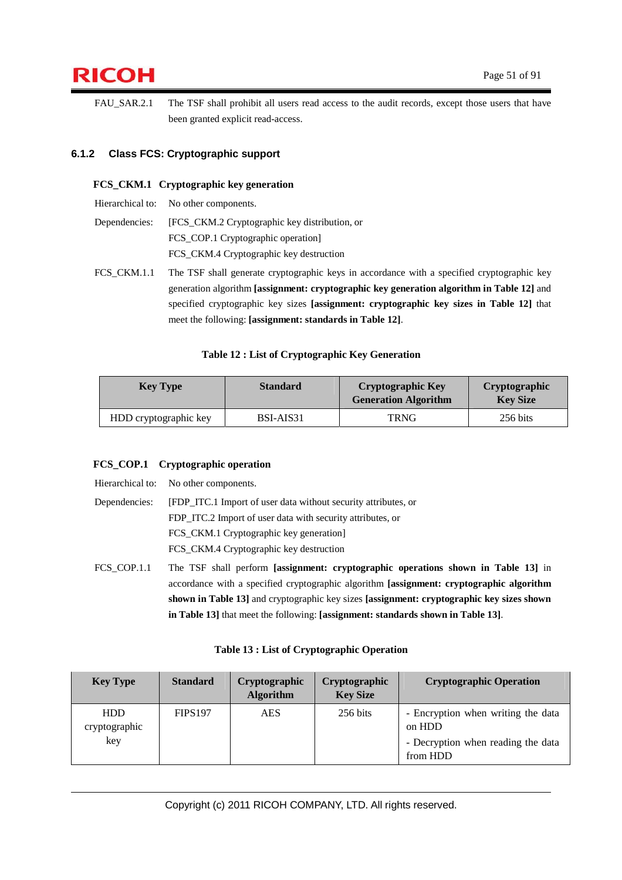# $\mathsf{RICOH}$  Page 51 of 91

FAU\_SAR.2.1 The TSF shall prohibit all users read access to the audit records, except those users that have been granted explicit read-access.

### **6.1.2 Class FCS: Cryptographic support**

#### **FCS\_CKM.1 Cryptographic key generation**

Hierarchical to: No other components. Dependencies: [FCS\_CKM.2 Cryptographic key distribution, or

- FCS\_COP.1 Cryptographic operation] FCS\_CKM.4 Cryptographic key destruction
- FCS\_CKM.1.1 The TSF shall generate cryptographic keys in accordance with a specified cryptographic key generation algorithm **[assignment: cryptographic key generation algorithm in Table 12]** and specified cryptographic key sizes **[assignment: cryptographic key sizes in Table 12]** that meet the following: **[assignment: standards in Table 12]**.

#### **Table 12 : List of Cryptographic Key Generation**

| <b>Key Type</b>       | <b>Standard</b> | <b>Cryptographic Key</b><br><b>Generation Algorithm</b> | <b>Cryptographic</b><br><b>Key Size</b> |
|-----------------------|-----------------|---------------------------------------------------------|-----------------------------------------|
| HDD cryptographic key | BSI-AIS31       | TRNG                                                    | 256 bits                                |

#### **FCS\_COP.1 Cryptographic operation**

|               | Hierarchical to: No other components.                                                     |  |  |  |  |
|---------------|-------------------------------------------------------------------------------------------|--|--|--|--|
| Dependencies: | [FDP ITC.1 Import of user data without security attributes, or                            |  |  |  |  |
|               | FDP ITC.2 Import of user data with security attributes, or                                |  |  |  |  |
|               | FCS_CKM.1 Cryptographic key generation]                                                   |  |  |  |  |
|               | FCS_CKM.4 Cryptographic key destruction                                                   |  |  |  |  |
| FCS COP.1.1   | The TSF shall perform [assignment: cryptographic operations shown in Table 13] in         |  |  |  |  |
|               | accordance with a specified cryptographic algorithm [assignment: cryptographic algorithm  |  |  |  |  |
|               | shown in Table 13] and cryptographic key sizes [assignment: cryptographic key sizes shown |  |  |  |  |

**in Table 13]** that meet the following: **[assignment: standards shown in Table 13]**.

|  |  | Table 13 : List of Cryptographic Operation |  |
|--|--|--------------------------------------------|--|
|--|--|--------------------------------------------|--|

| <b>Key Type</b>             | <b>Standard</b> | Cryptographic<br><b>Algorithm</b> | Cryptographic<br><b>Key Size</b> | <b>Cryptographic Operation</b>                 |
|-----------------------------|-----------------|-----------------------------------|----------------------------------|------------------------------------------------|
| <b>HDD</b><br>cryptographic | <b>FIPS197</b>  | AES                               | 256 bits                         | - Encryption when writing the data<br>on HDD   |
| key                         |                 |                                   |                                  | - Decryption when reading the data<br>from HDD |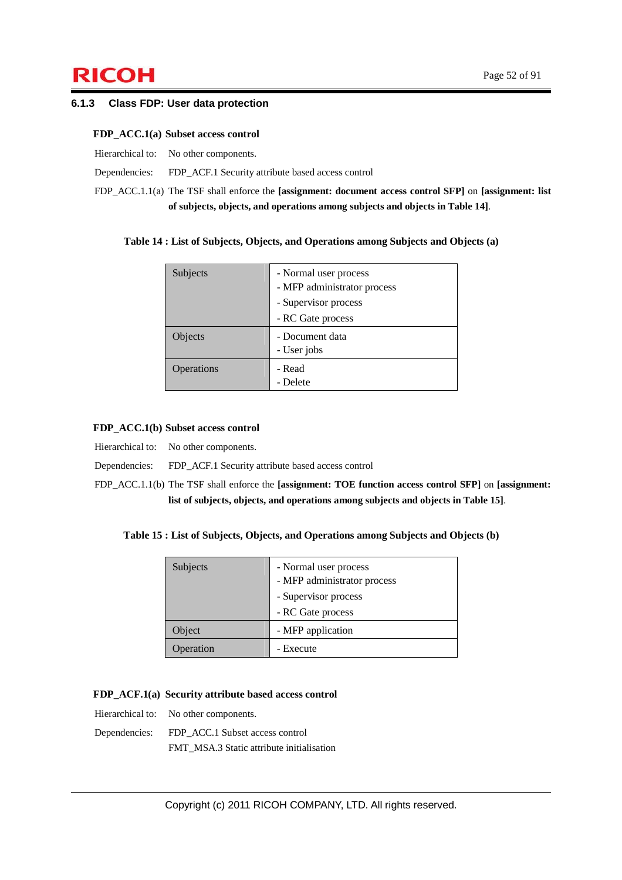# $\mathsf{RICOH}$  Page 52 of 91

#### **6.1.3 Class FDP: User data protection**

#### **FDP\_ACC.1(a) Subset access control**

| Hierarchical to: No other components.                                        |
|------------------------------------------------------------------------------|
| Dependencies: FDP ACF.1 Security attribute based access control              |
| $FDD \wedge CC \perp 1(o)$ The TCE shell enforce the Lassignment decument of |

FDP\_ACC.1.1(a) The TSF shall enforce the **[assignment: document access control SFP]** on **[assignment: list of subjects, objects, and operations among subjects and objects in Table 14]**.

#### **Table 14 : List of Subjects, Objects, and Operations among Subjects and Objects (a)**

| Subjects   | - Normal user process<br>- MFP administrator process |
|------------|------------------------------------------------------|
|            | - Supervisor process                                 |
|            | - RC Gate process                                    |
| Objects    | - Document data<br>- User jobs                       |
| Operations | - Read<br>- Delete                                   |

#### **FDP\_ACC.1(b) Subset access control**

Hierarchical to: No other components.

#### Dependencies: FDP\_ACF.1 Security attribute based access control

FDP\_ACC.1.1(b) The TSF shall enforce the **[assignment: TOE function access control SFP]** on **[assignment: list of subjects, objects, and operations among subjects and objects in Table 15]**.

#### **Table 15 : List of Subjects, Objects, and Operations among Subjects and Objects (b)**

| Subjects  | - Normal user process<br>- MFP administrator process<br>- Supervisor process<br>- RC Gate process |
|-----------|---------------------------------------------------------------------------------------------------|
| Object    | - MFP application                                                                                 |
| Operation | - Execute                                                                                         |

#### **FDP\_ACF.1(a) Security attribute based access control**

Hierarchical to: No other components.

Dependencies: FDP\_ACC.1 Subset access control

FMT\_MSA.3 Static attribute initialisation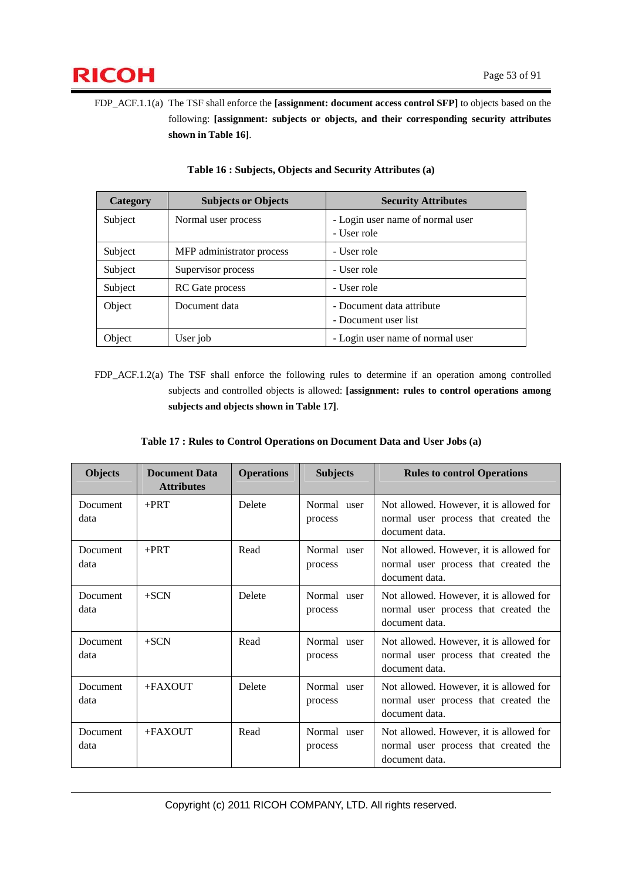

FDP\_ACF.1.1(a) The TSF shall enforce the **[assignment: document access control SFP]** to objects based on the following: **[assignment: subjects or objects, and their corresponding security attributes shown in Table 16]**.

| Category | <b>Subjects or Objects</b><br><b>Security Attributes</b> |                                  |  |
|----------|----------------------------------------------------------|----------------------------------|--|
| Subject  | Normal user process                                      | - Login user name of normal user |  |
|          |                                                          | - User role                      |  |
| Subject  | MFP administrator process                                | - User role                      |  |
| Subject  | Supervisor process                                       | - User role                      |  |
| Subject  | <b>RC</b> Gate process                                   | - User role                      |  |
| Object   | Document data                                            | - Document data attribute        |  |
|          |                                                          | - Document user list             |  |
| Object   | User job                                                 | - Login user name of normal user |  |

#### **Table 16 : Subjects, Objects and Security Attributes (a)**

FDP\_ACF.1.2(a) The TSF shall enforce the following rules to determine if an operation among controlled subjects and controlled objects is allowed: **[assignment: rules to control operations among subjects and objects shown in Table 17]**.

|  | Table 17 : Rules to Control Operations on Document Data and User Jobs (a) |  |  |
|--|---------------------------------------------------------------------------|--|--|
|--|---------------------------------------------------------------------------|--|--|

| <b>Objects</b>   | <b>Document Data</b><br><b>Attributes</b> | <b>Operations</b> | <b>Subjects</b>        | <b>Rules to control Operations</b>                                                                |
|------------------|-------------------------------------------|-------------------|------------------------|---------------------------------------------------------------------------------------------------|
| Document<br>data | $+$ PRT                                   | Delete            | Normal user<br>process | Not allowed. However, it is allowed for<br>normal user process that created the<br>document data. |
| Document<br>data | $+$ PRT                                   | Read              | Normal user<br>process | Not allowed. However, it is allowed for<br>normal user process that created the<br>document data. |
| Document<br>data | $+SCN$                                    | Delete            | Normal user<br>process | Not allowed. However, it is allowed for<br>normal user process that created the<br>document data. |
| Document<br>data | $+SCN$                                    | Read              | Normal user<br>process | Not allowed. However, it is allowed for<br>normal user process that created the<br>document data. |
| Document<br>data | $+$ FAXOUT                                | Delete            | Normal user<br>process | Not allowed. However, it is allowed for<br>normal user process that created the<br>document data. |
| Document<br>data | $+FAXOUT$                                 | Read              | Normal user<br>process | Not allowed. However, it is allowed for<br>normal user process that created the<br>document data. |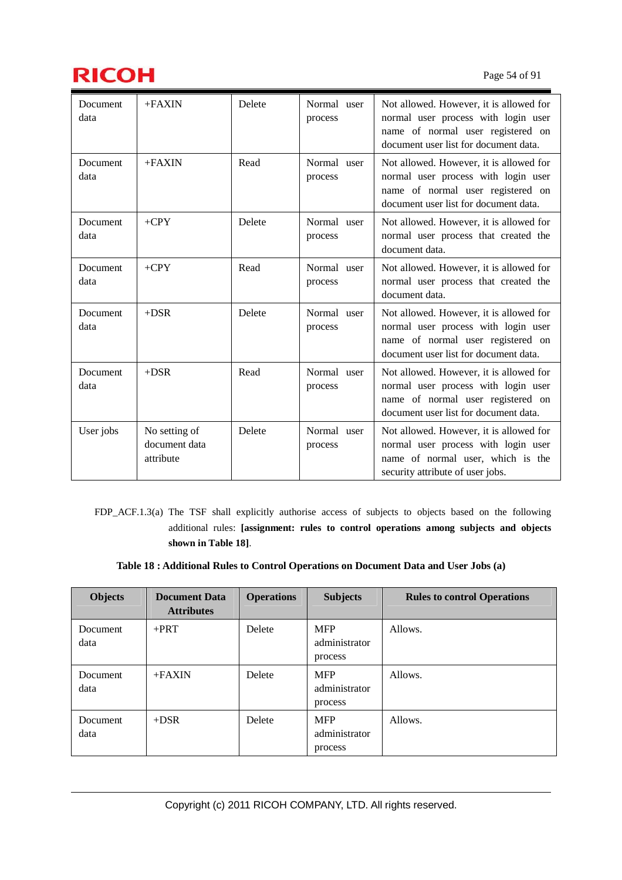

| Document<br>data | $+FAXIN$                                    | Delete | Normal user<br>process | Not allowed. However, it is allowed for<br>normal user process with login user<br>name of normal user registered on<br>document user list for document data. |
|------------------|---------------------------------------------|--------|------------------------|--------------------------------------------------------------------------------------------------------------------------------------------------------------|
| Document<br>data | $+FAXIN$                                    | Read   | Normal user<br>process | Not allowed. However, it is allowed for<br>normal user process with login user<br>name of normal user registered on<br>document user list for document data. |
| Document<br>data | $+CPY$                                      | Delete | Normal user<br>process | Not allowed. However, it is allowed for<br>normal user process that created the<br>document data.                                                            |
| Document<br>data | $+CPY$                                      | Read   | Normal user<br>process | Not allowed. However, it is allowed for<br>normal user process that created the<br>document data.                                                            |
| Document<br>data | $+DSR$                                      | Delete | Normal user<br>process | Not allowed. However, it is allowed for<br>normal user process with login user<br>name of normal user registered on<br>document user list for document data. |
| Document<br>data | $+DSR$                                      | Read   | Normal user<br>process | Not allowed. However, it is allowed for<br>normal user process with login user<br>name of normal user registered on<br>document user list for document data. |
| User jobs        | No setting of<br>document data<br>attribute | Delete | Normal user<br>process | Not allowed. However, it is allowed for<br>normal user process with login user<br>name of normal user, which is the<br>security attribute of user jobs.      |

FDP\_ACF.1.3(a) The TSF shall explicitly authorise access of subjects to objects based on the following additional rules: **[assignment: rules to control operations among subjects and objects shown in Table 18]**.

**Table 18 : Additional Rules to Control Operations on Document Data and User Jobs (a)**

| <b>Objects</b>   | <b>Document Data</b><br><b>Attributes</b> | <b>Operations</b> | <b>Subjects</b>                        | <b>Rules to control Operations</b> |
|------------------|-------------------------------------------|-------------------|----------------------------------------|------------------------------------|
| Document<br>data | $+$ PRT                                   | Delete            | <b>MFP</b><br>administrator<br>process | Allows.                            |
| Document<br>data | $+FAXIN$                                  | Delete            | <b>MFP</b><br>administrator<br>process | Allows.                            |
| Document<br>data | $+DSR$                                    | Delete            | <b>MFP</b><br>administrator<br>process | Allows.                            |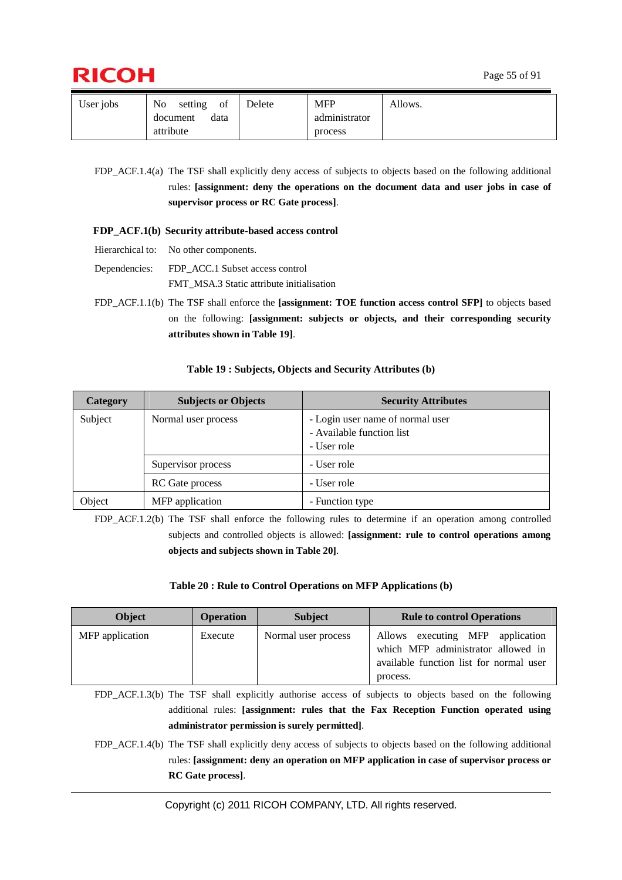

| User jobs | No<br>of<br>setting | Delete | <b>MFP</b>    | Allows. |
|-----------|---------------------|--------|---------------|---------|
|           | data<br>document    |        | administrator |         |
|           | attribute           |        | process       |         |

FDP\_ACF.1.4(a) The TSF shall explicitly deny access of subjects to objects based on the following additional rules: **[assignment: deny the operations on the document data and user jobs in case of supervisor process or RC Gate process]**.

#### **FDP\_ACF.1(b) Security attribute-based access control**

- Hierarchical to: No other components.
- Dependencies: FDP\_ACC.1 Subset access control FMT\_MSA.3 Static attribute initialisation
- FDP\_ACF.1.1(b) The TSF shall enforce the **[assignment: TOE function access control SFP]** to objects based on the following: **[assignment: subjects or objects, and their corresponding security attributes shown in Table 19]**.

#### **Table 19 : Subjects, Objects and Security Attributes (b)**

| Category | <b>Subjects or Objects</b> | <b>Security Attributes</b>                                                   |
|----------|----------------------------|------------------------------------------------------------------------------|
| Subject  | Normal user process        | - Login user name of normal user<br>- Available function list<br>- User role |
|          | Supervisor process         | - User role                                                                  |
|          | RC Gate process            | - User role                                                                  |
| Object   | MFP application            | - Function type                                                              |

FDP\_ACF.1.2(b) The TSF shall enforce the following rules to determine if an operation among controlled subjects and controlled objects is allowed: **[assignment: rule to control operations among objects and subjects shown in Table 20]**.

#### **Table 20 : Rule to Control Operations on MFP Applications (b)**

| <b>Object</b>   | <b>Operation</b> | <b>Subject</b>      | <b>Rule to control Operations</b>                                                                                                |
|-----------------|------------------|---------------------|----------------------------------------------------------------------------------------------------------------------------------|
| MFP application | Execute          | Normal user process | Allows executing MFP<br>application<br>which MFP administrator allowed in<br>available function list for normal user<br>process. |

FDP\_ACF.1.3(b) The TSF shall explicitly authorise access of subjects to objects based on the following additional rules: **[assignment: rules that the Fax Reception Function operated using administrator permission is surely permitted]**.

FDP\_ACF.1.4(b) The TSF shall explicitly deny access of subjects to objects based on the following additional rules: **[assignment: deny an operation on MFP application in case of supervisor process or RC Gate process]**.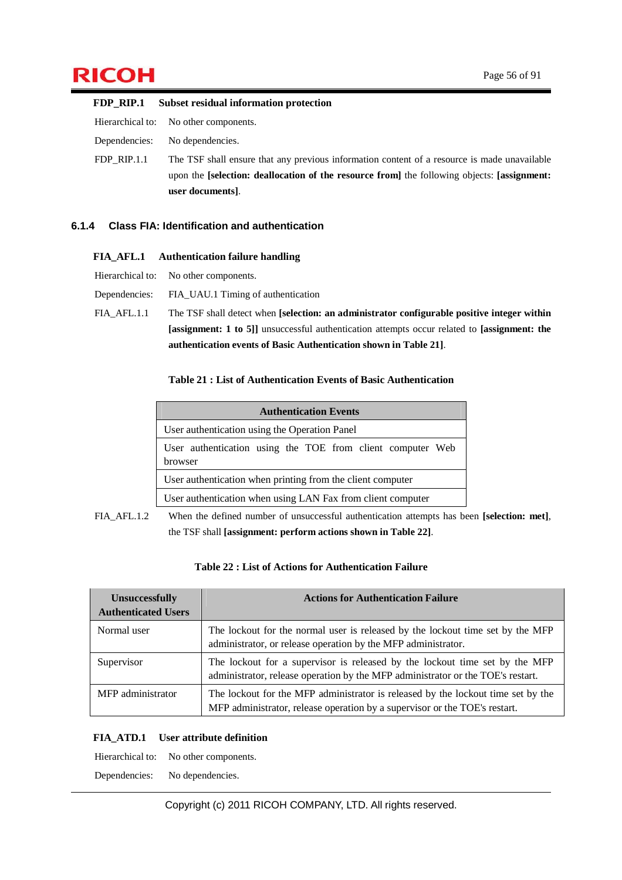# $\mathsf{RICOH}$  Page 56 of 91

|               | FDP_RIP.1 Subset residual information protection                                             |
|---------------|----------------------------------------------------------------------------------------------|
|               | Hierarchical to: No other components.                                                        |
| Dependencies: | No dependencies.                                                                             |
| $FDP$ RIP.1.1 | The TSF shall ensure that any previous information content of a resource is made unavailable |
|               | upon the [selection: deallocation of the resource from] the following objects: [assignment:  |
|               | user documents.                                                                              |

#### **6.1.4 Class FIA: Identification and authentication**

#### **FIA\_AFL.1 Authentication failure handling**

| Hierarchical to: | No other components. |  |
|------------------|----------------------|--|
|                  |                      |  |

Dependencies: FIA\_UAU.1 Timing of authentication FIA\_AFL.1.1 The TSF shall detect when **[selection: an administrator configurable positive integer within [assignment: 1 to 5]]** unsuccessful authentication attempts occur related to **[assignment: the authentication events of Basic Authentication shown in Table 21]**.

#### **Table 21 : List of Authentication Events of Basic Authentication**

|                                                                       | <b>Authentication Events</b>                               |  |
|-----------------------------------------------------------------------|------------------------------------------------------------|--|
|                                                                       | User authentication using the Operation Panel              |  |
| User authentication using the TOE from client computer Web<br>browser |                                                            |  |
|                                                                       | User authentication when printing from the client computer |  |
| User authentication when using LAN Fax from client computer           |                                                            |  |

FIA\_AFL.1.2 When the defined number of unsuccessful authentication attempts has been **[selection: met]**, the TSF shall **[assignment: perform actions shown in Table 22]**.

| Table 22 : List of Actions for Authentication Failure |  |
|-------------------------------------------------------|--|
|-------------------------------------------------------|--|

| <b>Unsuccessfully</b><br><b>Authenticated Users</b> | <b>Actions for Authentication Failure</b>                                                                                                                      |
|-----------------------------------------------------|----------------------------------------------------------------------------------------------------------------------------------------------------------------|
| Normal user                                         | The lockout for the normal user is released by the lockout time set by the MFP<br>administrator, or release operation by the MFP administrator.                |
| Supervisor                                          | The lockout for a supervisor is released by the lockout time set by the MFP<br>administrator, release operation by the MFP administrator or the TOE's restart. |
| MFP administrator                                   | The lockout for the MFP administrator is released by the lockout time set by the<br>MFP administrator, release operation by a supervisor or the TOE's restart. |

#### **FIA\_ATD.1 User attribute definition**

Hierarchical to: No other components.

Dependencies: No dependencies.

Copyright (c) 2011 RICOH COMPANY, LTD. All rights reserved.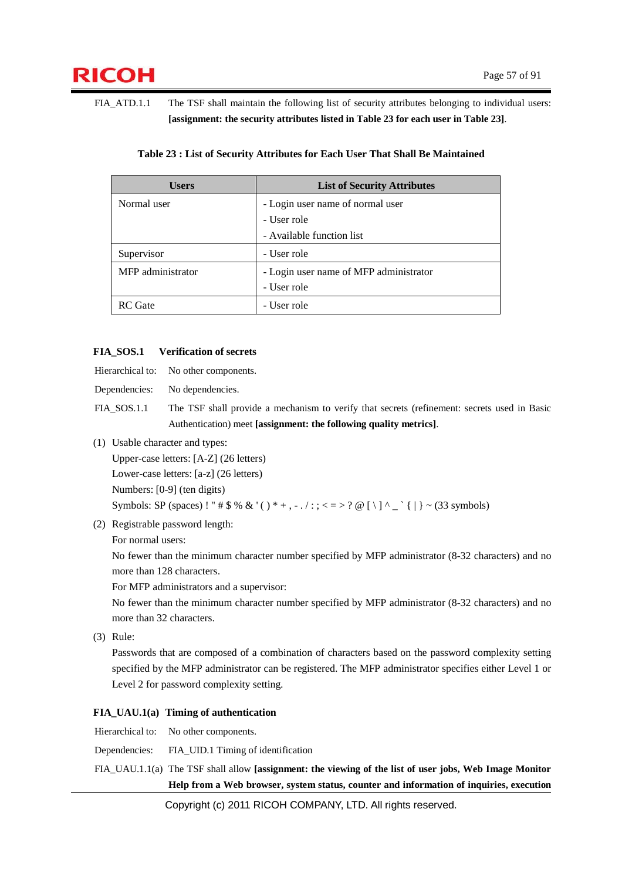FIA\_ATD.1.1 The TSF shall maintain the following list of security attributes belonging to individual users: **[assignment: the security attributes listed in Table 23 for each user in Table 23]**.

| <b>Users</b>      | <b>List of Security Attributes</b>     |
|-------------------|----------------------------------------|
| Normal user       | - Login user name of normal user       |
|                   | - User role                            |
|                   | - Available function list              |
| Supervisor        | - User role                            |
| MFP administrator | - Login user name of MFP administrator |
|                   | - User role                            |
| RC Gate           | - User role                            |

#### **Table 23 : List of Security Attributes for Each User That Shall Be Maintained**

#### **FIA\_SOS.1 Verification of secrets**

Hierarchical to: No other components.

Dependencies: No dependencies.

FIA\_SOS.1.1 The TSF shall provide a mechanism to verify that secrets (refinement: secrets used in Basic Authentication) meet **[assignment: the following quality metrics]**.

(1) Usable character and types:

Upper-case letters: [A-Z] (26 letters)

Lower-case letters: [a-z] (26 letters)

Numbers: [0-9] (ten digits)

Symbols: SP (spaces) ! " #  $\frac{6}{3}$  % & '( ) \* +, - . / :; < = > ? @ [ \ ] ^ \_ ` { | } ~ (33 symbols)

(2) Registrable password length:

For normal users:

No fewer than the minimum character number specified by MFP administrator (8-32 characters) and no more than 128 characters.

For MFP administrators and a supervisor:

No fewer than the minimum character number specified by MFP administrator (8-32 characters) and no more than 32 characters.

(3) Rule:

Passwords that are composed of a combination of characters based on the password complexity setting specified by the MFP administrator can be registered. The MFP administrator specifies either Level 1 or Level 2 for password complexity setting.

#### **FIA\_UAU.1(a) Timing of authentication**

Hierarchical to: No other components.

Dependencies: FIA\_UID.1 Timing of identification

FIA\_UAU.1.1(a) The TSF shall allow **[assignment: the viewing of the list of user jobs, Web Image Monitor Help from a Web browser, system status, counter and information of inquiries, execution** 

Copyright (c) 2011 RICOH COMPANY, LTD. All rights reserved.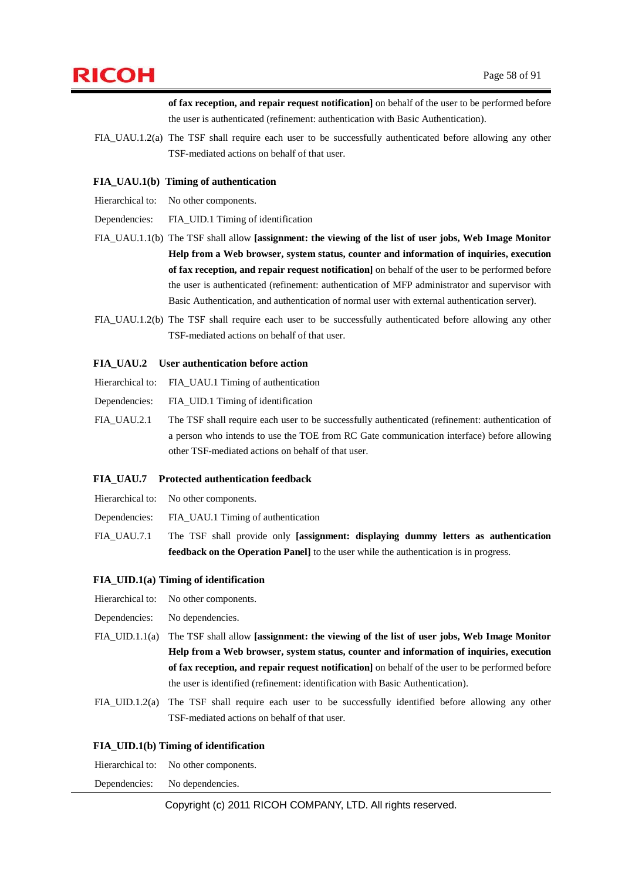

**of fax reception, and repair request notification]** on behalf of the user to be performed before the user is authenticated (refinement: authentication with Basic Authentication).

FIA UAU.1.2(a) The TSF shall require each user to be successfully authenticated before allowing any other TSF-mediated actions on behalf of that user.

#### **FIA\_UAU.1(b) Timing of authentication**

Hierarchical to: No other components.

Dependencies: FIA\_UID.1 Timing of identification

- FIA\_UAU.1.1(b) The TSF shall allow **[assignment: the viewing of the list of user jobs, Web Image Monitor Help from a Web browser, system status, counter and information of inquiries, execution of fax reception, and repair request notification]** on behalf of the user to be performed before the user is authenticated (refinement: authentication of MFP administrator and supervisor with Basic Authentication, and authentication of normal user with external authentication server).
- FIA\_UAU.1.2(b) The TSF shall require each user to be successfully authenticated before allowing any other TSF-mediated actions on behalf of that user.

#### **FIA\_UAU.2 User authentication before action**

Hierarchical to: FIA\_UAU.1 Timing of authentication

Dependencies: FIA\_UID.1 Timing of identification

FIA\_UAU.2.1 The TSF shall require each user to be successfully authenticated (refinement: authentication of a person who intends to use the TOE from RC Gate communication interface) before allowing other TSF-mediated actions on behalf of that user.

#### **FIA\_UAU.7 Protected authentication feedback**

Hierarchical to: No other components.

Dependencies: FIA\_UAU.1 Timing of authentication

FIA\_UAU.7.1 The TSF shall provide only **[assignment: displaying dummy letters as authentication feedback on the Operation Panel]** to the user while the authentication is in progress.

#### **FIA\_UID.1(a) Timing of identification**

- Hierarchical to: No other components.
- Dependencies: No dependencies.
- FIA\_UID.1.1(a) The TSF shall allow **[assignment: the viewing of the list of user jobs, Web Image Monitor Help from a Web browser, system status, counter and information of inquiries, execution of fax reception, and repair request notification]** on behalf of the user to be performed before the user is identified (refinement: identification with Basic Authentication).
- FIA\_UID.1.2(a) The TSF shall require each user to be successfully identified before allowing any other TSF-mediated actions on behalf of that user.

#### **FIA\_UID.1(b) Timing of identification**

| Hierarchical to: | No other components. |
|------------------|----------------------|
| Dependencies:    | No dependencies.     |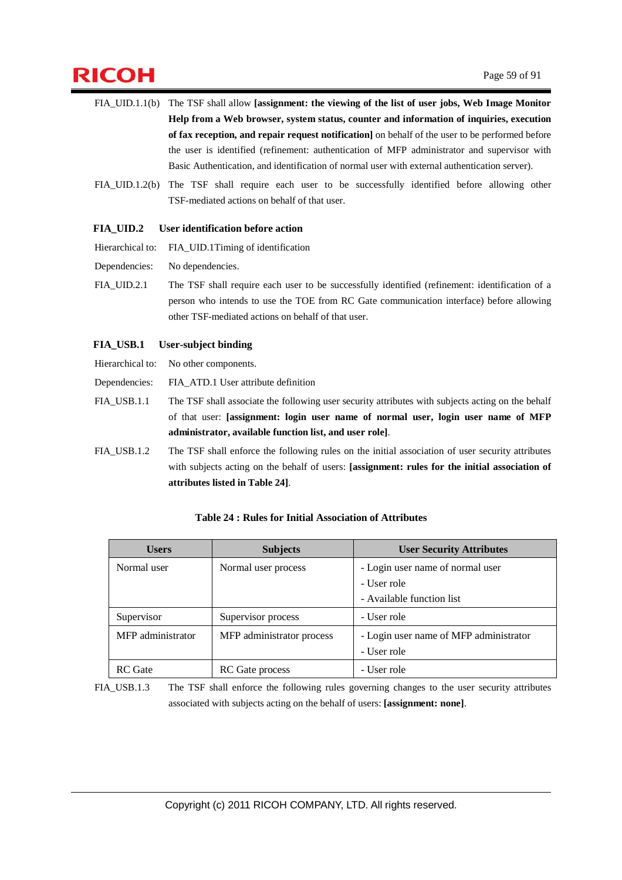# $\mathsf{RICOH}$  Page 59 of 91

- FIA\_UID.1.1(b) The TSF shall allow **[assignment: the viewing of the list of user jobs, Web Image Monitor Help from a Web browser, system status, counter and information of inquiries, execution of fax reception, and repair request notification]** on behalf of the user to be performed before the user is identified (refinement: authentication of MFP administrator and supervisor with Basic Authentication, and identification of normal user with external authentication server).
- FIA\_UID.1.2(b) The TSF shall require each user to be successfully identified before allowing other TSF-mediated actions on behalf of that user.

#### **FIA\_UID.2 User identification before action**

Hierarchical to: FIA\_UID.1Timing of identification

- Dependencies: No dependencies.
- FIA\_UID.2.1 The TSF shall require each user to be successfully identified (refinement: identification of a person who intends to use the TOE from RC Gate communication interface) before allowing other TSF-mediated actions on behalf of that user.

#### **FIA\_USB.1 User-subject binding**

Hierarchical to: No other components.

Dependencies: FIA\_ATD.1 User attribute definition

FIA\_USB.1.1 The TSF shall associate the following user security attributes with subjects acting on the behalf of that user: **[assignment: login user name of normal user, login user name of MFP administrator, available function list, and user role]**.

FIA\_USB.1.2 The TSF shall enforce the following rules on the initial association of user security attributes with subjects acting on the behalf of users: **[assignment: rules for the initial association of attributes listed in Table 24]**.

| <b>Users</b>      | <b>Subjects</b>           | <b>User Security Attributes</b>        |  |
|-------------------|---------------------------|----------------------------------------|--|
| Normal user       | Normal user process       | - Login user name of normal user       |  |
|                   |                           | - User role                            |  |
|                   |                           | - Available function list              |  |
| Supervisor        | Supervisor process        | - User role                            |  |
| MFP administrator | MFP administrator process | - Login user name of MFP administrator |  |
|                   |                           | - User role                            |  |
| <b>RC</b> Gate    | <b>RC</b> Gate process    | - User role                            |  |

#### **Table 24 : Rules for Initial Association of Attributes**

FIA\_USB.1.3 The TSF shall enforce the following rules governing changes to the user security attributes associated with subjects acting on the behalf of users: **[assignment: none]**.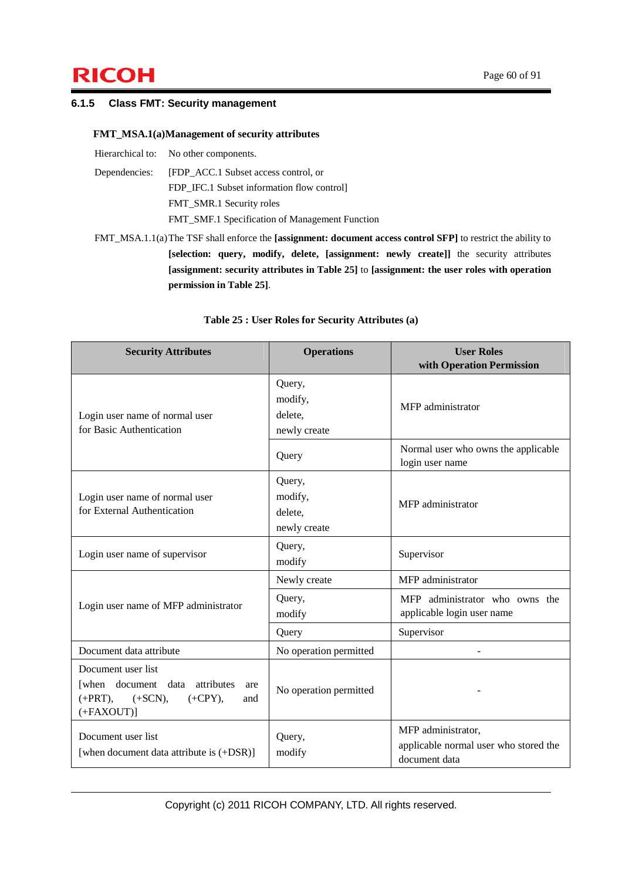# $\mathsf{RICOH}$  Page 60 of 91

#### **6.1.5 Class FMT: Security management**

#### **FMT\_MSA.1(a) Management of security attributes**

| Hierarchical to: No other components.              |
|----------------------------------------------------|
| Dependencies: [FDP ACC.1 Subset access control, or |
| FDP IFC.1 Subset information flow control          |
| FMT_SMR.1 Security roles                           |
| FMT_SMF.1 Specification of Management Function     |

FMT\_MSA.1.1(a) The TSF shall enforce the **[assignment: document access control SFP]** to restrict the ability to **[selection: query, modify, delete, [assignment: newly create]]** the security attributes **[assignment: security attributes in Table 25]** to **[assignment: the user roles with operation permission in Table 25]**.

| <b>Security Attributes</b>                                                                                                       | <b>Operations</b>                            | <b>User Roles</b><br>with Operation Permission                               |
|----------------------------------------------------------------------------------------------------------------------------------|----------------------------------------------|------------------------------------------------------------------------------|
| Login user name of normal user<br>for Basic Authentication                                                                       | Query,<br>modify,<br>delete,<br>newly create | MFP administrator                                                            |
|                                                                                                                                  | Query                                        | Normal user who owns the applicable<br>login user name                       |
| Login user name of normal user<br>for External Authentication                                                                    | Query,<br>modify,<br>delete.<br>newly create | MFP administrator                                                            |
| Login user name of supervisor                                                                                                    | Query,<br>modify                             | Supervisor                                                                   |
|                                                                                                                                  | Newly create                                 | MFP administrator                                                            |
| Login user name of MFP administrator                                                                                             | Query,<br>modify                             | MFP administrator who owns the<br>applicable login user name                 |
|                                                                                                                                  | Query                                        | Supervisor                                                                   |
| Document data attribute                                                                                                          | No operation permitted                       |                                                                              |
| Document user list<br>attributes<br>document data<br>[when]<br>are<br>$(+PRT),$<br>$(+SCN),$<br>$(+CPY),$<br>and<br>$(+FAXOUT)]$ | No operation permitted                       |                                                                              |
| Document user list<br>[when document data attribute is (+DSR)]                                                                   | Query,<br>modify                             | MFP administrator,<br>applicable normal user who stored the<br>document data |

#### **Table 25 : User Roles for Security Attributes (a)**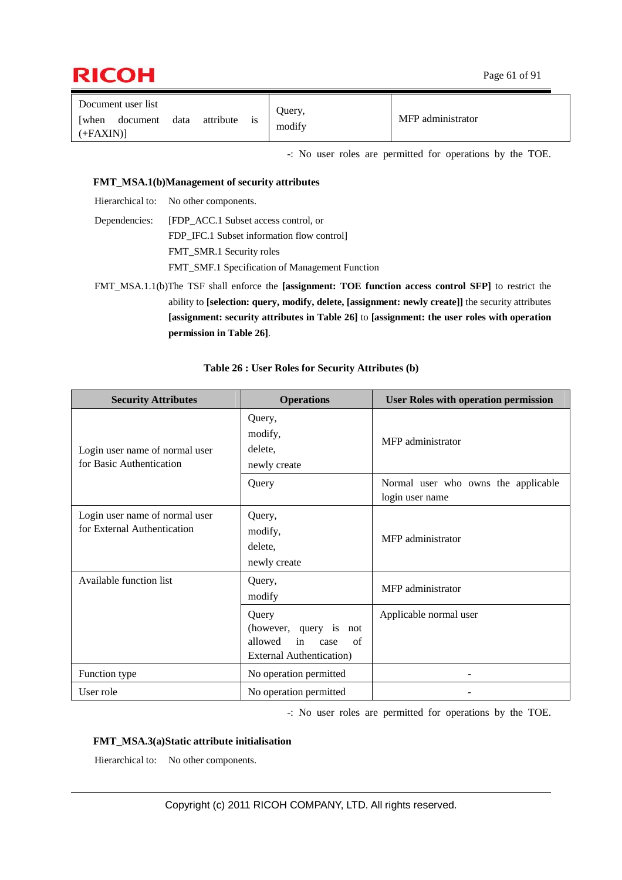

| Document user list                     |      |           |    | Query, |                   |
|----------------------------------------|------|-----------|----|--------|-------------------|
| <b>[when</b><br>document<br>$(+FAXIN)$ | data | attribute | 1S | modify | MFP administrator |

-: No user roles are permitted for operations by the TOE.

#### **FMT\_MSA.1(b)Management of security attributes**

Hierarchical to: No other components.

Dependencies: [FDP\_ACC.1 Subset access control, or FDP\_IFC.1 Subset information flow control] FMT\_SMR.1 Security roles FMT\_SMF.1 Specification of Management Function

FMT\_MSA.1.1(b)The TSF shall enforce the **[assignment: TOE function access control SFP]** to restrict the ability to **[selection: query, modify, delete, [assignment: newly create]]** the security attributes **[assignment: security attributes in Table 26]** to **[assignment: the user roles with operation permission in Table 26]**.

| <b>Security Attributes</b>                                    | <b>Operations</b>                                                                                     | <b>User Roles with operation permission</b>            |
|---------------------------------------------------------------|-------------------------------------------------------------------------------------------------------|--------------------------------------------------------|
| Login user name of normal user<br>for Basic Authentication    | Query,<br>modify,<br>delete,<br>newly create                                                          | MFP administrator                                      |
|                                                               | Query                                                                                                 | Normal user who owns the applicable<br>login user name |
| Login user name of normal user<br>for External Authentication | Query,<br>modify,<br>delete,<br>newly create                                                          | MFP administrator                                      |
| Available function list                                       | Query,<br>modify                                                                                      | MFP administrator                                      |
|                                                               | Query<br>(however, query is<br>not<br>in<br>allowed<br>of<br>case<br><b>External Authentication</b> ) | Applicable normal user                                 |
| Function type                                                 | No operation permitted                                                                                |                                                        |
| User role                                                     | No operation permitted                                                                                |                                                        |

#### **Table 26 : User Roles for Security Attributes (b)**

-: No user roles are permitted for operations by the TOE.

#### **FMT\_MSA.3(a) Static attribute initialisation**

Hierarchical to: No other components.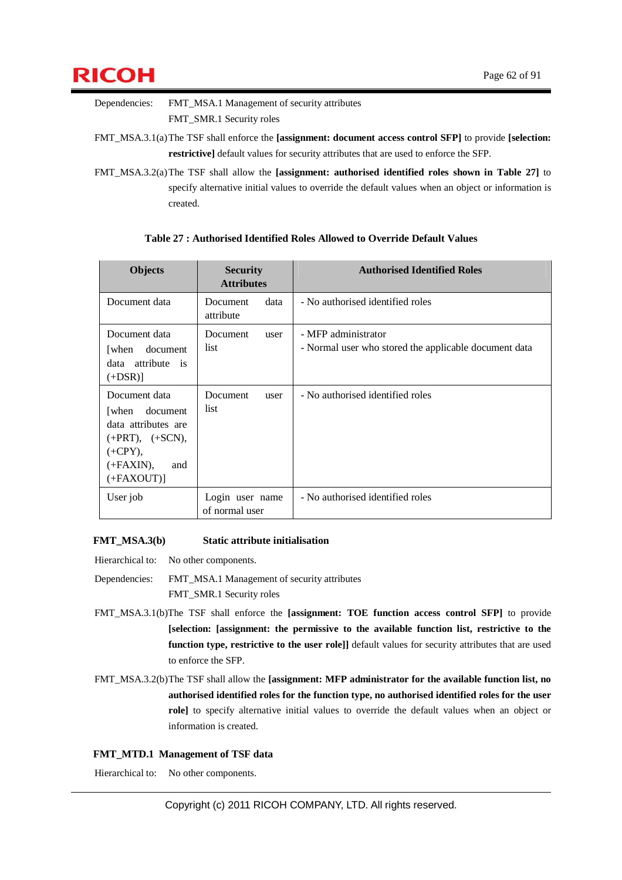

Dependencies: FMT\_MSA.1 Management of security attributes FMT\_SMR.1 Security roles

FMT\_MSA.3.1(a) The TSF shall enforce the **[assignment: document access control SFP]** to provide **[selection: restrictive]** default values for security attributes that are used to enforce the SFP.

FMT\_MSA.3.2(a) The TSF shall allow the **[assignment: authorised identified roles shown in Table 27]** to specify alternative initial values to override the default values when an object or information is created.

| <b>Objects</b>                                                                                                                         | <b>Security</b><br><b>Attributes</b> | <b>Authorised Identified Roles</b>                                           |
|----------------------------------------------------------------------------------------------------------------------------------------|--------------------------------------|------------------------------------------------------------------------------|
| Document data                                                                                                                          | data<br><b>Document</b><br>attribute | - No authorised identified roles                                             |
| Document data<br>[when]<br>document<br>data attribute<br>is<br>$(+DSR)$ ]                                                              | Document<br>user<br>list.            | - MFP administrator<br>- Normal user who stored the applicable document data |
| Document data<br>document<br>[when]<br>data attributes are<br>$(+PRT)$ , $(+SCN)$ ,<br>$(+CPY),$<br>$(+FAXIN),$<br>and<br>$(+FAXOUT)]$ | Document<br>user<br>list             | - No authorised identified roles                                             |
| User job                                                                                                                               | Login user name<br>of normal user    | - No authorised identified roles                                             |

#### **Table 27 : Authorised Identified Roles Allowed to Override Default Values**

#### **FMT\_MSA.3(b) Static attribute initialisation**

Hierarchical to: No other components.

Dependencies: FMT\_MSA.1 Management of security attributes FMT\_SMR.1 Security roles

- FMT\_MSA.3.1(b)The TSF shall enforce the **[assignment: TOE function access control SFP]** to provide **[selection: [assignment: the permissive to the available function list, restrictive to the function type, restrictive to the user role]]** default values for security attributes that are used to enforce the SFP.
- FMT\_MSA.3.2(b) The TSF shall allow the **[assignment: MFP administrator for the available function list, no authorised identified roles for the function type, no authorised identified roles for the user role]** to specify alternative initial values to override the default values when an object or information is created.

#### **FMT\_MTD.1 Management of TSF data**

Hierarchical to: No other components.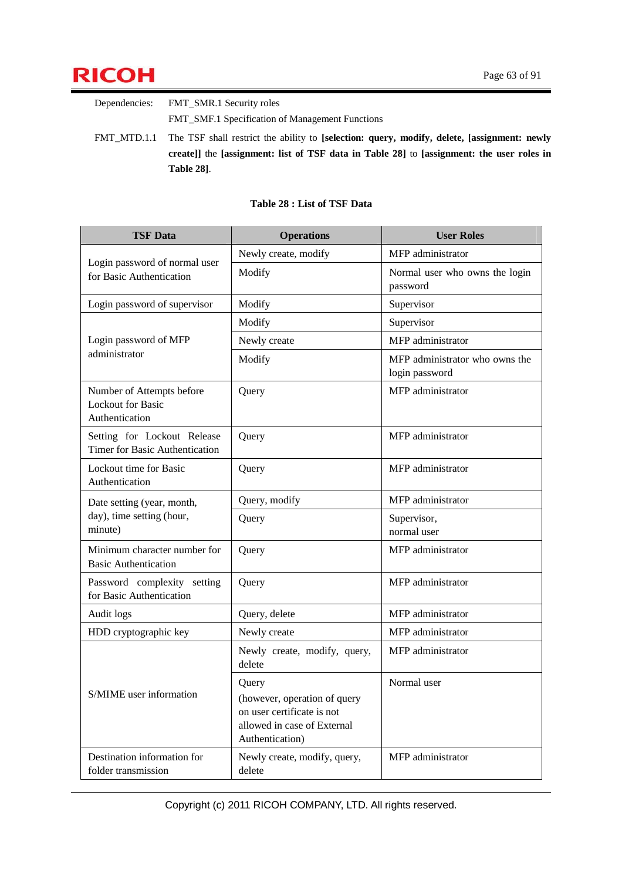

Dependencies: FMT\_SMR.1 Security roles FMT\_SMF.1 Specification of Management Functions FMT\_MTD.1.1 The TSF shall restrict the ability to **[selection: query, modify, delete, [assignment: newly create]]** the **[assignment: list of TSF data in Table 28]** to **[assignment: the user roles in** 

**Table 28]**.

| <b>TSF Data</b>                                                         | <b>Operations</b>                                                                                                     | <b>User Roles</b>                                |
|-------------------------------------------------------------------------|-----------------------------------------------------------------------------------------------------------------------|--------------------------------------------------|
|                                                                         | Newly create, modify                                                                                                  | MFP administrator                                |
| Login password of normal user<br>for Basic Authentication               | Modify                                                                                                                | Normal user who owns the login<br>password       |
| Login password of supervisor                                            | Modify                                                                                                                | Supervisor                                       |
|                                                                         | Modify                                                                                                                | Supervisor                                       |
| Login password of MFP                                                   | Newly create                                                                                                          | MFP administrator                                |
| administrator                                                           | Modify                                                                                                                | MFP administrator who owns the<br>login password |
| Number of Attempts before<br><b>Lockout for Basic</b><br>Authentication | Query                                                                                                                 | MFP administrator                                |
| Setting for Lockout Release<br>Timer for Basic Authentication           | Query                                                                                                                 | MFP administrator                                |
| Lockout time for Basic<br>Authentication                                | Query                                                                                                                 | MFP administrator                                |
| Date setting (year, month,                                              | Query, modify                                                                                                         | MFP administrator                                |
| day), time setting (hour,<br>minute)                                    | Query                                                                                                                 | Supervisor,<br>normal user                       |
| Minimum character number for<br><b>Basic Authentication</b>             | Query                                                                                                                 | MFP administrator                                |
| Password complexity setting<br>for Basic Authentication                 | Query                                                                                                                 | MFP administrator                                |
| Audit logs                                                              | Query, delete                                                                                                         | MFP administrator                                |
| HDD cryptographic key                                                   | Newly create                                                                                                          | MFP administrator                                |
|                                                                         | Newly create, modify, query,<br>delete                                                                                | MFP administrator                                |
| S/MIME user information                                                 | Query<br>(however, operation of query<br>on user certificate is not<br>allowed in case of External<br>Authentication) | Normal user                                      |
| Destination information for<br>folder transmission                      | Newly create, modify, query,<br>delete                                                                                | MFP administrator                                |

#### **Table 28 : List of TSF Data**

Copyright (c) 2011 RICOH COMPANY, LTD. All rights reserved.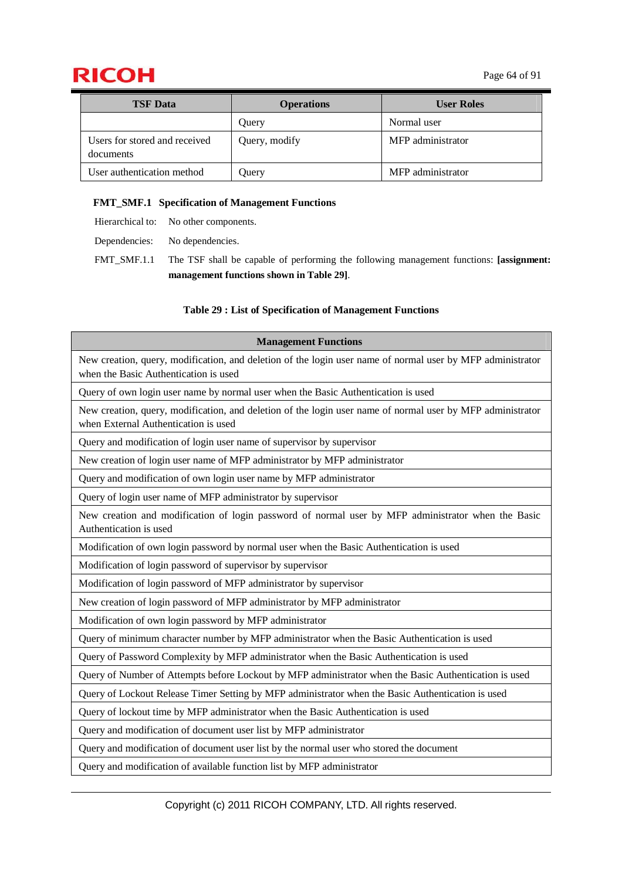## **RICOH** Page 64 of 91

| <b>TSF</b> Data                            | <b>Operations</b> | <b>User Roles</b> |
|--------------------------------------------|-------------------|-------------------|
|                                            | Query             | Normal user       |
| Users for stored and received<br>documents | Query, modify     | MFP administrator |
| User authentication method                 | Query             | MFP administrator |

#### **FMT\_SMF.1 Specification of Management Functions**

Hierarchical to: No other components.

Dependencies: No dependencies.

FMT\_SMF.1.1 The TSF shall be capable of performing the following management functions: **[assignment: management functions shown in Table 29]**.

#### **Table 29 : List of Specification of Management Functions**

| <b>Management Functions</b>                                                                                                                         |
|-----------------------------------------------------------------------------------------------------------------------------------------------------|
| New creation, query, modification, and deletion of the login user name of normal user by MFP administrator<br>when the Basic Authentication is used |
| Query of own login user name by normal user when the Basic Authentication is used                                                                   |
| New creation, query, modification, and deletion of the login user name of normal user by MFP administrator<br>when External Authentication is used  |
| Query and modification of login user name of supervisor by supervisor                                                                               |
| New creation of login user name of MFP administrator by MFP administrator                                                                           |
| Query and modification of own login user name by MFP administrator                                                                                  |
| Query of login user name of MFP administrator by supervisor                                                                                         |
| New creation and modification of login password of normal user by MFP administrator when the Basic<br>Authentication is used                        |
| Modification of own login password by normal user when the Basic Authentication is used                                                             |
| Modification of login password of supervisor by supervisor                                                                                          |
| Modification of login password of MFP administrator by supervisor                                                                                   |
| New creation of login password of MFP administrator by MFP administrator                                                                            |
| Modification of own login password by MFP administrator                                                                                             |
| Query of minimum character number by MFP administrator when the Basic Authentication is used                                                        |
| Query of Password Complexity by MFP administrator when the Basic Authentication is used                                                             |
| Query of Number of Attempts before Lockout by MFP administrator when the Basic Authentication is used                                               |
| Query of Lockout Release Timer Setting by MFP administrator when the Basic Authentication is used                                                   |
| Query of lockout time by MFP administrator when the Basic Authentication is used                                                                    |
| Query and modification of document user list by MFP administrator                                                                                   |
| Query and modification of document user list by the normal user who stored the document                                                             |
| Query and modification of available function list by MFP administrator                                                                              |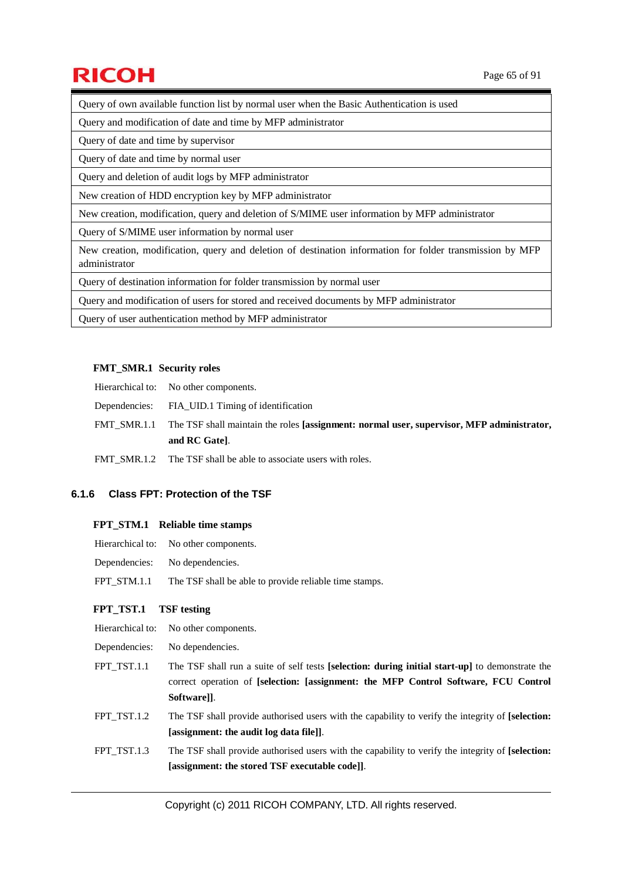# $\mathsf{RICOH}$  Page 65 of 91

Query of own available function list by normal user when the Basic Authentication is used

Query and modification of date and time by MFP administrator

Query of date and time by supervisor

Query of date and time by normal user

Query and deletion of audit logs by MFP administrator

New creation of HDD encryption key by MFP administrator

New creation, modification, query and deletion of S/MIME user information by MFP administrator

Query of S/MIME user information by normal user

New creation, modification, query and deletion of destination information for folder transmission by MFP administrator

Query of destination information for folder transmission by normal user

Query and modification of users for stored and received documents by MFP administrator

Query of user authentication method by MFP administrator

#### **FMT\_SMR.1 Security roles**

| Hierarchical to: No other components.                                                                 |
|-------------------------------------------------------------------------------------------------------|
| Dependencies: FIA UID.1 Timing of identification                                                      |
| FMT SMR.1.1 The TSF shall maintain the roles [assignment: normal user, supervisor, MFP administrator, |
| and RC Gatel.                                                                                         |
| FMT SMR.1.2 The TSF shall be able to associate users with roles.                                      |

#### **6.1.6 Class FPT: Protection of the TSF**

#### **FPT\_STM.1 Reliable time stamps**

| Hierarchical to: | No other components. |
|------------------|----------------------|
|------------------|----------------------|

- Dependencies: No dependencies.
- FPT STM.1.1 The TSF shall be able to provide reliable time stamps.

#### **FPT\_TST.1 TSF testing**

- Hierarchical to: No other components.
- Dependencies: No dependencies.
- FPT TST.1.1 The TSF shall run a suite of self tests **[selection: during initial start-up**] to demonstrate the correct operation of **[selection: [assignment: the MFP Control Software, FCU Control Software]]**.
- FPT TST.1.2 The TSF shall provide authorised users with the capability to verify the integrity of **[selection: [assignment: the audit log data file]]**.
- FPT TST.1.3 The TSF shall provide authorised users with the capability to verify the integrity of **[selection: [assignment: the stored TSF executable code]]**.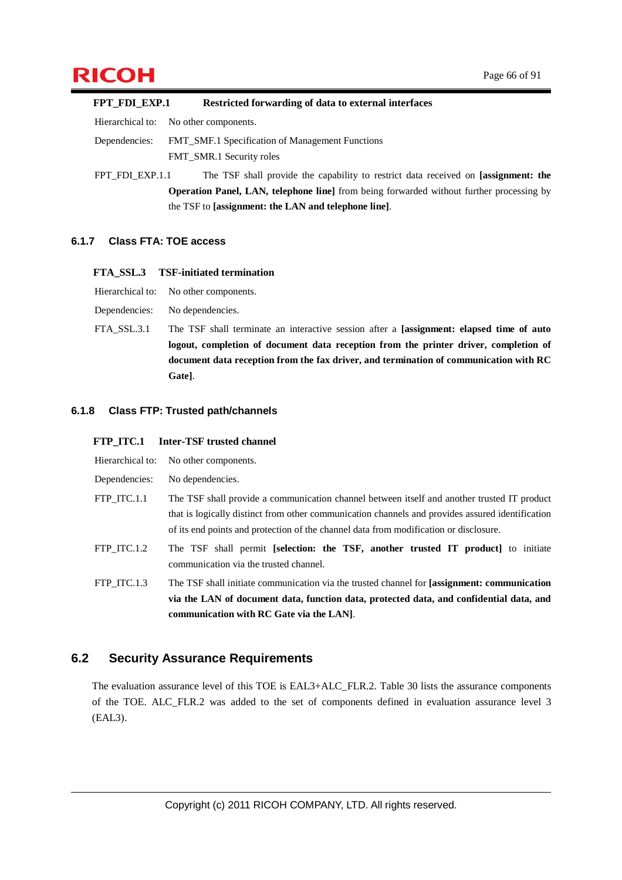# $\mathsf{RICOH}$  Page 66 of 91

**FPT\_FDI\_EXP.1 Restricted forwarding of data to external interfaces**  Hierarchical to: No other components.

Dependencies: FMT\_SMF.1 Specification of Management Functions FMT\_SMR.1 Security roles

FPT\_FDI\_EXP.1.1 The TSF shall provide the capability to restrict data received on **[assignment: the Operation Panel, LAN, telephone line]** from being forwarded without further processing by the TSF to **[assignment: the LAN and telephone line]**.

#### **6.1.7 Class FTA: TOE access**

#### **FTA\_SSL.3 TSF-initiated termination**

Hierarchical to: No other components.

Dependencies: No dependencies.

FTA\_SSL.3.1 The TSF shall terminate an interactive session after a **[assignment: elapsed time of auto logout, completion of document data reception from the printer driver, completion of document data reception from the fax driver, and termination of communication with RC Gate]**.

#### **6.1.8 Class FTP: Trusted path/channels**

#### **FTP** ITC.1 Inter-TSF trusted channel

|               | Hierarchical to: No other components.                                                                                                                                                                                                                                                    |
|---------------|------------------------------------------------------------------------------------------------------------------------------------------------------------------------------------------------------------------------------------------------------------------------------------------|
| Dependencies: | No dependencies.                                                                                                                                                                                                                                                                         |
| FTP ITC.1.1   | The TSF shall provide a communication channel between itself and another trusted IT product<br>that is logically distinct from other communication channels and provides assured identification<br>of its end points and protection of the channel data from modification or disclosure. |
| FTP ITC.1.2   | The TSF shall permit [selection: the TSF, another trusted IT product] to initiate<br>communication via the trusted channel.                                                                                                                                                              |
| FTP ITC.1.3   | The TSF shall initiate communication via the trusted channel for [assignment: communication<br>be etch leitgebühren bre etch batastare etch raitaurit etch treerungh to LA I adt eiv                                                                                                     |

**via the LAN of document data, function data, protected data, and confidential data, and communication with RC Gate via the LAN]**.

### **6.2 Security Assurance Requirements**

The evaluation assurance level of this TOE is EAL3+ALC\_FLR.2. Table 30 lists the assurance components of the TOE. ALC\_FLR.2 was added to the set of components defined in evaluation assurance level 3 (EAL3).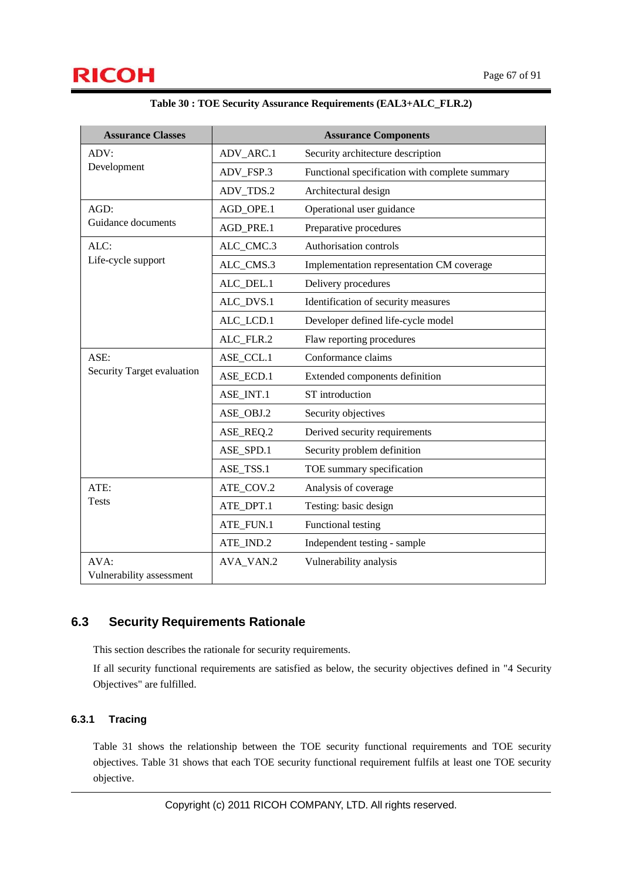| <b>Assurance Classes</b>         |           | <b>Assurance Components</b>                    |
|----------------------------------|-----------|------------------------------------------------|
| ADV:                             | ADV_ARC.1 | Security architecture description              |
| Development                      | ADV_FSP.3 | Functional specification with complete summary |
|                                  | ADV_TDS.2 | Architectural design                           |
| AGD:                             | AGD_OPE.1 | Operational user guidance                      |
| Guidance documents               | AGD_PRE.1 | Preparative procedures                         |
| ALC:                             | ALC_CMC.3 | Authorisation controls                         |
| Life-cycle support               | ALC_CMS.3 | Implementation representation CM coverage      |
|                                  | ALC_DEL.1 | Delivery procedures                            |
|                                  | ALC_DVS.1 | Identification of security measures            |
|                                  | ALC_LCD.1 | Developer defined life-cycle model             |
|                                  | ALC_FLR.2 | Flaw reporting procedures                      |
| ASE:                             | ASE_CCL.1 | Conformance claims                             |
| Security Target evaluation       | ASE ECD.1 | Extended components definition                 |
|                                  | ASE_INT.1 | ST introduction                                |
|                                  | ASE_OBJ.2 | Security objectives                            |
|                                  | ASE_REQ.2 | Derived security requirements                  |
|                                  | ASE_SPD.1 | Security problem definition                    |
|                                  | ASE_TSS.1 | TOE summary specification                      |
| ATE:                             | ATE_COV.2 | Analysis of coverage                           |
| <b>Tests</b>                     | ATE_DPT.1 | Testing: basic design                          |
|                                  | ATE_FUN.1 | Functional testing                             |
|                                  | ATE_IND.2 | Independent testing - sample                   |
| AVA:<br>Vulnerability assessment | AVA_VAN.2 | Vulnerability analysis                         |
|                                  |           |                                                |

|  | Table 30 : TOE Security Assurance Requirements (EAL3+ALC_FLR.2) |  |  |
|--|-----------------------------------------------------------------|--|--|
|--|-----------------------------------------------------------------|--|--|

### **6.3 Security Requirements Rationale**

This section describes the rationale for security requirements.

If all security functional requirements are satisfied as below, the security objectives defined in "4 Security Objectives" are fulfilled.

### **6.3.1 Tracing**

Table 31 shows the relationship between the TOE security functional requirements and TOE security objectives. Table 31 shows that each TOE security functional requirement fulfils at least one TOE security objective.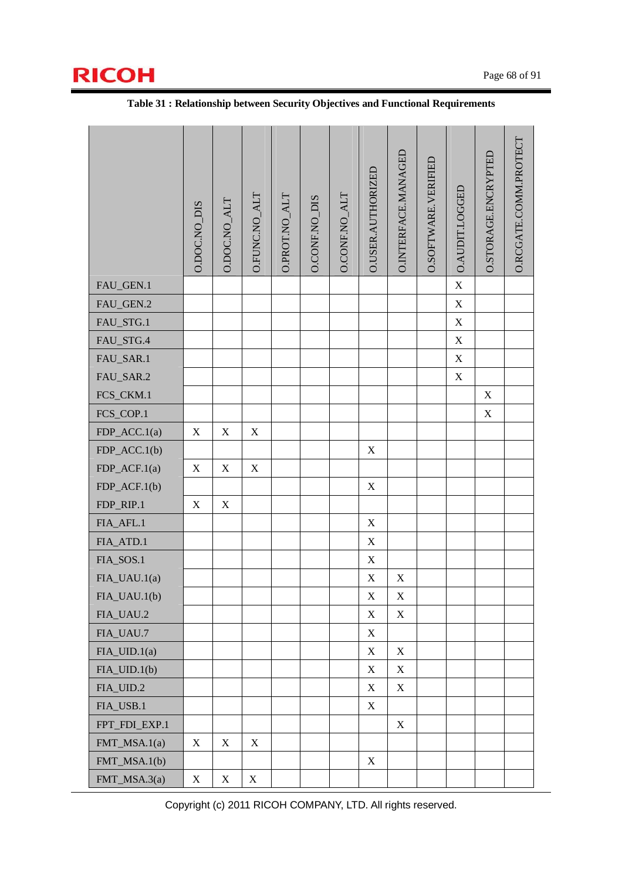

|                 | O.DOC.NO_DIS | O.DOC.NO_ALT | O.FUNC.NO_ALT             | O.PROT.NO_ALT | <b>O.CONF.NO_DIS</b> | O.CONF.NO_ALT | O.USER.AUTHORIZED         | O. INTERFACE. MANAGED | O.SOFTWARE.VERIFIED | O.AUDIT.LOGGED | O.STORAGE.ENCRYPTED | O.RCGATE.COMM.PROTECT |
|-----------------|--------------|--------------|---------------------------|---------------|----------------------|---------------|---------------------------|-----------------------|---------------------|----------------|---------------------|-----------------------|
| FAU_GEN.1       |              |              |                           |               |                      |               |                           |                       |                     | $\mathbf X$    |                     |                       |
| FAU_GEN.2       |              |              |                           |               |                      |               |                           |                       |                     | $\mathbf X$    |                     |                       |
| FAU_STG.1       |              |              |                           |               |                      |               |                           |                       |                     | $\mathbf X$    |                     |                       |
| FAU_STG.4       |              |              |                           |               |                      |               |                           |                       |                     | $\mathbf X$    |                     |                       |
| FAU_SAR.1       |              |              |                           |               |                      |               |                           |                       |                     | $\mathbf X$    |                     |                       |
| FAU_SAR.2       |              |              |                           |               |                      |               |                           |                       |                     | $\mathbf X$    |                     |                       |
| FCS_CKM.1       |              |              |                           |               |                      |               |                           |                       |                     |                | $\mathbf X$         |                       |
| FCS_COP.1       |              |              |                           |               |                      |               |                           |                       |                     |                | $\mathbf X$         |                       |
| FDP_ACC.1(a)    | $\mathbf X$  | $\mathbf X$  | $\mathbf X$               |               |                      |               |                           |                       |                     |                |                     |                       |
| $FDP\_ACC.1(b)$ |              |              |                           |               |                      |               | $\mathbf X$               |                       |                     |                |                     |                       |
| $FDP\_ACF.1(a)$ | $\mathbf X$  | X            | $\mathbf X$               |               |                      |               |                           |                       |                     |                |                     |                       |
| $FDP\_ACF.1(b)$ |              |              |                           |               |                      |               | $\mathbf X$               |                       |                     |                |                     |                       |
| FDP_RIP.1       | $\mathbf X$  | X            |                           |               |                      |               |                           |                       |                     |                |                     |                       |
| FIA_AFL.1       |              |              |                           |               |                      |               | $\mathbf X$               |                       |                     |                |                     |                       |
| FIA_ATD.1       |              |              |                           |               |                      |               | $\mathbf X$               |                       |                     |                |                     |                       |
| FIA_SOS.1       |              |              |                           |               |                      |               | $\mathbf X$               |                       |                     |                |                     |                       |
| FIA_UAU.1(a)    |              |              |                           |               |                      |               | $\mathbf X$               | $\mathbf X$           |                     |                |                     |                       |
| FIA_UAU.1(b)    |              |              |                           |               |                      |               | $\mathbf X$               | $\mathbf X$           |                     |                |                     |                       |
| FIA_UAU.2       |              |              |                           |               |                      |               | $\mathbf X$               | $\mathbf X$           |                     |                |                     |                       |
| FIA_UAU.7       |              |              |                           |               |                      |               | $\mathbf X$               |                       |                     |                |                     |                       |
| $FIA_UID.1(a)$  |              |              |                           |               |                      |               | X                         | X                     |                     |                |                     |                       |
| $FIA_UID.1(b)$  |              |              |                           |               |                      |               | X                         | X                     |                     |                |                     |                       |
| FIA_UID.2       |              |              |                           |               |                      |               | X                         | $\mathbf X$           |                     |                |                     |                       |
| FIA_USB.1       |              |              |                           |               |                      |               | X                         |                       |                     |                |                     |                       |
| FPT_FDI_EXP.1   |              |              |                           |               |                      |               |                           | $\mathbf X$           |                     |                |                     |                       |
| FMT_MSA.1(a)    | $\mathbf X$  | X            | $\boldsymbol{\mathrm{X}}$ |               |                      |               |                           |                       |                     |                |                     |                       |
| FMT_MSA.1(b)    |              |              |                           |               |                      |               | $\boldsymbol{\mathrm{X}}$ |                       |                     |                |                     |                       |
| FMT_MSA.3(a)    | $\mathbf X$  | $\mathbf X$  | $\mathbf X$               |               |                      |               |                           |                       |                     |                |                     |                       |

#### **Table 31 : Relationship between Security Objectives and Functional Requirements**

Copyright (c) 2011 RICOH COMPANY, LTD. All rights reserved.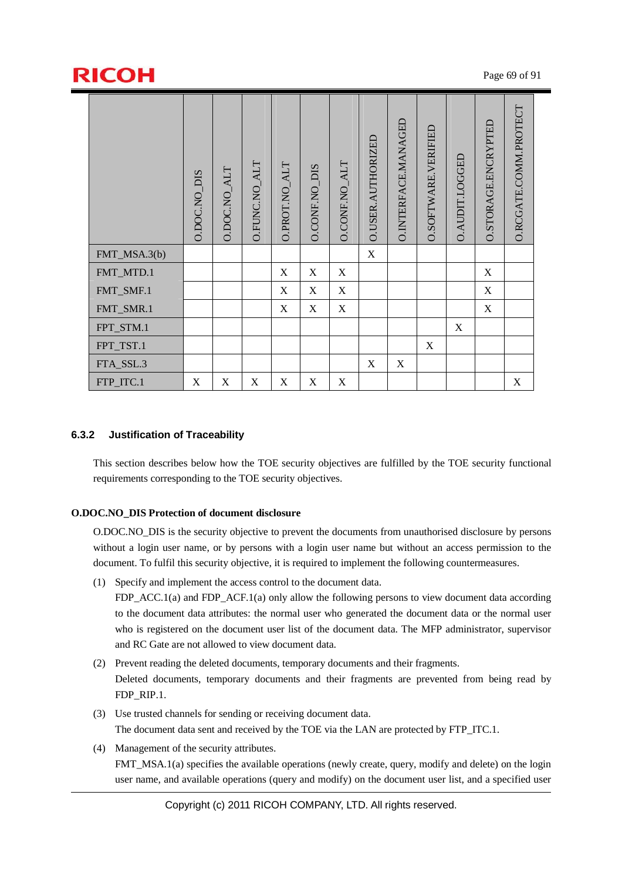# $\mathsf{RICOH}$  Page 69 of 91

|                                                                                                                                                                                                  |                                                                                                                                                                                                                                                                                                                                                                                                                                                | 0.DOC.NO_DIS | 0.DOC.NO_ALT | O.FUNC.NO_ALT | O.PROT.NO_ALT    | <b>D.CONF.NO_DIS</b>                                        | O.CONF.NO_ALT | O.USER.AUTHORIZEL | <b>D.INTERFACE.MANAGEL</b> | O.SOFTWARE.VERIFIEL | O.AUDIT.LOGGED | O.STORAGE.ENCRYPTEL | O.RCGATE.COMM.PROTECT |  |
|--------------------------------------------------------------------------------------------------------------------------------------------------------------------------------------------------|------------------------------------------------------------------------------------------------------------------------------------------------------------------------------------------------------------------------------------------------------------------------------------------------------------------------------------------------------------------------------------------------------------------------------------------------|--------------|--------------|---------------|------------------|-------------------------------------------------------------|---------------|-------------------|----------------------------|---------------------|----------------|---------------------|-----------------------|--|
|                                                                                                                                                                                                  | FMT_MSA.3(b)                                                                                                                                                                                                                                                                                                                                                                                                                                   |              |              |               |                  |                                                             |               | X                 |                            |                     |                |                     |                       |  |
|                                                                                                                                                                                                  | FMT_MTD.1                                                                                                                                                                                                                                                                                                                                                                                                                                      |              |              |               | $\boldsymbol{X}$ | $\mathbf X$                                                 | X             |                   |                            |                     |                | X                   |                       |  |
|                                                                                                                                                                                                  | FMT_SMF.1                                                                                                                                                                                                                                                                                                                                                                                                                                      |              |              |               | X                | X                                                           | X             |                   |                            |                     |                | X                   |                       |  |
|                                                                                                                                                                                                  | FMT_SMR.1                                                                                                                                                                                                                                                                                                                                                                                                                                      |              |              |               | X                | X                                                           | X             |                   |                            |                     |                | X                   |                       |  |
|                                                                                                                                                                                                  | FPT_STM.1                                                                                                                                                                                                                                                                                                                                                                                                                                      |              |              |               |                  |                                                             |               |                   |                            |                     | X              |                     |                       |  |
|                                                                                                                                                                                                  | FPT_TST.1                                                                                                                                                                                                                                                                                                                                                                                                                                      |              |              |               |                  |                                                             |               |                   |                            | X                   |                |                     |                       |  |
|                                                                                                                                                                                                  | FTA_SSL.3                                                                                                                                                                                                                                                                                                                                                                                                                                      |              |              |               |                  |                                                             |               | X                 | X                          |                     |                |                     |                       |  |
|                                                                                                                                                                                                  | FTP_ITC.1                                                                                                                                                                                                                                                                                                                                                                                                                                      | X            | X            | X             | X                | X                                                           | X             |                   |                            |                     |                |                     | X                     |  |
|                                                                                                                                                                                                  | requirements corresponding to the TOE security objectives.<br><b>DOC.NO_DIS Protection of document disclosure</b><br>O.DOC.NO_DIS is the security objective to prevent the documents from unauthorised disclosure by perso<br>without a login user name, or by persons with a login user name but without an access permission to t<br>document. To fulfil this security objective, it is required to implement the following countermeasures. |              |              |               |                  |                                                             |               |                   |                            |                     |                |                     |                       |  |
| (1)                                                                                                                                                                                              | Specify and implement the access control to the document data.<br>$FDP\_ACC.1(a)$ and $FDP\_ACF.1(a)$ only allow the following persons to view document data accordi<br>to the document data attributes: the normal user who generated the document data or the normal use<br>who is registered on the document user list of the document data. The MFP administrator, supervis<br>and RC Gate are not allowed to view document data.          |              |              |               |                  |                                                             |               |                   |                            |                     |                |                     |                       |  |
| Prevent reading the deleted documents, temporary documents and their fragments.<br>(2)<br>Deleted documents, temporary documents and their fragments are prevented from being read<br>FDP_RIP.1. |                                                                                                                                                                                                                                                                                                                                                                                                                                                |              |              |               |                  |                                                             |               |                   |                            |                     |                |                     |                       |  |
| (3)                                                                                                                                                                                              | Use trusted channels for sending or receiving document data.<br>The document data sent and received by the TOE via the LAN are protected by FTP_ITC.1.                                                                                                                                                                                                                                                                                         |              |              |               |                  |                                                             |               |                   |                            |                     |                |                     |                       |  |
| (4)                                                                                                                                                                                              | Management of the security attributes.<br>FMT_MSA.1(a) specifies the available operations (newly create, query, modify and delete) on the log<br>user name, and available operations (query and modify) on the document user list, and a specified us                                                                                                                                                                                          |              |              |               |                  |                                                             |               |                   |                            |                     |                |                     |                       |  |
|                                                                                                                                                                                                  |                                                                                                                                                                                                                                                                                                                                                                                                                                                |              |              |               |                  | Copyright (c) 2011 RICOH COMPANY, LTD. All rights reserved. |               |                   |                            |                     |                |                     |                       |  |

#### **6.3.2 Justification of Traceability**

#### **O.DOC.NO\_DIS Protection of document disclosure**

- (2) Prevent reading the deleted documents, temporary documents and their fragments. Deleted documents, temporary documents and their fragments are prevented from being read by FDP\_RIP.1.
- (3) Use trusted channels for sending or receiving document data. The document data sent and received by the TOE via the LAN are protected by FTP\_ITC.1.
- (4) Management of the security attributes. FMT\_MSA.1(a) specifies the available operations (newly create, query, modify and delete) on the login user name, and available operations (query and modify) on the document user list, and a specified user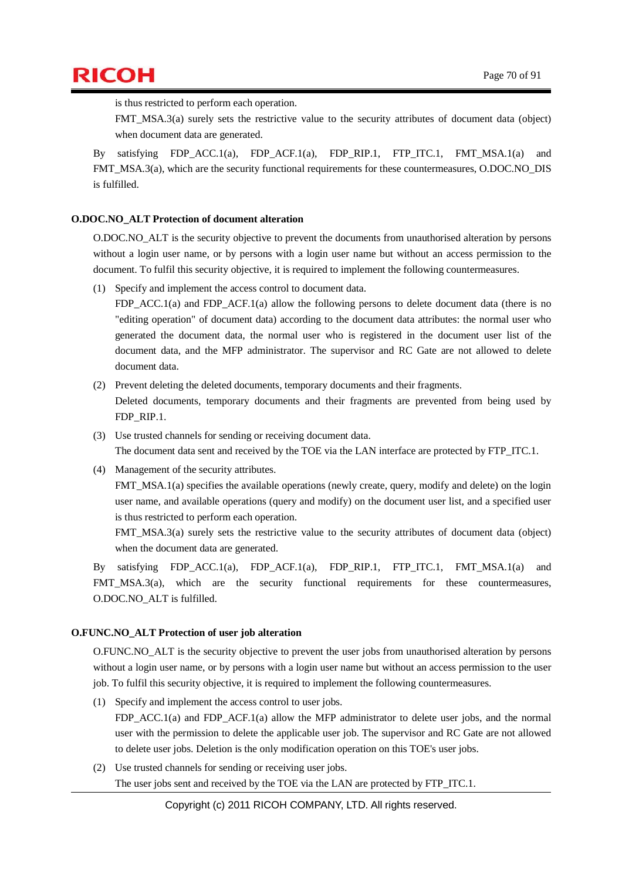

is thus restricted to perform each operation.

FMT\_MSA.3(a) surely sets the restrictive value to the security attributes of document data (object) when document data are generated.

By satisfying FDP\_ACC.1(a), FDP\_ACF.1(a), FDP\_RIP.1, FTP\_ITC.1, FMT\_MSA.1(a) and FMT\_MSA.3(a), which are the security functional requirements for these countermeasures, O.DOC.NO\_DIS is fulfilled.

#### **O.DOC.NO\_ALT Protection of document alteration**

O.DOC.NO\_ALT is the security objective to prevent the documents from unauthorised alteration by persons without a login user name, or by persons with a login user name but without an access permission to the document. To fulfil this security objective, it is required to implement the following countermeasures.

(1) Specify and implement the access control to document data.

FDP\_ACC.1(a) and FDP\_ACF.1(a) allow the following persons to delete document data (there is no "editing operation" of document data) according to the document data attributes: the normal user who generated the document data, the normal user who is registered in the document user list of the document data, and the MFP administrator. The supervisor and RC Gate are not allowed to delete document data.

- (2) Prevent deleting the deleted documents, temporary documents and their fragments. Deleted documents, temporary documents and their fragments are prevented from being used by FDP\_RIP.1.
- (3) Use trusted channels for sending or receiving document data. The document data sent and received by the TOE via the LAN interface are protected by FTP\_ITC.1.
- (4) Management of the security attributes.

FMT\_MSA.1(a) specifies the available operations (newly create, query, modify and delete) on the login user name, and available operations (query and modify) on the document user list, and a specified user is thus restricted to perform each operation.

FMT\_MSA.3(a) surely sets the restrictive value to the security attributes of document data (object) when the document data are generated.

By satisfying FDP\_ACC.1(a), FDP\_ACF.1(a), FDP\_RIP.1, FTP\_ITC.1, FMT\_MSA.1(a) and FMT\_MSA.3(a), which are the security functional requirements for these countermeasures, O.DOC.NO\_ALT is fulfilled.

#### **O.FUNC.NO\_ALT Protection of user job alteration**

O.FUNC.NO\_ALT is the security objective to prevent the user jobs from unauthorised alteration by persons without a login user name, or by persons with a login user name but without an access permission to the user job. To fulfil this security objective, it is required to implement the following countermeasures.

(1) Specify and implement the access control to user jobs.

FDP\_ACC.1(a) and FDP\_ACF.1(a) allow the MFP administrator to delete user jobs, and the normal user with the permission to delete the applicable user job. The supervisor and RC Gate are not allowed to delete user jobs. Deletion is the only modification operation on this TOE's user jobs.

(2) Use trusted channels for sending or receiving user jobs. The user jobs sent and received by the TOE via the LAN are protected by FTP\_ITC.1.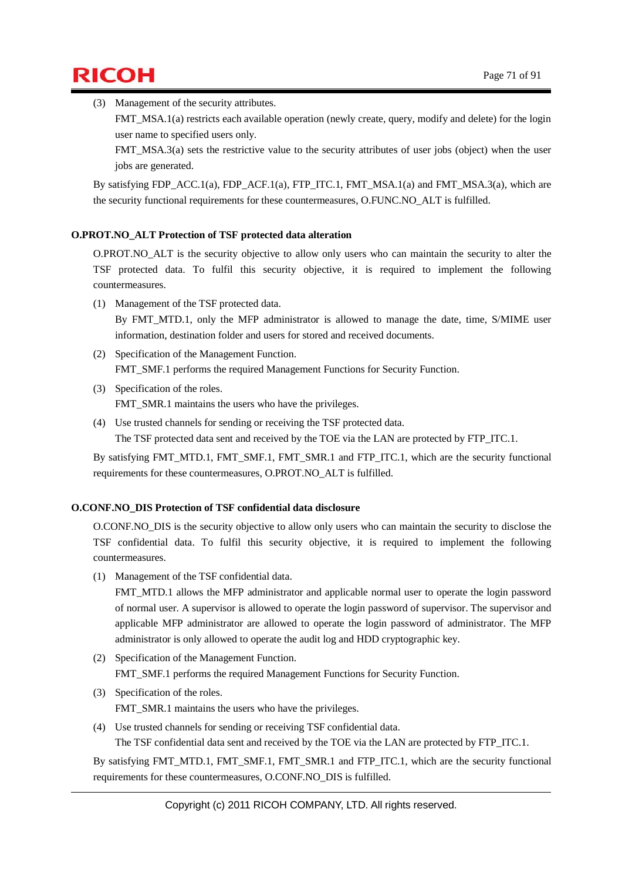$\mathsf{RICOH}$  Page 71 of 91

(3) Management of the security attributes.

FMT\_MSA.1(a) restricts each available operation (newly create, query, modify and delete) for the login user name to specified users only.

FMT\_MSA.3(a) sets the restrictive value to the security attributes of user jobs (object) when the user jobs are generated.

By satisfying FDP\_ACC.1(a), FDP\_ACF.1(a), FTP\_ITC.1, FMT\_MSA.1(a) and FMT\_MSA.3(a), which are the security functional requirements for these countermeasures, O.FUNC.NO\_ALT is fulfilled.

#### **O.PROT.NO\_ALT Protection of TSF protected data alteration**

O.PROT.NO\_ALT is the security objective to allow only users who can maintain the security to alter the TSF protected data. To fulfil this security objective, it is required to implement the following countermeasures.

- (1) Management of the TSF protected data. By FMT MTD.1, only the MFP administrator is allowed to manage the date, time, S/MIME user information, destination folder and users for stored and received documents.
- (2) Specification of the Management Function. FMT\_SMF.1 performs the required Management Functions for Security Function.
- (3) Specification of the roles. FMT\_SMR.1 maintains the users who have the privileges.
- (4) Use trusted channels for sending or receiving the TSF protected data. The TSF protected data sent and received by the TOE via the LAN are protected by FTP\_ITC.1.

By satisfying FMT\_MTD.1, FMT\_SMF.1, FMT\_SMR.1 and FTP\_ITC.1, which are the security functional requirements for these countermeasures, O.PROT.NO\_ALT is fulfilled.

#### **O.CONF.NO\_DIS Protection of TSF confidential data disclosure**

O.CONF.NO\_DIS is the security objective to allow only users who can maintain the security to disclose the TSF confidential data. To fulfil this security objective, it is required to implement the following countermeasures.

(1) Management of the TSF confidential data.

FMT\_MTD.1 allows the MFP administrator and applicable normal user to operate the login password of normal user. A supervisor is allowed to operate the login password of supervisor. The supervisor and applicable MFP administrator are allowed to operate the login password of administrator. The MFP administrator is only allowed to operate the audit log and HDD cryptographic key.

- (2) Specification of the Management Function. FMT\_SMF.1 performs the required Management Functions for Security Function.
- (3) Specification of the roles. FMT\_SMR.1 maintains the users who have the privileges.
- (4) Use trusted channels for sending or receiving TSF confidential data. The TSF confidential data sent and received by the TOE via the LAN are protected by FTP\_ITC.1.

By satisfying FMT\_MTD.1, FMT\_SMF.1, FMT\_SMR.1 and FTP\_ITC.1, which are the security functional requirements for these countermeasures, O.CONF.NO\_DIS is fulfilled.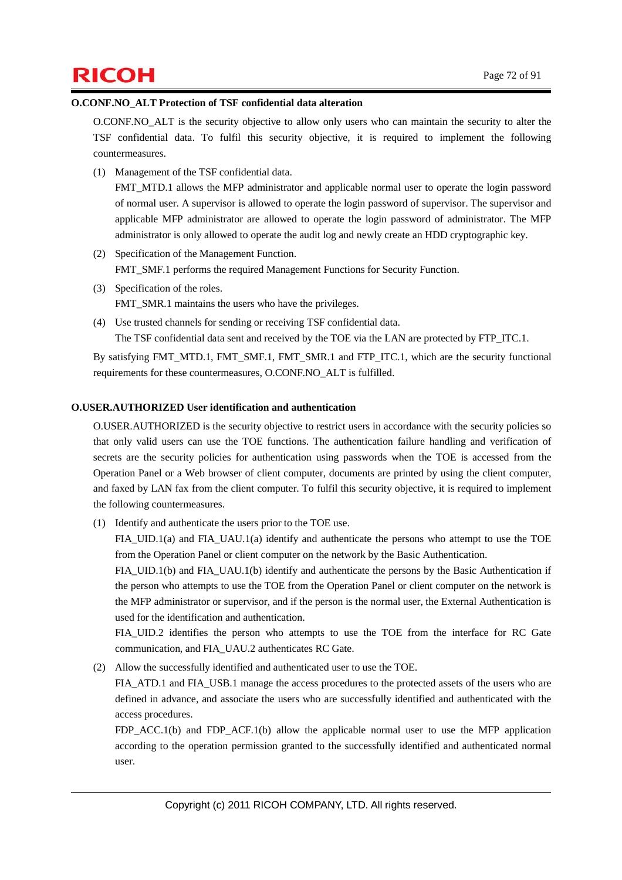# $\mathsf{RICOH}$  Page 72 of 91

#### **O.CONF.NO\_ALT Protection of TSF confidential data alteration**

O.CONF.NO\_ALT is the security objective to allow only users who can maintain the security to alter the TSF confidential data. To fulfil this security objective, it is required to implement the following countermeasures.

(1) Management of the TSF confidential data.

FMT\_MTD.1 allows the MFP administrator and applicable normal user to operate the login password of normal user. A supervisor is allowed to operate the login password of supervisor. The supervisor and applicable MFP administrator are allowed to operate the login password of administrator. The MFP administrator is only allowed to operate the audit log and newly create an HDD cryptographic key.

- (2) Specification of the Management Function. FMT\_SMF.1 performs the required Management Functions for Security Function.
- (3) Specification of the roles. FMT\_SMR.1 maintains the users who have the privileges.
- (4) Use trusted channels for sending or receiving TSF confidential data. The TSF confidential data sent and received by the TOE via the LAN are protected by FTP\_ITC.1.

By satisfying FMT\_MTD.1, FMT\_SMF.1, FMT\_SMR.1 and FTP\_ITC.1, which are the security functional requirements for these countermeasures, O.CONF.NO\_ALT is fulfilled.

#### **O.USER.AUTHORIZED User identification and authentication**

O.USER.AUTHORIZED is the security objective to restrict users in accordance with the security policies so that only valid users can use the TOE functions. The authentication failure handling and verification of secrets are the security policies for authentication using passwords when the TOE is accessed from the Operation Panel or a Web browser of client computer, documents are printed by using the client computer, and faxed by LAN fax from the client computer. To fulfil this security objective, it is required to implement the following countermeasures.

(1) Identify and authenticate the users prior to the TOE use.

FIA\_UID.1(a) and FIA\_UAU.1(a) identify and authenticate the persons who attempt to use the TOE from the Operation Panel or client computer on the network by the Basic Authentication.

FIA\_UID.1(b) and FIA\_UAU.1(b) identify and authenticate the persons by the Basic Authentication if the person who attempts to use the TOE from the Operation Panel or client computer on the network is the MFP administrator or supervisor, and if the person is the normal user, the External Authentication is used for the identification and authentication.

FIA\_UID.2 identifies the person who attempts to use the TOE from the interface for RC Gate communication, and FIA\_UAU.2 authenticates RC Gate.

(2) Allow the successfully identified and authenticated user to use the TOE.

FIA ATD.1 and FIA\_USB.1 manage the access procedures to the protected assets of the users who are defined in advance, and associate the users who are successfully identified and authenticated with the access procedures.

FDP ACC.1(b) and FDP ACF.1(b) allow the applicable normal user to use the MFP application according to the operation permission granted to the successfully identified and authenticated normal user.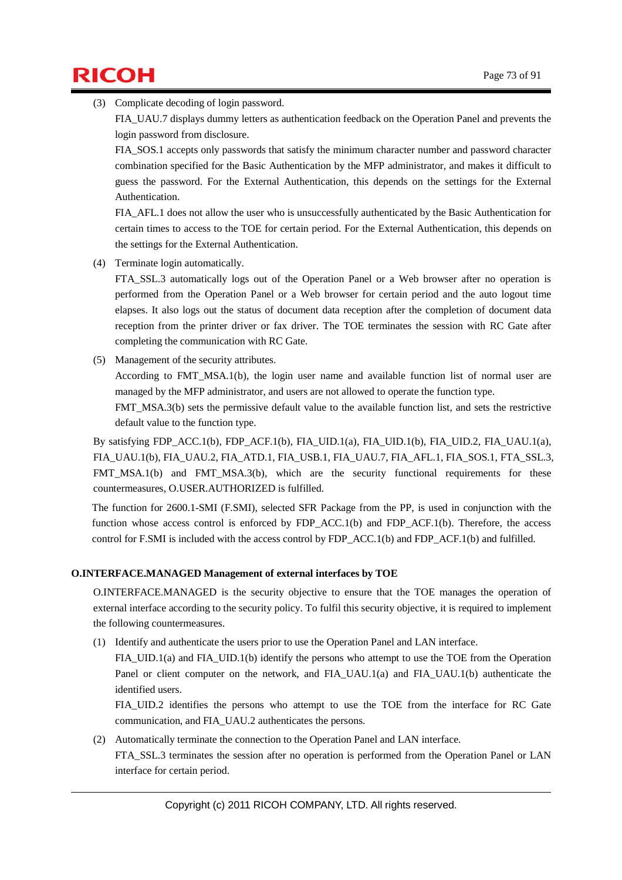# $\mathsf{RICOH}$  Page 73 of 91

(3) Complicate decoding of login password.

FIA\_UAU.7 displays dummy letters as authentication feedback on the Operation Panel and prevents the login password from disclosure.

FIA\_SOS.1 accepts only passwords that satisfy the minimum character number and password character combination specified for the Basic Authentication by the MFP administrator, and makes it difficult to guess the password. For the External Authentication, this depends on the settings for the External Authentication.

FIA AFL.1 does not allow the user who is unsuccessfully authenticated by the Basic Authentication for certain times to access to the TOE for certain period. For the External Authentication, this depends on the settings for the External Authentication.

(4) Terminate login automatically.

FTA\_SSL.3 automatically logs out of the Operation Panel or a Web browser after no operation is performed from the Operation Panel or a Web browser for certain period and the auto logout time elapses. It also logs out the status of document data reception after the completion of document data reception from the printer driver or fax driver. The TOE terminates the session with RC Gate after completing the communication with RC Gate.

(5) Management of the security attributes.

According to FMT MSA.1(b), the login user name and available function list of normal user are managed by the MFP administrator, and users are not allowed to operate the function type.

FMT\_MSA.3(b) sets the permissive default value to the available function list, and sets the restrictive default value to the function type.

By satisfying FDP\_ACC.1(b), FDP\_ACF.1(b), FIA\_UID.1(a), FIA\_UID.1(b), FIA\_UID.2, FIA\_UAU.1(a), FIA\_UAU.1(b), FIA\_UAU.2, FIA\_ATD.1, FIA\_USB.1, FIA\_UAU.7, FIA\_AFL.1, FIA\_SOS.1, FTA\_SSL.3, FMT\_MSA.1(b) and FMT\_MSA.3(b), which are the security functional requirements for these countermeasures, O.USER.AUTHORIZED is fulfilled.

The function for 2600.1-SMI (F.SMI), selected SFR Package from the PP, is used in conjunction with the function whose access control is enforced by FDP\_ACC.1(b) and FDP\_ACF.1(b). Therefore, the access control for F.SMI is included with the access control by FDP\_ACC.1(b) and FDP\_ACF.1(b) and fulfilled.

## **O.INTERFACE.MANAGED Management of external interfaces by TOE**

O.INTERFACE.MANAGED is the security objective to ensure that the TOE manages the operation of external interface according to the security policy. To fulfil this security objective, it is required to implement the following countermeasures.

(1) Identify and authenticate the users prior to use the Operation Panel and LAN interface.

FIA UID.1(a) and FIA UID.1(b) identify the persons who attempt to use the TOE from the Operation Panel or client computer on the network, and FIA\_UAU.1(a) and FIA\_UAU.1(b) authenticate the identified users.

FIA\_UID.2 identifies the persons who attempt to use the TOE from the interface for RC Gate communication, and FIA\_UAU.2 authenticates the persons.

(2) Automatically terminate the connection to the Operation Panel and LAN interface. FTA SSL.3 terminates the session after no operation is performed from the Operation Panel or LAN interface for certain period.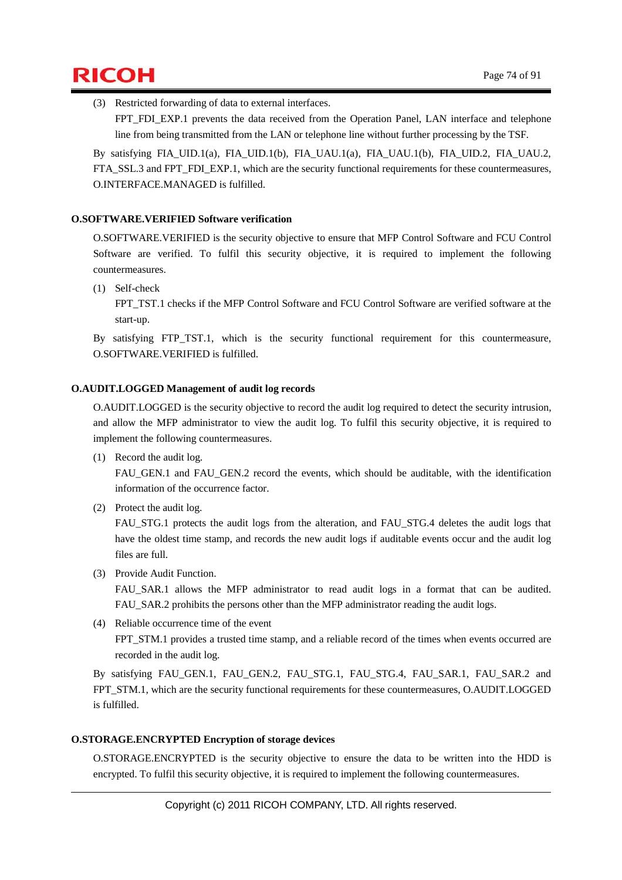

(3) Restricted forwarding of data to external interfaces.

FPT\_FDI\_EXP.1 prevents the data received from the Operation Panel, LAN interface and telephone line from being transmitted from the LAN or telephone line without further processing by the TSF.

By satisfying FIA\_UID.1(a), FIA\_UID.1(b), FIA\_UAU.1(a), FIA\_UAU.1(b), FIA\_UID.2, FIA\_UAU.2, FTA\_SSL.3 and FPT\_FDI\_EXP.1, which are the security functional requirements for these countermeasures, O.INTERFACE.MANAGED is fulfilled.

#### **O.SOFTWARE.VERIFIED Software verification**

O.SOFTWARE.VERIFIED is the security objective to ensure that MFP Control Software and FCU Control Software are verified. To fulfil this security objective, it is required to implement the following countermeasures.

(1) Self-check

FPT\_TST.1 checks if the MFP Control Software and FCU Control Software are verified software at the start-up.

By satisfying FTP\_TST.1, which is the security functional requirement for this countermeasure, O.SOFTWARE.VERIFIED is fulfilled.

#### **O.AUDIT.LOGGED Management of audit log records**

O.AUDIT.LOGGED is the security objective to record the audit log required to detect the security intrusion, and allow the MFP administrator to view the audit log. To fulfil this security objective, it is required to implement the following countermeasures.

(1) Record the audit log.

FAU\_GEN.1 and FAU\_GEN.2 record the events, which should be auditable, with the identification information of the occurrence factor.

(2) Protect the audit log.

FAU\_STG.1 protects the audit logs from the alteration, and FAU\_STG.4 deletes the audit logs that have the oldest time stamp, and records the new audit logs if auditable events occur and the audit log files are full.

(3) Provide Audit Function.

FAU SAR.1 allows the MFP administrator to read audit logs in a format that can be audited. FAU\_SAR.2 prohibits the persons other than the MFP administrator reading the audit logs.

(4) Reliable occurrence time of the event FPT STM.1 provides a trusted time stamp, and a reliable record of the times when events occurred are recorded in the audit log.

By satisfying FAU\_GEN.1, FAU\_GEN.2, FAU\_STG.1, FAU\_STG.4, FAU\_SAR.1, FAU\_SAR.2 and FPT STM.1, which are the security functional requirements for these countermeasures, O.AUDIT.LOGGED is fulfilled.

#### **O.STORAGE.ENCRYPTED Encryption of storage devices**

O.STORAGE.ENCRYPTED is the security objective to ensure the data to be written into the HDD is encrypted. To fulfil this security objective, it is required to implement the following countermeasures.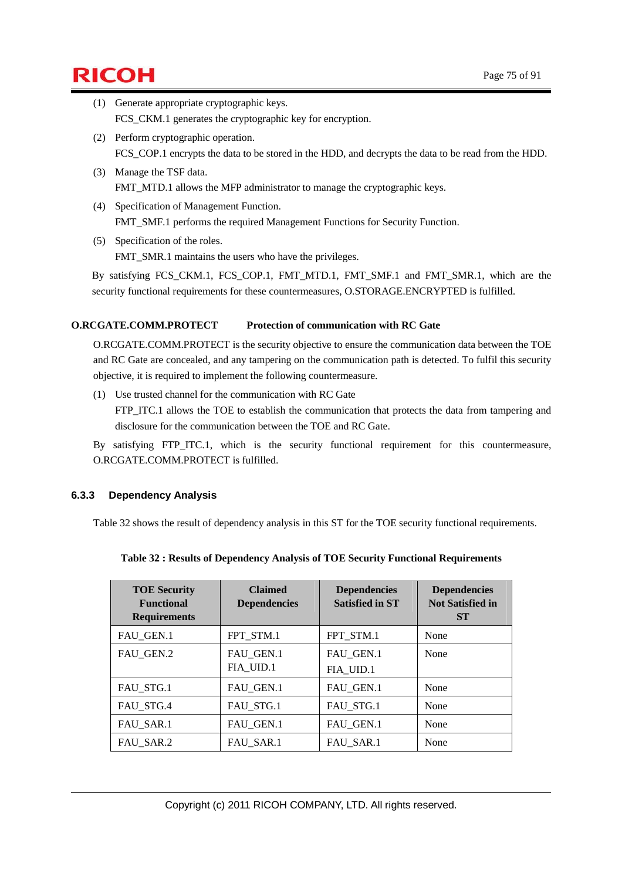# $\mathsf{RICOH}$  Page 75 of 91

- (1) Generate appropriate cryptographic keys. FCS\_CKM.1 generates the cryptographic key for encryption.
- (2) Perform cryptographic operation. FCS\_COP.1 encrypts the data to be stored in the HDD, and decrypts the data to be read from the HDD.
- (3) Manage the TSF data. FMT\_MTD.1 allows the MFP administrator to manage the cryptographic keys.
- (4) Specification of Management Function. FMT\_SMF.1 performs the required Management Functions for Security Function.
- (5) Specification of the roles. FMT\_SMR.1 maintains the users who have the privileges.

By satisfying FCS\_CKM.1, FCS\_COP.1, FMT\_MTD.1, FMT\_SMF.1 and FMT\_SMR.1, which are the security functional requirements for these countermeasures, O.STORAGE.ENCRYPTED is fulfilled.

### **O.RCGATE.COMM.PROTECT Protection of communication with RC Gate**

O.RCGATE.COMM.PROTECT is the security objective to ensure the communication data between the TOE and RC Gate are concealed, and any tampering on the communication path is detected. To fulfil this security objective, it is required to implement the following countermeasure.

(1) Use trusted channel for the communication with RC Gate

FTP ITC.1 allows the TOE to establish the communication that protects the data from tampering and disclosure for the communication between the TOE and RC Gate.

By satisfying FTP\_ITC.1, which is the security functional requirement for this countermeasure, O.RCGATE.COMM.PROTECT is fulfilled.

## **6.3.3 Dependency Analysis**

Table 32 shows the result of dependency analysis in this ST for the TOE security functional requirements.

|  | Table 32 : Results of Dependency Analysis of TOE Security Functional Requirements |  |
|--|-----------------------------------------------------------------------------------|--|
|  |                                                                                   |  |

| <b>TOE Security</b><br><b>Functional</b><br><b>Requirements</b> | <b>Claimed</b><br><b>Dependencies</b> | <b>Dependencies</b><br><b>Satisfied in ST</b> | <b>Dependencies</b><br><b>Not Satisfied in</b><br><b>ST</b> |
|-----------------------------------------------------------------|---------------------------------------|-----------------------------------------------|-------------------------------------------------------------|
| FAU_GEN.1                                                       | FPT STM.1                             | FPT_STM.1                                     | None                                                        |
| FAU_GEN.2                                                       | FAU_GEN.1<br>FIA_UID.1                | FAU_GEN.1<br>FIA_UID.1                        | None                                                        |
| FAU STG.1                                                       | FAU GEN.1                             | FAU_GEN.1                                     | None                                                        |
| FAU_STG.4                                                       | FAU STG.1                             | FAU_STG.1                                     | None                                                        |
| FAU_SAR.1                                                       | FAU_GEN.1                             | FAU_GEN.1                                     | None                                                        |
| FAU SAR.2                                                       | FAU SAR.1                             | FAU SAR.1                                     | None                                                        |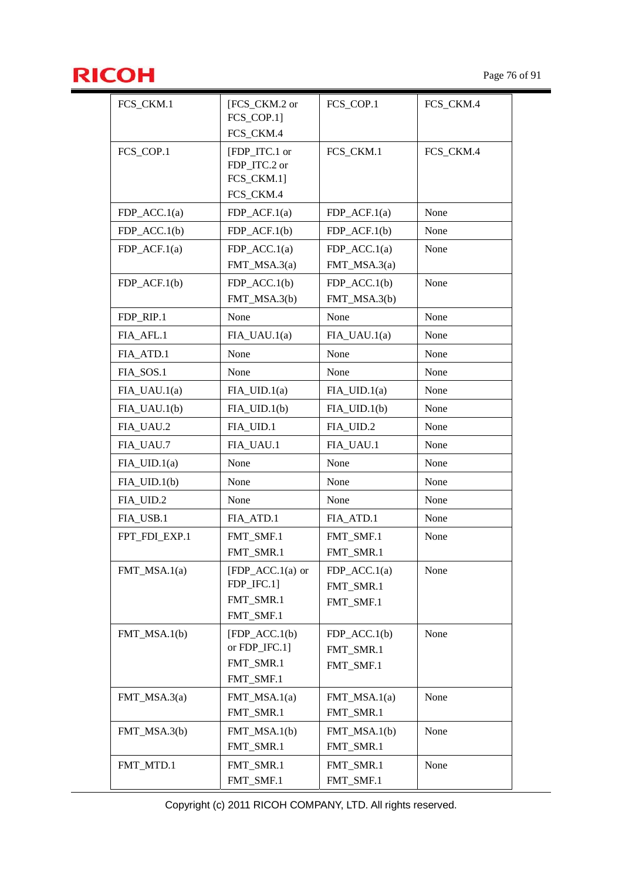

| FCS_CKM.1       | [FCS_CKM.2 or              | FCS_COP.1        | FCS_CKM.4 |
|-----------------|----------------------------|------------------|-----------|
|                 | FCS_COP.1]                 |                  |           |
|                 | FCS_CKM.4                  |                  |           |
| FCS_COP.1       | [FDP ITC.1 or              | FCS_CKM.1        | FCS_CKM.4 |
|                 | FDP_ITC.2 or<br>FCS_CKM.1] |                  |           |
|                 | FCS_CKM.4                  |                  |           |
| $FDP\_ACC.1(a)$ | $FDP\_ACF.1(a)$            | $FDP\_ACF.1(a)$  | None      |
| $FDP\_ACC.1(b)$ | $FDP$ ACF.1(b)             | $FDP\_ACF.1(b)$  | None      |
|                 | $FDP\_ACC.1(a)$            | $FDP\_ACC.1(a)$  | None      |
| $FDP\_ACF.1(a)$ | $FMT\_MSA.3(a)$            | $FMT_MSA.3(a)$   |           |
| $FDP\_ACF.1(b)$ | $FDP\_ACC.1(b)$            | $FDP\_ACC.1(b)$  | None      |
|                 | FMT_MSA.3(b)               | FMT_MSA.3(b)     |           |
| FDP_RIP.1       | None                       | None             | None      |
| FIA_AFL.1       | $FIA_UAU.1(a)$             | $FIA_UAU.1(a)$   | None      |
| FIA_ATD.1       | None                       | None             | None      |
| FIA_SOS.1       | None                       | None             | None      |
| $FIA_UAU.1(a)$  | $FIA$ UID.1(a)             | $FIA$ _UID.1(a)  | None      |
| $FIA_UAU.1(b)$  | $FIA$ _UID.1(b)            | $FIA_UID.1(b)$   | None      |
| FIA_UAU.2       | FIA_UID.1                  | FIA_UID.2        | None      |
| FIA_UAU.7       | FIA_UAU.1                  | FIA_UAU.1        | None      |
| $FIA_UID.1(a)$  | None                       | None             | None      |
| $FIA$ _UID.1(b) | None                       | None             | None      |
| FIA_UID.2       | None                       | None             | None      |
| FIA_USB.1       | FIA_ATD.1                  | FIA_ATD.1        | None      |
| FPT FDI EXP.1   | FMT_SMF.1                  | FMT_SMF.1        | None      |
|                 | FMT_SMR.1                  | FMT_SMR.1        |           |
| $FMT\_MSA.1(a)$ | $[FDP_ACC.1(a)$ or         | $FDP\_ACC.1(a)$  | None      |
|                 | FDP_IFC.1]                 | FMT_SMR.1        |           |
|                 | FMT_SMR.1                  | FMT_SMF.1        |           |
|                 | FMT_SMF.1                  |                  |           |
| FMT $MSA.1(b)$  | $[FDP_ACC.1(b)]$           | $FDP$ $ACC.1(b)$ | None      |
|                 | or FDP_IFC.1]              | FMT_SMR.1        |           |
|                 | FMT_SMR.1                  | FMT_SMF.1        |           |
|                 | FMT_SMF.1                  |                  |           |
| FMT_MSA.3(a)    | $FMT\_MSA.1(a)$            | $FMT\_MSA.1(a)$  | None      |
|                 | FMT_SMR.1                  | FMT_SMR.1        |           |
| FMT_MSA.3(b)    | $FMT\_MSA.1(b)$            | $FMT\_MSA.1(b)$  | None      |
|                 | FMT_SMR.1                  | FMT_SMR.1        |           |
| FMT_MTD.1       | FMT_SMR.1                  | FMT_SMR.1        | None      |
|                 | FMT_SMF.1                  | FMT_SMF.1        |           |

Copyright (c) 2011 RICOH COMPANY, LTD. All rights reserved.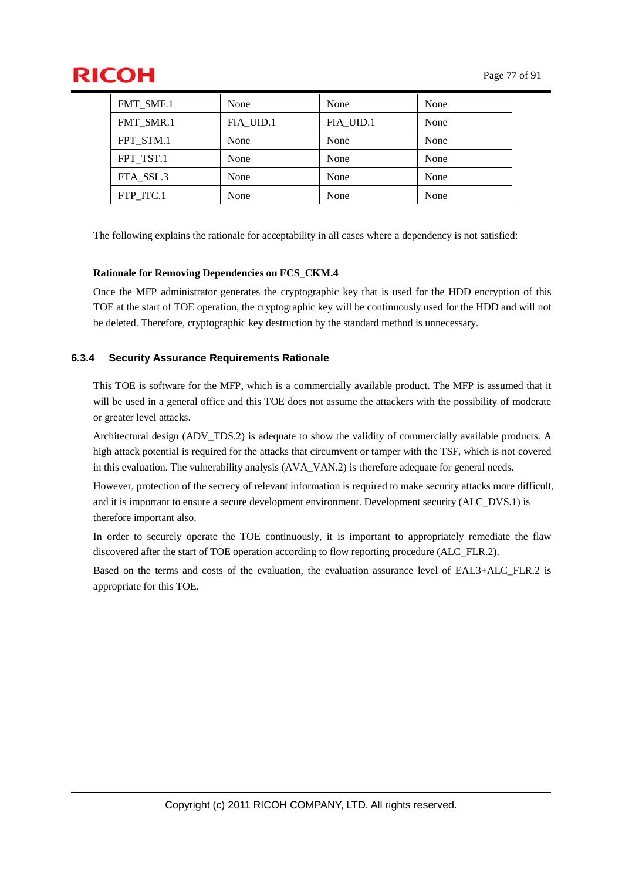# $\mathsf{RICOH}$  Page 77 of 91

| FMT SMF.1 | None      | None      | None |
|-----------|-----------|-----------|------|
| FMT SMR.1 | FIA UID.1 | FIA_UID.1 | None |
| FPT STM.1 | None      | None      | None |
| FPT TST.1 | None      | None      | None |
| FTA SSL.3 | None      | None      | None |
| FTP ITC.1 | None      | None      | None |

The following explains the rationale for acceptability in all cases where a dependency is not satisfied:

#### **Rationale for Removing Dependencies on FCS\_CKM.4**

Once the MFP administrator generates the cryptographic key that is used for the HDD encryption of this TOE at the start of TOE operation, the cryptographic key will be continuously used for the HDD and will not be deleted. Therefore, cryptographic key destruction by the standard method is unnecessary.

### **6.3.4 Security Assurance Requirements Rationale**

This TOE is software for the MFP, which is a commercially available product. The MFP is assumed that it will be used in a general office and this TOE does not assume the attackers with the possibility of moderate or greater level attacks.

Architectural design (ADV\_TDS.2) is adequate to show the validity of commercially available products. A high attack potential is required for the attacks that circumvent or tamper with the TSF, which is not covered in this evaluation. The vulnerability analysis (AVA\_VAN.2) is therefore adequate for general needs.

However, protection of the secrecy of relevant information is required to make security attacks more difficult, and it is important to ensure a secure development environment. Development security (ALC\_DVS.1) is therefore important also.

In order to securely operate the TOE continuously, it is important to appropriately remediate the flaw discovered after the start of TOE operation according to flow reporting procedure (ALC\_FLR.2).

Based on the terms and costs of the evaluation, the evaluation assurance level of EAL3+ALC\_FLR.2 is appropriate for this TOE.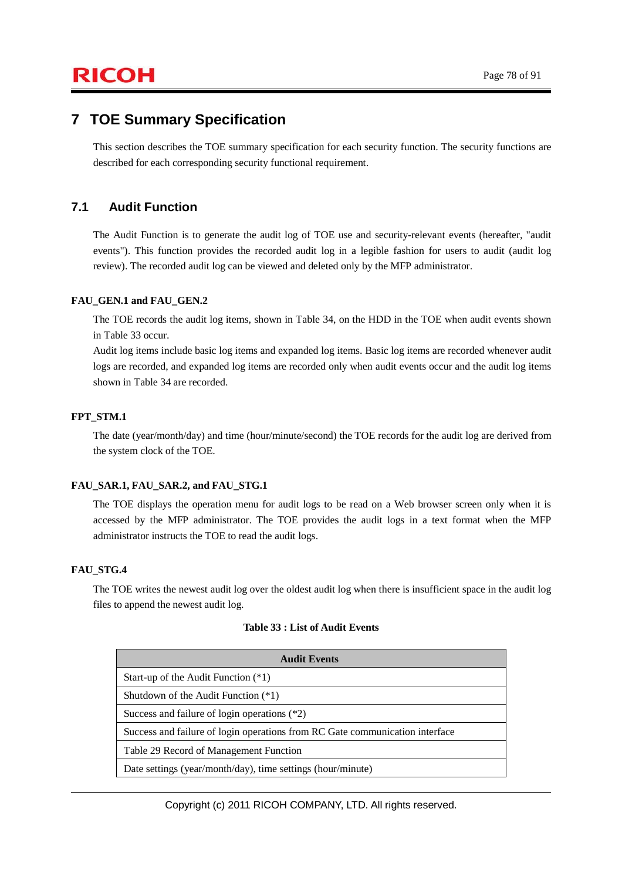## **7 TOE Summary Specification**

This section describes the TOE summary specification for each security function. The security functions are described for each corresponding security functional requirement.

## **7.1 Audit Function**

The Audit Function is to generate the audit log of TOE use and security-relevant events (hereafter, "audit events"). This function provides the recorded audit log in a legible fashion for users to audit (audit log review). The recorded audit log can be viewed and deleted only by the MFP administrator.

#### **FAU\_GEN.1 and FAU\_GEN.2**

The TOE records the audit log items, shown in Table 34, on the HDD in the TOE when audit events shown in Table 33 occur.

Audit log items include basic log items and expanded log items. Basic log items are recorded whenever audit logs are recorded, and expanded log items are recorded only when audit events occur and the audit log items shown in Table 34 are recorded.

#### **FPT\_STM.1**

The date (year/month/day) and time (hour/minute/second) the TOE records for the audit log are derived from the system clock of the TOE.

#### **FAU\_SAR.1, FAU\_SAR.2, and FAU\_STG.1**

The TOE displays the operation menu for audit logs to be read on a Web browser screen only when it is accessed by the MFP administrator. The TOE provides the audit logs in a text format when the MFP administrator instructs the TOE to read the audit logs.

#### **FAU\_STG.4**

The TOE writes the newest audit log over the oldest audit log when there is insufficient space in the audit log files to append the newest audit log.

| <b>Audit Events</b>                                                          |
|------------------------------------------------------------------------------|
| Start-up of the Audit Function $(*1)$                                        |
| Shutdown of the Audit Function $(*1)$                                        |
| Success and failure of login operations $(*2)$                               |
| Success and failure of login operations from RC Gate communication interface |
| Table 29 Record of Management Function                                       |
| Date settings (year/month/day), time settings (hour/minute)                  |

Copyright (c) 2011 RICOH COMPANY, LTD. All rights reserved.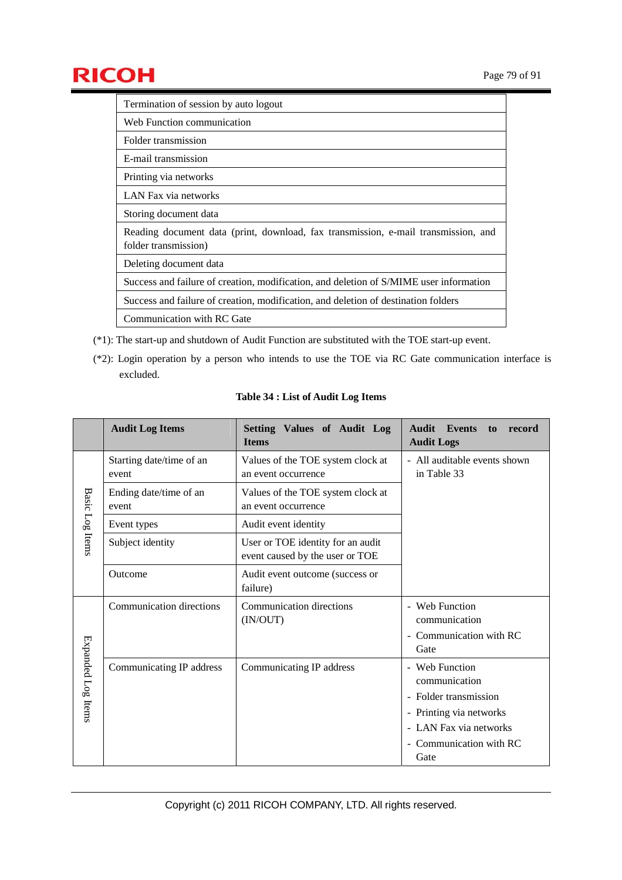

| Termination of session by auto logout                                                                      |
|------------------------------------------------------------------------------------------------------------|
| Web Function communication                                                                                 |
| Folder transmission                                                                                        |
| E-mail transmission                                                                                        |
| Printing via networks                                                                                      |
| LAN Fax via networks                                                                                       |
| Storing document data                                                                                      |
| Reading document data (print, download, fax transmission, e-mail transmission, and<br>folder transmission) |
| Deleting document data                                                                                     |
| Success and failure of creation, modification, and deletion of S/MIME user information                     |
| Success and failure of creation, modification, and deletion of destination folders                         |
| Communication with RC Gate                                                                                 |

- (\*1): The start-up and shutdown of Audit Function are substituted with the TOE start-up event.
- (\*2): Login operation by a person who intends to use the TOE via RC Gate communication interface is excluded.

|                    | <b>Audit Log Items</b>            | Setting Values of Audit Log<br><b>Items</b>                          | <b>Audit</b> Events<br>record<br>to<br><b>Audit Logs</b>                                                                                         |
|--------------------|-----------------------------------|----------------------------------------------------------------------|--------------------------------------------------------------------------------------------------------------------------------------------------|
|                    | Starting date/time of an<br>event | Values of the TOE system clock at<br>an event occurrence             | - All auditable events shown<br>in Table 33                                                                                                      |
| <b>Basic</b>       | Ending date/time of an<br>event   | Values of the TOE system clock at<br>an event occurrence             |                                                                                                                                                  |
|                    | Event types                       | Audit event identity                                                 |                                                                                                                                                  |
| Log Items          | Subject identity                  | User or TOE identity for an audit<br>event caused by the user or TOE |                                                                                                                                                  |
|                    | Outcome                           | Audit event outcome (success or<br>failure)                          |                                                                                                                                                  |
|                    | Communication directions          | Communication directions<br>(IN/OUT)                                 | - Web Function<br>communication<br>- Communication with RC<br>Gate                                                                               |
| Expanded Log Items | Communicating IP address          | Communicating IP address                                             | - Web Function<br>communication<br>- Folder transmission<br>- Printing via networks<br>- LAN Fax via networks<br>- Communication with RC<br>Gate |

#### **Table 34 : List of Audit Log Items**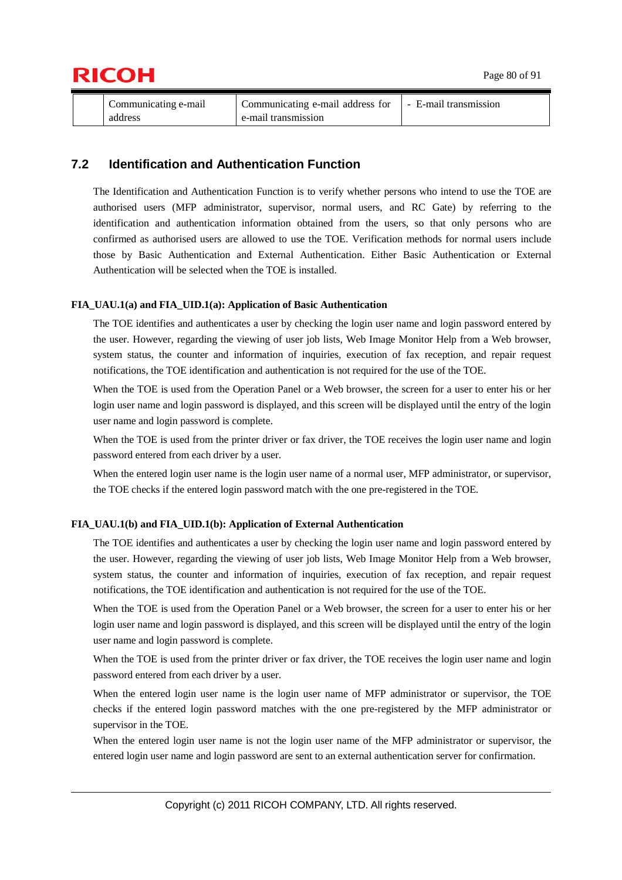



| Communicating e-mail | Communicating e-mail address for | E-mail transmission |
|----------------------|----------------------------------|---------------------|
| address              | e-mail transmission              |                     |

## **7.2 Identification and Authentication Function**

The Identification and Authentication Function is to verify whether persons who intend to use the TOE are authorised users (MFP administrator, supervisor, normal users, and RC Gate) by referring to the identification and authentication information obtained from the users, so that only persons who are confirmed as authorised users are allowed to use the TOE. Verification methods for normal users include those by Basic Authentication and External Authentication. Either Basic Authentication or External Authentication will be selected when the TOE is installed.

#### **FIA\_UAU.1(a) and FIA\_UID.1(a): Application of Basic Authentication**

The TOE identifies and authenticates a user by checking the login user name and login password entered by the user. However, regarding the viewing of user job lists, Web Image Monitor Help from a Web browser, system status, the counter and information of inquiries, execution of fax reception, and repair request notifications, the TOE identification and authentication is not required for the use of the TOE.

When the TOE is used from the Operation Panel or a Web browser, the screen for a user to enter his or her login user name and login password is displayed, and this screen will be displayed until the entry of the login user name and login password is complete.

When the TOE is used from the printer driver or fax driver, the TOE receives the login user name and login password entered from each driver by a user.

When the entered login user name is the login user name of a normal user, MFP administrator, or supervisor, the TOE checks if the entered login password match with the one pre-registered in the TOE.

#### **FIA\_UAU.1(b) and FIA\_UID.1(b): Application of External Authentication**

The TOE identifies and authenticates a user by checking the login user name and login password entered by the user. However, regarding the viewing of user job lists, Web Image Monitor Help from a Web browser, system status, the counter and information of inquiries, execution of fax reception, and repair request notifications, the TOE identification and authentication is not required for the use of the TOE.

When the TOE is used from the Operation Panel or a Web browser, the screen for a user to enter his or her login user name and login password is displayed, and this screen will be displayed until the entry of the login user name and login password is complete.

When the TOE is used from the printer driver or fax driver, the TOE receives the login user name and login password entered from each driver by a user.

When the entered login user name is the login user name of MFP administrator or supervisor, the TOE checks if the entered login password matches with the one pre-registered by the MFP administrator or supervisor in the TOE.

When the entered login user name is not the login user name of the MFP administrator or supervisor, the entered login user name and login password are sent to an external authentication server for confirmation.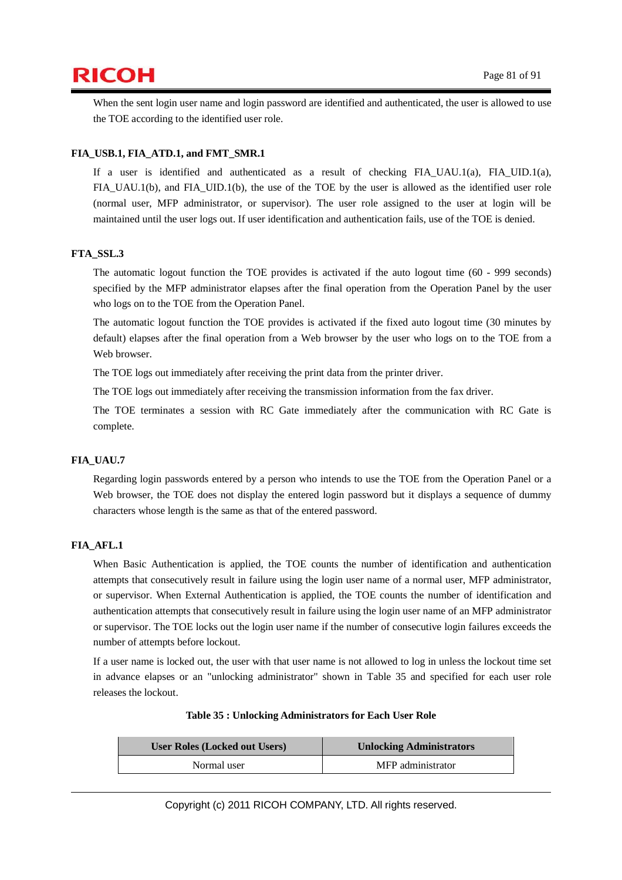# $\mathsf{RICOH}$  Page 81 of 91

When the sent login user name and login password are identified and authenticated, the user is allowed to use the TOE according to the identified user role.

### **FIA\_USB.1, FIA\_ATD.1, and FMT\_SMR.1**

If a user is identified and authenticated as a result of checking FIA\_UAU.1(a), FIA\_UID.1(a), FIA\_UAU.1(b), and FIA\_UID.1(b), the use of the TOE by the user is allowed as the identified user role (normal user, MFP administrator, or supervisor). The user role assigned to the user at login will be maintained until the user logs out. If user identification and authentication fails, use of the TOE is denied.

#### **FTA\_SSL.3**

The automatic logout function the TOE provides is activated if the auto logout time (60 - 999 seconds) specified by the MFP administrator elapses after the final operation from the Operation Panel by the user who logs on to the TOE from the Operation Panel.

The automatic logout function the TOE provides is activated if the fixed auto logout time (30 minutes by default) elapses after the final operation from a Web browser by the user who logs on to the TOE from a Web browser.

The TOE logs out immediately after receiving the print data from the printer driver.

The TOE logs out immediately after receiving the transmission information from the fax driver.

The TOE terminates a session with RC Gate immediately after the communication with RC Gate is complete.

#### **FIA\_UAU.7**

Regarding login passwords entered by a person who intends to use the TOE from the Operation Panel or a Web browser, the TOE does not display the entered login password but it displays a sequence of dummy characters whose length is the same as that of the entered password.

#### **FIA\_AFL.1**

When Basic Authentication is applied, the TOE counts the number of identification and authentication attempts that consecutively result in failure using the login user name of a normal user, MFP administrator, or supervisor. When External Authentication is applied, the TOE counts the number of identification and authentication attempts that consecutively result in failure using the login user name of an MFP administrator or supervisor. The TOE locks out the login user name if the number of consecutive login failures exceeds the number of attempts before lockout.

If a user name is locked out, the user with that user name is not allowed to log in unless the lockout time set in advance elapses or an "unlocking administrator" shown in Table 35 and specified for each user role releases the lockout.

| <b>User Roles (Locked out Users)</b> | <b>Unlocking Administrators</b> |  |
|--------------------------------------|---------------------------------|--|
| Normal user                          | MFP administrator               |  |

#### **Table 35 : Unlocking Administrators for Each User Role**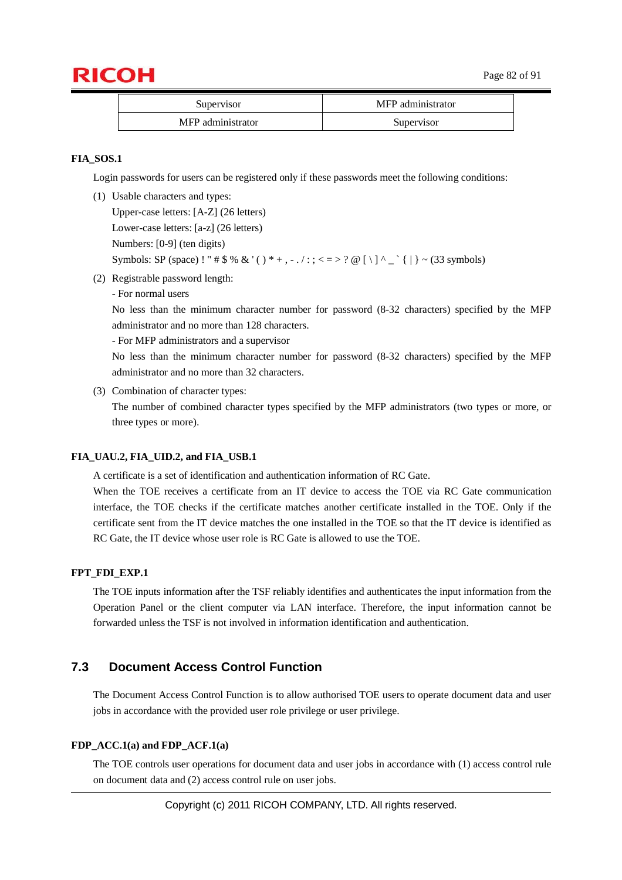

| Supervisor        | MFP administrator |
|-------------------|-------------------|
| MFP administrator | Supervisor        |

#### **FIA\_SOS.1**

Login passwords for users can be registered only if these passwords meet the following conditions:

(1) Usable characters and types:

Upper-case letters: [A-Z] (26 letters) Lower-case letters: [a-z] (26 letters) Numbers: [0-9] (ten digits) Symbols: SP (space) ! "  $\#\$\&\&\'()^* +, -\angle:;<>=>?\@[ \]\]^\wedge \[\]\] \sim (33 \text{ symbols})$ 

- (2) Registrable password length:
	- For normal users

No less than the minimum character number for password (8-32 characters) specified by the MFP administrator and no more than 128 characters.

- For MFP administrators and a supervisor

No less than the minimum character number for password (8-32 characters) specified by the MFP administrator and no more than 32 characters.

(3) Combination of character types:

The number of combined character types specified by the MFP administrators (two types or more, or three types or more).

#### FIA\_UAU.2, FIA\_UID.2, and FIA\_USB.1

A certificate is a set of identification and authentication information of RC Gate.

When the TOE receives a certificate from an IT device to access the TOE via RC Gate communication interface, the TOE checks if the certificate matches another certificate installed in the TOE. Only if the certificate sent from the IT device matches the one installed in the TOE so that the IT device is identified as RC Gate, the IT device whose user role is RC Gate is allowed to use the TOE.

#### **FPT\_FDI\_EXP.1**

The TOE inputs information after the TSF reliably identifies and authenticates the input information from the Operation Panel or the client computer via LAN interface. Therefore, the input information cannot be forwarded unless the TSF is not involved in information identification and authentication.

## **7.3 Document Access Control Function**

The Document Access Control Function is to allow authorised TOE users to operate document data and user jobs in accordance with the provided user role privilege or user privilege.

#### **FDP\_ACC.1(a) and FDP\_ACF.1(a)**

The TOE controls user operations for document data and user jobs in accordance with (1) access control rule on document data and (2) access control rule on user jobs.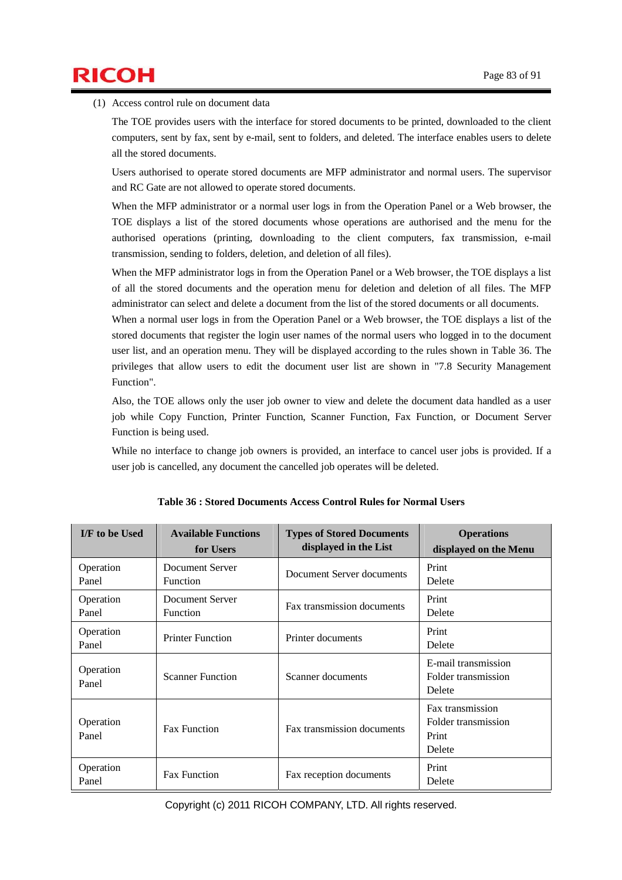# $\mathsf{RICOH}$  Page 83 of 91

(1) Access control rule on document data

The TOE provides users with the interface for stored documents to be printed, downloaded to the client computers, sent by fax, sent by e-mail, sent to folders, and deleted. The interface enables users to delete all the stored documents.

Users authorised to operate stored documents are MFP administrator and normal users. The supervisor and RC Gate are not allowed to operate stored documents.

When the MFP administrator or a normal user logs in from the Operation Panel or a Web browser, the TOE displays a list of the stored documents whose operations are authorised and the menu for the authorised operations (printing, downloading to the client computers, fax transmission, e-mail transmission, sending to folders, deletion, and deletion of all files).

When the MFP administrator logs in from the Operation Panel or a Web browser, the TOE displays a list of all the stored documents and the operation menu for deletion and deletion of all files. The MFP administrator can select and delete a document from the list of the stored documents or all documents.

When a normal user logs in from the Operation Panel or a Web browser, the TOE displays a list of the stored documents that register the login user names of the normal users who logged in to the document user list, and an operation menu. They will be displayed according to the rules shown in Table 36. The privileges that allow users to edit the document user list are shown in "7.8 Security Management Function".

Also, the TOE allows only the user job owner to view and delete the document data handled as a user job while Copy Function, Printer Function, Scanner Function, Fax Function, or Document Server Function is being used.

While no interface to change job owners is provided, an interface to cancel user jobs is provided. If a user job is cancelled, any document the cancelled job operates will be deleted.

| I/F to be Used     | <b>Available Functions</b><br>for Users | <b>Types of Stored Documents</b><br>displayed in the List | <b>Operations</b><br>displayed on the Menu                 |
|--------------------|-----------------------------------------|-----------------------------------------------------------|------------------------------------------------------------|
| Operation<br>Panel | Document Server<br><b>Function</b>      | Document Server documents                                 | Print<br>Delete                                            |
| Operation<br>Panel | Document Server<br>Function             | Fax transmission documents                                | Print<br>Delete                                            |
| Operation<br>Panel | <b>Printer Function</b>                 | Printer documents                                         | Print<br>Delete                                            |
| Operation<br>Panel | <b>Scanner Function</b>                 | Scanner documents                                         | E-mail transmission<br>Folder transmission<br>Delete       |
| Operation<br>Panel | <b>Fax Function</b>                     | Fax transmission documents                                | Fax transmission<br>Folder transmission<br>Print<br>Delete |
| Operation<br>Panel | <b>Fax Function</b>                     | Fax reception documents                                   | Print<br>Delete                                            |

| Table 36 : Stored Documents Access Control Rules for Normal Users |  |
|-------------------------------------------------------------------|--|
|-------------------------------------------------------------------|--|

Copyright (c) 2011 RICOH COMPANY, LTD. All rights reserved.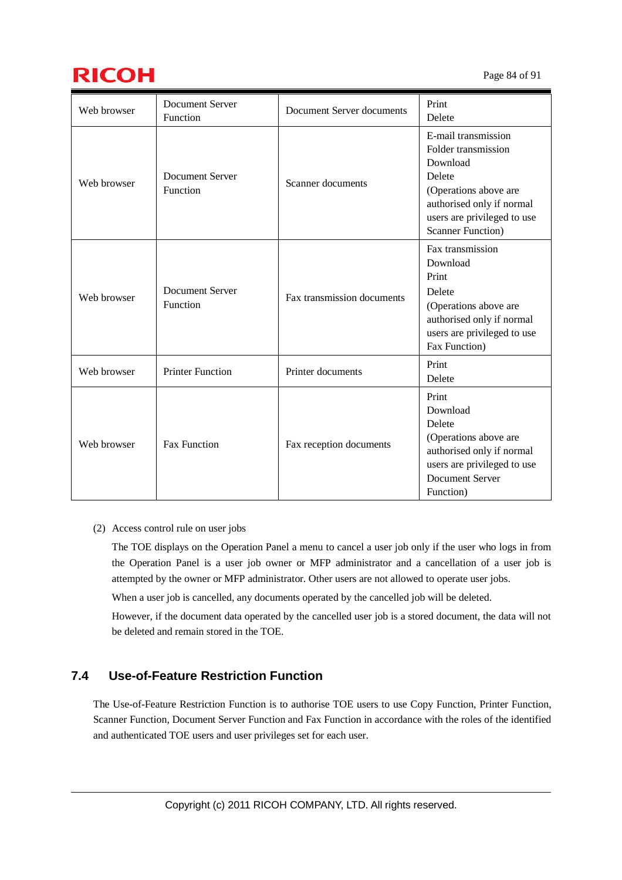

| Web browser | <b>Document Server</b><br>Function | Document Server documents  | Print<br>Delete                                                                                                                                                                    |
|-------------|------------------------------------|----------------------------|------------------------------------------------------------------------------------------------------------------------------------------------------------------------------------|
| Web browser | <b>Document Server</b><br>Function | Scanner documents          | E-mail transmission<br>Folder transmission<br>Download<br>Delete<br>(Operations above are<br>authorised only if normal<br>users are privileged to use<br><b>Scanner Function</b> ) |
| Web browser | <b>Document Server</b><br>Function | Fax transmission documents | Fax transmission<br>Download<br>Print<br>Delete<br>(Operations above are<br>authorised only if normal<br>users are privileged to use<br>Fax Function)                              |
| Web browser | <b>Printer Function</b>            | Printer documents          | Print<br>Delete                                                                                                                                                                    |
| Web browser | <b>Fax Function</b>                | Fax reception documents    | Print<br>Download<br>Delete<br>(Operations above are<br>authorised only if normal<br>users are privileged to use<br><b>Document Server</b><br>Function)                            |

#### (2) Access control rule on user jobs

The TOE displays on the Operation Panel a menu to cancel a user job only if the user who logs in from the Operation Panel is a user job owner or MFP administrator and a cancellation of a user job is attempted by the owner or MFP administrator. Other users are not allowed to operate user jobs.

When a user job is cancelled, any documents operated by the cancelled job will be deleted.

However, if the document data operated by the cancelled user job is a stored document, the data will not be deleted and remain stored in the TOE.

## **7.4 Use-of-Feature Restriction Function**

The Use-of-Feature Restriction Function is to authorise TOE users to use Copy Function, Printer Function, Scanner Function, Document Server Function and Fax Function in accordance with the roles of the identified and authenticated TOE users and user privileges set for each user.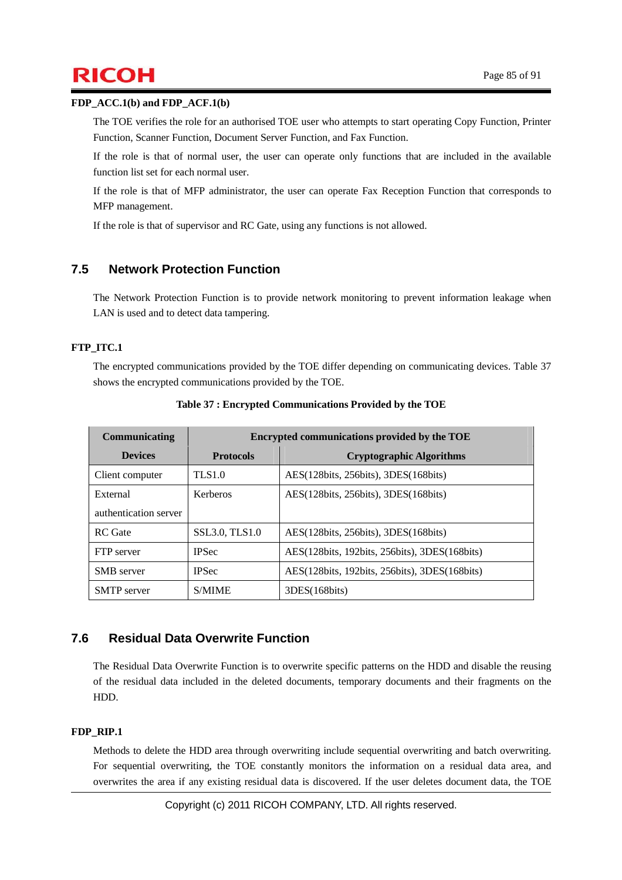# $\mathsf{RICOH}$  Page 85 of 91

#### **FDP\_ACC.1(b) and FDP\_ACF.1(b)**

The TOE verifies the role for an authorised TOE user who attempts to start operating Copy Function, Printer Function, Scanner Function, Document Server Function, and Fax Function.

If the role is that of normal user, the user can operate only functions that are included in the available function list set for each normal user.

If the role is that of MFP administrator, the user can operate Fax Reception Function that corresponds to MFP management.

If the role is that of supervisor and RC Gate, using any functions is not allowed.

## **7.5 Network Protection Function**

The Network Protection Function is to provide network monitoring to prevent information leakage when LAN is used and to detect data tampering.

### **FTP\_ITC.1**

The encrypted communications provided by the TOE differ depending on communicating devices. Table 37 shows the encrypted communications provided by the TOE.

| Communicating         | Encrypted communications provided by the TOE |                                               |  |
|-----------------------|----------------------------------------------|-----------------------------------------------|--|
| <b>Devices</b>        | <b>Protocols</b>                             | <b>Cryptographic Algorithms</b>               |  |
| Client computer       | <b>TLS1.0</b>                                | AES(128bits, 256bits), 3DES(168bits)          |  |
| External              | <b>Kerberos</b>                              | AES(128bits, 256bits), 3DES(168bits)          |  |
| authentication server |                                              |                                               |  |
| RC Gate               | SSL3.0, TLS1.0                               | AES(128bits, 256bits), 3DES(168bits)          |  |
| FTP server            | <b>IPSec</b>                                 | AES(128bits, 192bits, 256bits), 3DES(168bits) |  |
| <b>SMB</b> server     | <b>IPSec</b>                                 | AES(128bits, 192bits, 256bits), 3DES(168bits) |  |
| <b>SMTP</b> server    | <b>S/MIME</b>                                | 3DES(168bits)                                 |  |

**Table 37 : Encrypted Communications Provided by the TOE** 

## **7.6 Residual Data Overwrite Function**

The Residual Data Overwrite Function is to overwrite specific patterns on the HDD and disable the reusing of the residual data included in the deleted documents, temporary documents and their fragments on the HDD.

### **FDP\_RIP.1**

Methods to delete the HDD area through overwriting include sequential overwriting and batch overwriting. For sequential overwriting, the TOE constantly monitors the information on a residual data area, and overwrites the area if any existing residual data is discovered. If the user deletes document data, the TOE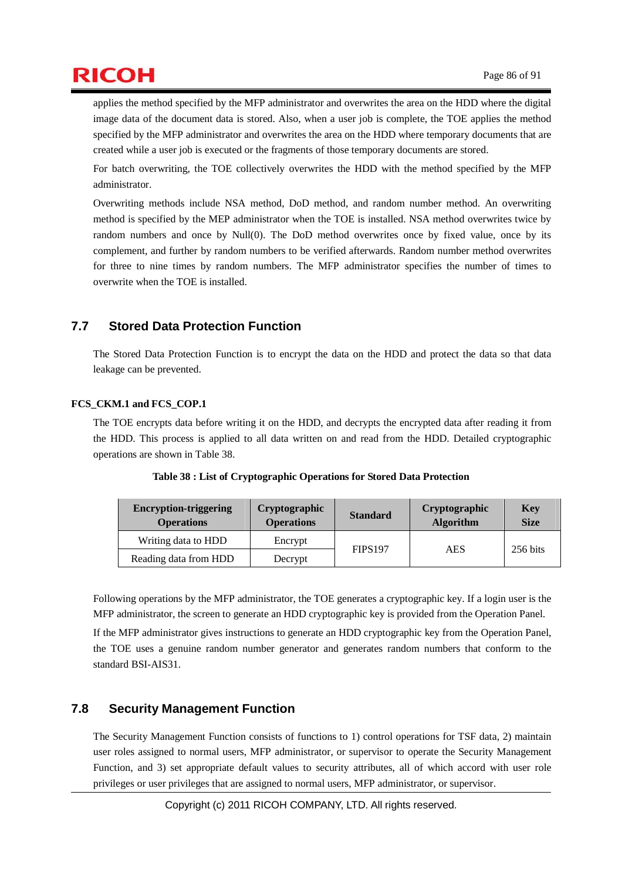applies the method specified by the MFP administrator and overwrites the area on the HDD where the digital image data of the document data is stored. Also, when a user job is complete, the TOE applies the method specified by the MFP administrator and overwrites the area on the HDD where temporary documents that are created while a user job is executed or the fragments of those temporary documents are stored.

For batch overwriting, the TOE collectively overwrites the HDD with the method specified by the MFP administrator.

Overwriting methods include NSA method, DoD method, and random number method. An overwriting method is specified by the MEP administrator when the TOE is installed. NSA method overwrites twice by random numbers and once by Null(0). The DoD method overwrites once by fixed value, once by its complement, and further by random numbers to be verified afterwards. Random number method overwrites for three to nine times by random numbers. The MFP administrator specifies the number of times to overwrite when the TOE is installed.

## **7.7 Stored Data Protection Function**

The Stored Data Protection Function is to encrypt the data on the HDD and protect the data so that data leakage can be prevented.

### **FCS\_CKM.1 and FCS\_COP.1**

The TOE encrypts data before writing it on the HDD, and decrypts the encrypted data after reading it from the HDD. This process is applied to all data written on and read from the HDD. Detailed cryptographic operations are shown in Table 38.

| <b>Encryption-triggering</b><br><b>Operations</b> | <b>Cryptographic</b><br><b>Operations</b> | <b>Standard</b> | <b>Cryptographic</b><br><b>Algorithm</b> | <b>Key</b><br><b>Size</b> |
|---------------------------------------------------|-------------------------------------------|-----------------|------------------------------------------|---------------------------|
| Writing data to HDD                               | Encrypt                                   |                 |                                          |                           |
| Reading data from HDD                             | Decrypt                                   | <b>FIPS197</b>  | AES                                      | 256 bits                  |

**Table 38 : List of Cryptographic Operations for Stored Data Protection** 

Following operations by the MFP administrator, the TOE generates a cryptographic key. If a login user is the MFP administrator, the screen to generate an HDD cryptographic key is provided from the Operation Panel.

If the MFP administrator gives instructions to generate an HDD cryptographic key from the Operation Panel, the TOE uses a genuine random number generator and generates random numbers that conform to the standard BSI-AIS31.

## **7.8 Security Management Function**

The Security Management Function consists of functions to 1) control operations for TSF data, 2) maintain user roles assigned to normal users, MFP administrator, or supervisor to operate the Security Management Function, and 3) set appropriate default values to security attributes, all of which accord with user role privileges or user privileges that are assigned to normal users, MFP administrator, or supervisor.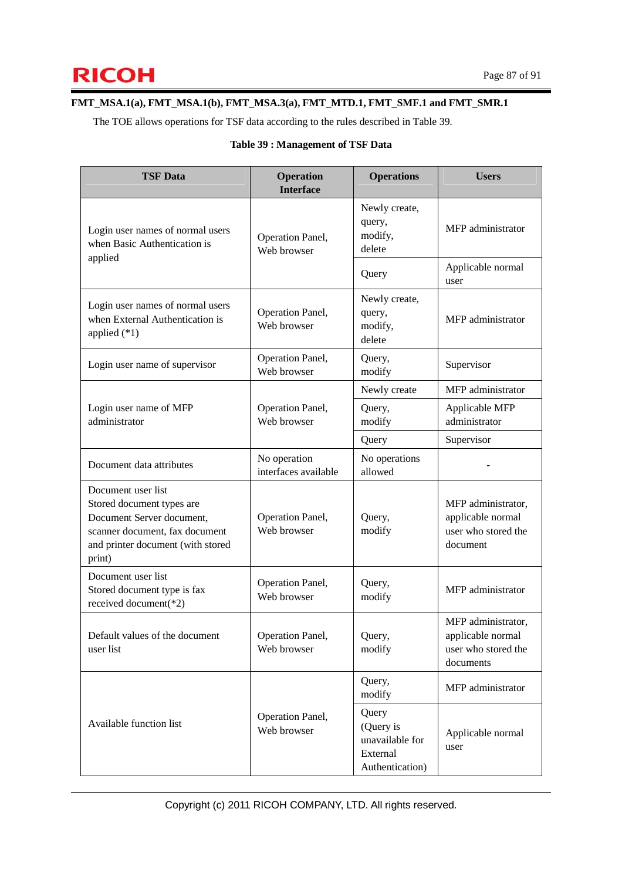### **FMT\_MSA.1(a), FMT\_MSA.1(b), FMT\_MSA.3(a), FMT\_MTD.1, FMT\_SMF.1 and FMT\_SMR.1**

The TOE allows operations for TSF data according to the rules described in Table 39.

### **Table 39 : Management of TSF Data**

| <b>TSF Data</b>                                                                                                                                               | <b>Operation</b><br><b>Interface</b> | <b>Operations</b>                                                    | <b>Users</b>                                                                |
|---------------------------------------------------------------------------------------------------------------------------------------------------------------|--------------------------------------|----------------------------------------------------------------------|-----------------------------------------------------------------------------|
| Login user names of normal users<br>when Basic Authentication is                                                                                              | Operation Panel,<br>Web browser      | Newly create,<br>query,<br>modify,<br>delete                         | MFP administrator                                                           |
| applied                                                                                                                                                       |                                      | Query                                                                | Applicable normal<br>user                                                   |
| Login user names of normal users<br>when External Authentication is<br>applied $(*1)$                                                                         | Operation Panel,<br>Web browser      | Newly create,<br>query,<br>modify,<br>delete                         | MFP administrator                                                           |
| Login user name of supervisor                                                                                                                                 | Operation Panel,<br>Web browser      | Query,<br>modify                                                     | Supervisor                                                                  |
|                                                                                                                                                               |                                      | Newly create                                                         | MFP administrator                                                           |
| Login user name of MFP<br>administrator                                                                                                                       | Operation Panel,<br>Web browser      | Query,<br>modify                                                     | Applicable MFP<br>administrator                                             |
|                                                                                                                                                               |                                      | Query                                                                | Supervisor                                                                  |
| Document data attributes                                                                                                                                      | No operation<br>interfaces available | No operations<br>allowed                                             |                                                                             |
| Document user list<br>Stored document types are<br>Document Server document,<br>scanner document, fax document<br>and printer document (with stored<br>print) | Operation Panel,<br>Web browser      | Query,<br>modify                                                     | MFP administrator,<br>applicable normal<br>user who stored the<br>document  |
| Document user list<br>Stored document type is fax<br>received document(*2)                                                                                    | Operation Panel,<br>Web browser      | Query,<br>modify                                                     | MFP administrator                                                           |
| Default values of the document<br>user list                                                                                                                   | Operation Panel,<br>Web browser      | Query,<br>modify                                                     | MFP administrator,<br>applicable normal<br>user who stored the<br>documents |
|                                                                                                                                                               |                                      | Query,<br>modify                                                     | MFP administrator                                                           |
| Available function list                                                                                                                                       | Operation Panel,<br>Web browser      | Query<br>(Query is<br>unavailable for<br>External<br>Authentication) | Applicable normal<br>user                                                   |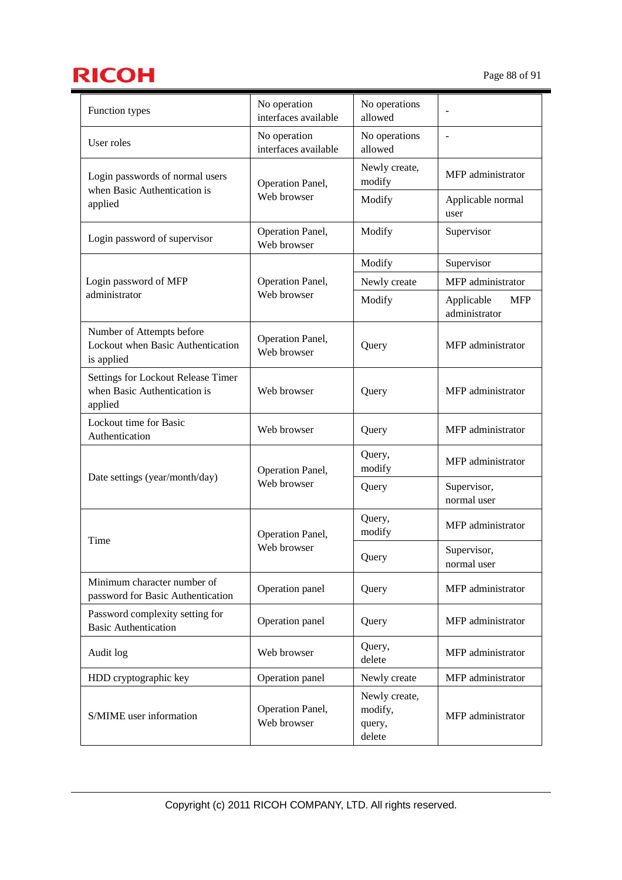# **RICOH** Page 88 of 91

| Function types                                                                | No operation                         | No operations                                |                                           |
|-------------------------------------------------------------------------------|--------------------------------------|----------------------------------------------|-------------------------------------------|
|                                                                               | interfaces available<br>No operation | allowed<br>No operations                     | ÷,                                        |
| User roles                                                                    | interfaces available                 | allowed                                      |                                           |
| Login passwords of normal users<br>when Basic Authentication is               | Operation Panel,<br>Web browser      | Newly create,<br>modify                      | MFP administrator                         |
| applied                                                                       |                                      | Modify                                       | Applicable normal<br>user                 |
| Login password of supervisor                                                  | Operation Panel,<br>Web browser      | Modify                                       | Supervisor                                |
|                                                                               |                                      | Modify                                       | Supervisor                                |
| Login password of MFP                                                         | Operation Panel,                     | Newly create                                 | MFP administrator                         |
| administrator                                                                 | Web browser                          | Modify                                       | Applicable<br><b>MFP</b><br>administrator |
| Number of Attempts before<br>Lockout when Basic Authentication<br>is applied  | Operation Panel,<br>Web browser      | Query                                        | MFP administrator                         |
| Settings for Lockout Release Timer<br>when Basic Authentication is<br>applied | Web browser                          | Query                                        | MFP administrator                         |
| Lockout time for Basic<br>Authentication                                      | Web browser                          | Query                                        | MFP administrator                         |
| Date settings (year/month/day)                                                | Operation Panel,                     | Query,<br>modify                             | MFP administrator                         |
|                                                                               | Web browser                          | Query                                        | Supervisor,<br>normal user                |
|                                                                               | Operation Panel,                     | Query,<br>modify                             | MFP administrator                         |
| Time                                                                          | Web browser                          | Query                                        | Supervisor,<br>normal user                |
| Minimum character number of<br>password for Basic Authentication              | Operation panel                      | Query                                        | MFP administrator                         |
| Password complexity setting for<br><b>Basic Authentication</b>                | Operation panel                      | Query                                        | MFP administrator                         |
| Audit log                                                                     | Web browser                          | Query,<br>delete                             | MFP administrator                         |
| HDD cryptographic key                                                         | Operation panel                      | Newly create                                 | MFP administrator                         |
| S/MIME user information                                                       | Operation Panel,<br>Web browser      | Newly create,<br>modify,<br>query,<br>delete | MFP administrator                         |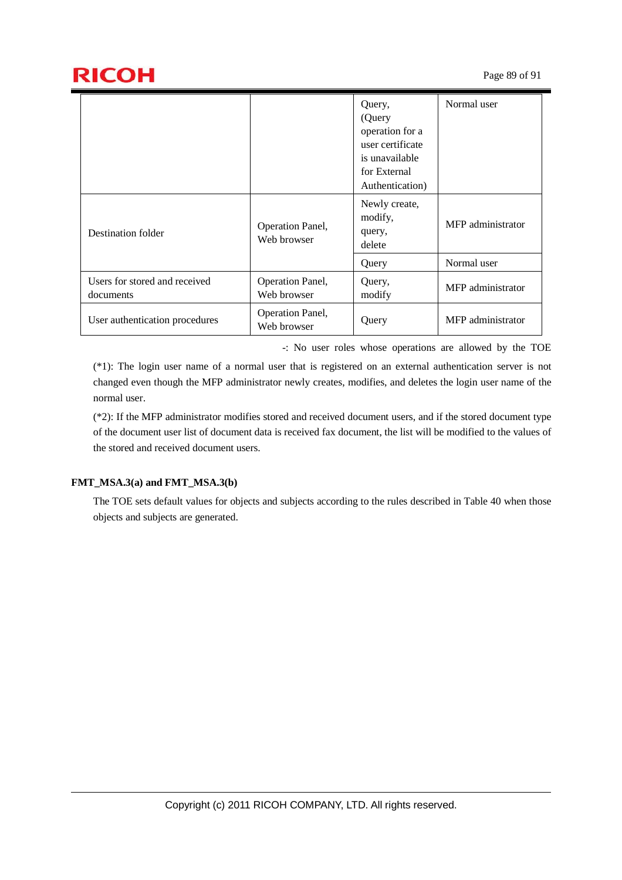|                                            |                                 | Query,<br>(Query<br>operation for a<br>user certificate<br>is unavailable<br>for External<br>Authentication) | Normal user       |
|--------------------------------------------|---------------------------------|--------------------------------------------------------------------------------------------------------------|-------------------|
| Destination folder                         | Operation Panel,<br>Web browser | Newly create,<br>modify,<br>query,<br>delete                                                                 | MFP administrator |
|                                            |                                 | Query                                                                                                        | Normal user       |
| Users for stored and received<br>documents | Operation Panel,<br>Web browser | Query,<br>modify                                                                                             | MFP administrator |
| User authentication procedures             | Operation Panel,<br>Web browser | Query                                                                                                        | MFP administrator |

-: No user roles whose operations are allowed by the TOE

(\*1): The login user name of a normal user that is registered on an external authentication server is not changed even though the MFP administrator newly creates, modifies, and deletes the login user name of the normal user.

(\*2): If the MFP administrator modifies stored and received document users, and if the stored document type of the document user list of document data is received fax document, the list will be modified to the values of the stored and received document users.

## **FMT\_MSA.3(a) and FMT\_MSA.3(b)**

The TOE sets default values for objects and subjects according to the rules described in Table 40 when those objects and subjects are generated.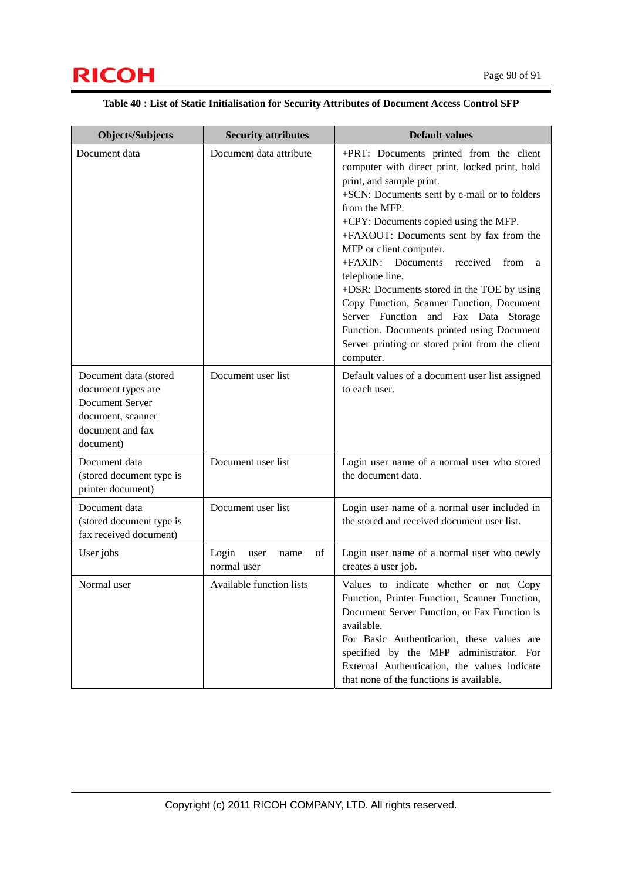# **RICOH** Page 90 of 91

| <b>Objects/Subjects</b>                                                                                              | <b>Security attributes</b>                 | <b>Default values</b>                                                                                                                                                                                                                                                                                                                                                                                                                                                                                                                                                                                                   |
|----------------------------------------------------------------------------------------------------------------------|--------------------------------------------|-------------------------------------------------------------------------------------------------------------------------------------------------------------------------------------------------------------------------------------------------------------------------------------------------------------------------------------------------------------------------------------------------------------------------------------------------------------------------------------------------------------------------------------------------------------------------------------------------------------------------|
| Document data                                                                                                        | Document data attribute                    | +PRT: Documents printed from the client<br>computer with direct print, locked print, hold<br>print, and sample print.<br>+SCN: Documents sent by e-mail or to folders<br>from the MFP.<br>+CPY: Documents copied using the MFP.<br>+FAXOUT: Documents sent by fax from the<br>MFP or client computer.<br>+FAXIN: Documents<br>received<br>from<br>a<br>telephone line.<br>+DSR: Documents stored in the TOE by using<br>Copy Function, Scanner Function, Document<br>Server Function and Fax Data Storage<br>Function. Documents printed using Document<br>Server printing or stored print from the client<br>computer. |
| Document data (stored<br>document types are<br>Document Server<br>document, scanner<br>document and fax<br>document) | Document user list                         | Default values of a document user list assigned<br>to each user.                                                                                                                                                                                                                                                                                                                                                                                                                                                                                                                                                        |
| Document data<br>(stored document type is<br>printer document)                                                       | Document user list                         | Login user name of a normal user who stored<br>the document data.                                                                                                                                                                                                                                                                                                                                                                                                                                                                                                                                                       |
| Document data<br>(stored document type is<br>fax received document)                                                  | Document user list                         | Login user name of a normal user included in<br>the stored and received document user list.                                                                                                                                                                                                                                                                                                                                                                                                                                                                                                                             |
| User jobs                                                                                                            | Login<br>of<br>user<br>name<br>normal user | Login user name of a normal user who newly<br>creates a user job.                                                                                                                                                                                                                                                                                                                                                                                                                                                                                                                                                       |
| Normal user                                                                                                          | Available function lists                   | Values to indicate whether or not Copy<br>Function, Printer Function, Scanner Function,<br>Document Server Function, or Fax Function is<br>available.<br>For Basic Authentication, these values are<br>specified by the MFP administrator. For<br>External Authentication, the values indicate<br>that none of the functions is available.                                                                                                                                                                                                                                                                              |

### **Table 40 : List of Static Initialisation for Security Attributes of Document Access Control SFP**